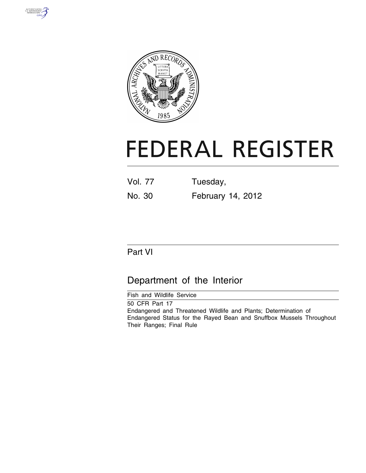



# **FEDERAL REGISTER**

| <b>Vol. 77</b> | Tuesday, |  |  |  |  |  |
|----------------|----------|--|--|--|--|--|
|                |          |  |  |  |  |  |

# No. 30 February 14, 2012

# Part VI

# Department of the Interior

Fish and Wildlife Service 50 CFR Part 17 Endangered and Threatened Wildlife and Plants; Determination of Endangered Status for the Rayed Bean and Snuffbox Mussels Throughout Their Ranges; Final Rule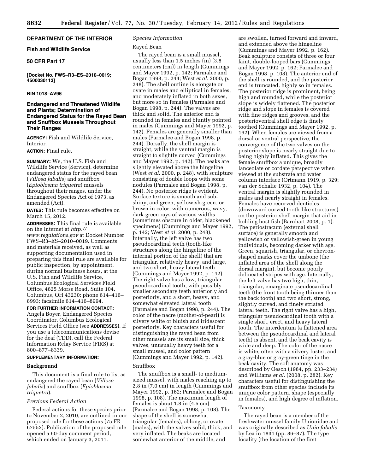# **DEPARTMENT OF THE INTERIOR**

# **Fish and Wildlife Service**

# **50 CFR Part 17**

**[Docket No. FWS–R3–ES–2010–0019; 4500030113]** 

#### **RIN 1018–AV96**

# **Endangered and Threatened Wildlife and Plants; Determination of Endangered Status for the Rayed Bean and Snuffbox Mussels Throughout Their Ranges**

**AGENCY:** Fish and Wildlife Service, Interior.

# **ACTION:** Final rule.

**SUMMARY:** We, the U.S. Fish and Wildlife Service (Service), determine endangered status for the rayed bean (*Villosa fabalis*) and snuffbox (*Epioblasma triquetra*) mussels throughout their ranges, under the Endangered Species Act of 1973, as amended (Act).

**DATES:** This rule becomes effective on March 15, 2012.

**ADDRESSES:** This final rule is available on the Internet at *[http://](http://www.regulations.gov)  [www.regulations.gov](http://www.regulations.gov)* at Docket Number FWS–R3–ES–2010–0019. Comments and materials received, as well as supporting documentation used in preparing this final rule are available for public inspection, by appointment, during normal business hours, at the U.S. Fish and Wildlife Service, Columbus Ecological Services Field Office, 4625 Morse Road, Suite 104, Columbus, OH 43230; phone 614–416– 8993; facsimile 614–416–8994.

**FOR FURTHER INFORMATION CONTACT:**  Angela Boyer, Endangered Species Coordinator, Columbus Ecological Services Field Office (see **ADDRESSES**). If you use a telecommunications devise for the deaf (TDD), call the Federal Information Relay Service (FIRS) at 800–877–8339.

# **SUPPLEMENTARY INFORMATION:**

#### **Background**

This document is a final rule to list as endangered the rayed bean (*Villosa fabalis*) and snuffbox (*Epioblasma triquetra*).

#### *Previous Federal Action*

Federal actions for these species prior to November 2, 2010, are outlined in our proposed rule for these actions (75 FR 67552). Publication of the proposed rule opened a 60-day comment period, which ended on January 3, 2011.

# *Species Information*

#### Rayed Bean

The rayed bean is a small mussel, usually less than 1.5 inches (in) (3.8 centimeters (cm)) in length (Cummings and Mayer 1992, p. 142; Parmalee and Bogan 1998, p. 244; West *et al.* 2000, p. 248). The shell outline is elongate or ovate in males and elliptical in females, and moderately inflated in both sexes, but more so in females (Parmalee and Bogan 1998, p. 244). The valves are thick and solid. The anterior end is rounded in females and bluntly pointed in males (Cummings and Mayer 1992, p. 142). Females are generally smaller than males (Parmalee and Bogan 1998, p. 244). Dorsally, the shell margin is straight, while the ventral margin is straight to slightly curved (Cummings and Mayer 1992, p. 142). The beaks are slightly elevated above the hingeline (West *et al.* 2000, p. 248), with sculpture consisting of double loops with some nodules (Parmalee and Bogan 1998, p. 244). No posterior ridge is evident. Surface texture is smooth and subshiny, and green, yellowish-green, or brown in color, with numerous, wavy, dark-green rays of various widths (sometimes obscure in older, blackened specimens) (Cummings and Mayer 1992, p. 142; West *et al.* 2000, p. 248). Internally, the left valve has two pseudocardinal teeth (tooth-like structures along the hingeline of the internal portion of the shell) that are triangular, relatively heavy, and large, and two short, heavy lateral teeth (Cummings and Mayer 1992, p. 142). The right valve has a low, triangular pseudocardinal tooth, with possibly smaller secondary teeth anteriorly and posteriorly, and a short, heavy, and somewhat elevated lateral tooth (Parmalee and Bogan 1998, p. 244). The color of the nacre (mother-of-pearl) is silvery white or bluish and iridescent posteriorly. Key characters useful for distinguishing the rayed bean from other mussels are its small size, thick valves, unusually heavy teeth for a small mussel, and color pattern (Cummings and Mayer 1992, p. 142).

#### Snuffbox

The snuffbox is a small- to mediumsized mussel, with males reaching up to 2.8 in (7.0 cm) in length (Cummings and Mayer 1992, p. 162; Parmalee and Bogan 1998, p. 108). The maximum length of females is about 1.8 in (4.5 cm) (Parmalee and Bogan 1998, p. 108). The shape of the shell is somewhat triangular (females), oblong, or ovate (males), with the valves solid, thick, and very inflated. The beaks are located somewhat anterior of the middle, and

are swollen, turned forward and inward, and extended above the hingeline (Cummings and Mayer 1992, p. 162). Beak sculpture consists of three or four faint, double-looped bars (Cummings and Mayer 1992, p. 162; Parmalee and Bogan 1998, p. 108). The anterior end of the shell is rounded, and the posterior end is truncated, highly so in females. The posterior ridge is prominent, being high and rounded, while the posterior slope is widely flattened. The posterior ridge and slope in females is covered with fine ridges and grooves, and the posterioventral shell edge is finely toothed (Cummings and Mayer 1992, p. 162). When females are viewed from a dorsal or ventral perspective, the convergence of the two valves on the posterior slope is nearly straight due to being highly inflated. This gives the female snuffbox a unique, broadly lanceolate or cordate perspective when viewed at the substrate and water column interface (Ortmann 1919, p. 329; van der Schalie 1932, p. 104). The ventral margin is slightly rounded in males and nearly straight in females. Females have recurved denticles (downward curved tooth-like structures) on the posterior shell margin that aid in holding host fish (Barnhart 2008, p. 1). The periostracum (external shell surface) is generally smooth and yellowish or yellowish-green in young individuals, becoming darker with age. Green, squarish, triangular, or chevronshaped marks cover the umbone (the inflated area of the shell along the dorsal margin), but become poorly delineated stripes with age. Internally, the left valve has two high, thin, triangular, emarginate pseudocardinal teeth (the front tooth being thinner than the back tooth) and two short, strong, slightly curved, and finely striated lateral teeth. The right valve has a high, triangular pseudocardinal tooth with a single short, erect, and heavy lateral tooth. The interdentum (a flattened area between the pseudocardinal and lateral teeth) is absent, and the beak cavity is wide and deep. The color of the nacre is white, often with a silvery luster, and a gray-blue or gray-green tinge in the beak cavity. The soft anatomy was described by Oesch (1984, pp. 233–234) and Williams *et al.* (2008, p. 282). Key characters useful for distinguishing the snuffbox from other species include its unique color pattern, shape (especially in females), and high degree of inflation.

#### Taxonomy

The rayed bean is a member of the freshwater mussel family Unionidae and was originally described as *Unio fabalis*  by Lea in 1831 (pp. 86–87). The type locality (the location of the first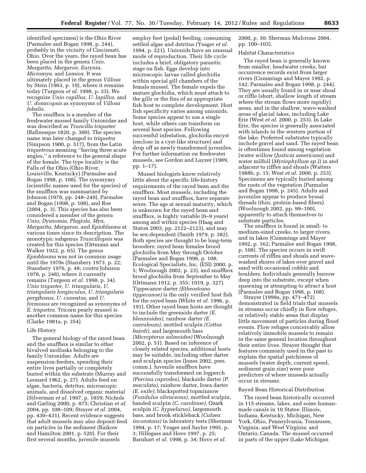identified specimen) is the Ohio River (Parmalee and Bogan 1998, p. 244), probably in the vicinity of Cincinnati, Ohio. Over the years, the rayed bean has been placed in the genera *Unio, Margarita, Margaron, Eurynia, Micromya,* and *Lemiox.* It was ultimately placed in the genus *Villosa*  by Stein (1963, p. 19), where it remains today (Turgeon *et al.* 1998, p. 33). We recognize *Unio capillus, U. lapillus,* and *U. donacopsis* as synonyms of *Villosa fabalis*.

The snuffbox is a member of the freshwater mussel family Unionidae and was described as *Truncilla triqueter*  (Rafinesque 1820, p. 300). The species name was later changed to *triquetra*  (Simpson 1900, p. 517), from the Latin *triquetrous* meaning ''having three acute angles,'' a reference to the general shape of the female. The type locality is the Falls of the Ohio (Ohio River, Louisville, Kentucky) (Parmalee and Bogan 1998, p. 108). The synonymy (scientific names used for the species) of the snuffbox was summarized by Johnson (1978, pp. 248–249), Parmalee and Bogan (1998, p. 108), and Roe (2004, p. 3). This species has also been considered a member of the genera *Unio, Dysnomia, Plagiola, Mya, Margarita, Margaron,* and *Epioblasma* at various times since its description. The monotypic subgenus *Truncillopsis* was created for this species (Ortmann and Walker 1922, p. 65). The genus *Epioblasma* was not in common usage until the 1970s (Stansbery 1973, p. 22; Stansbery 1976, p. 48; *contra* Johnson 1978, p. 248), where it currently remains (Turgeon *et al.* 1998, p. 34). *Unio triqueter, U. triangularis, U. triangularis longisculus, U. triangularis pergibosus, U. cuneatus,* and *U. formosus* are recognized as synonyms of *E. triquetra*. Tricorn pearly mussel is another common name for this species (Clarke 1981a, p. 354).

#### Life History

The general biology of the rayed bean and the snuffbox is similar to other bivalved mollusks belonging to the family Unionidae. Adults are suspension-feeders, spending their entire lives partially or completely buried within the substrate (Murray and Leonard 1962, p. 27). Adults feed on algae, bacteria, detritus, microscopic animals, and dissolved organic material (Silverman *et al.* 1997, p. 1859; Nichols and Garling 2000, p. 873; Christian *et al.*  2004, pp. 108–109; Strayer *et al.* 2004, pp. 430–431). Recent evidence suggests that adult mussels may also deposit-feed on particles in the sediment (Raikow and Hamilton 2001, p. 520). For their first several months, juvenile mussels

employ foot (pedal) feeding, consuming settled algae and detritus (Yeager *et al.*  1994, p. 221). Unionids have an unusual mode of reproduction. Their life cycle includes a brief, obligatory parasitic stage on fish. Eggs develop into microscopic larvae called glochidia within special gill chambers of the female mussel. The female expels the mature glochidia, which must attach to the gills or the fins of an appropriate fish host to complete development. Host fish specificity varies among unionids. Some species appear to use a single host, while others can transform on several host species. Following successful infestation, glochidia encyst (enclose in a cyst-like structure) and drop off as newly transformed juveniles. For further information on freshwater mussels, see Gordon and Layzer (1989, pp. 1–17).

Mussel biologists know relatively little about the specific life-history requirements of the rayed bean and the snuffbox. Most mussels, including the rayed bean and snuffbox, have separate sexes. The age at sexual maturity, which is unknown for the rayed bean and snuffbox, is highly variable (0–9 years) among and within species (Haag and Staton 2003, pp. 2122–2123), and may be sex-dependent (Smith 1979, p. 382). Both species are thought to be long-term brooders; rayed bean females brood glochidia from May through October (Parmalee and Bogan 1998, p. 108; Ecological Specialists, Inc. (ESI) 2000, p. 5; Woolnough 2002, p. 23), and snuffbox brood glochidia from September to May (Ortmann 1912, p. 355; 1919, p. 327). Tippecanoe darter *(Etheostoma tippecanoe)* is the only verified host fish for the rayed bean (White *et al.* 1996, p. 191). Other rayed bean hosts are thought to include the greenside darter *(E. blennioides),* rainbow darter *(E. caeruleum),* mottled sculpin *(Cottus bairdi),* and largemouth bass *(Micropterus salmoides)* (Woolnough 2002, p. 51). Based on inference of closely related species, additional hosts may be suitable, including other darter and sculpin species (Jones 2002, pers. comm.). Juvenile snuffbox have successfully transformed on logperch *(Percina caprodes),* blackside darter *(P. maculata),* rainbow darter, Iowa darter *(E. exile),* blackspotted topminnow *(Fundulus olivaceous),* mottled sculpin, banded sculpin *(C. carolinae),* Ozark sculpin *(C. hypselurus),* largemouth bass, and brook stickleback *(Culaea inconstans)* in laboratory tests (Sherman 1994, p. 17; Yeager and Saylor 1995, p. 3; Hillegass and Hove 1997, p. 25; Barnhart *et al.* 1998, p. 34; Hove *et al.* 

2000, p. 30; Sherman Mulcrone 2004, pp. 100–103).

# Habitat Characteristics

The rayed bean is generally known from smaller, headwater creeks, but occurrence records exist from larger rivers (Cummings and Mayer 1992, p. 142; Parmalee and Bogan 1998, p. 244). They are usually found in or near shoal or riffle (short, shallow length of stream where the stream flows more rapidly) areas, and in the shallow, wave-washed areas of glacial lakes, including Lake Erie (West *et al.* 2000, p. 253). In Lake Erie, the species is generally associated with islands in the western portion of the lake. Preferred substrates typically include gravel and sand. The rayed bean is oftentimes found among vegetation (water willow (*Justicia americana*) and water milfoil (*Myriophyllum sp.*)) in and adjacent to riffles and shoals (Watters 1988b, p. 15; West *et al.* 2000, p. 253). Specimens are typically buried among the roots of the vegetation (Parmalee and Bogan 1998, p. 245). Adults and juveniles appear to produce byssal threads (thin, protein-based fibers) (Woolnough 2002, pp. 99–100), apparently to attach themselves to substrate particles.

The snuffbox is found in small- to medium-sized creeks, to larger rivers, and in lakes (Cummings and Mayer 1992, p. 162; Parmalee and Bogan 1998, p. 108). The species occurs in swift currents of riffles and shoals and wavewashed shores of lakes over gravel and sand with occasional cobble and boulders. Individuals generally burrow deep into the substrate, except when spawning or attempting to attract a host (Parmalee and Bogan 1998, p. 108).

Strayer (1999a, pp. 471–472) demonstrated in field trials that mussels in streams occur chiefly in flow refuges, or relatively stable areas that display little movement of particles during flood events. Flow refuges conceivably allow relatively immobile mussels to remain in the same general location throughout their entire lives. Strayer thought that features commonly used in the past to explain the spatial patchiness of mussels (water depth, current speed, sediment grain size) were poor predictors of where mussels actually occur in streams.

#### Rayed Bean Historical Distribution

The rayed bean historically occurred in 115 streams, lakes, and some humanmade canals in 10 States: Illinois, Indiana, Kentucky, Michigan, New York, Ohio, Pennsylvania, Tennessee, Virginia, and West Virginia; and Ontario, Canada. The mussel occurred in parts of the upper (Lake Michigan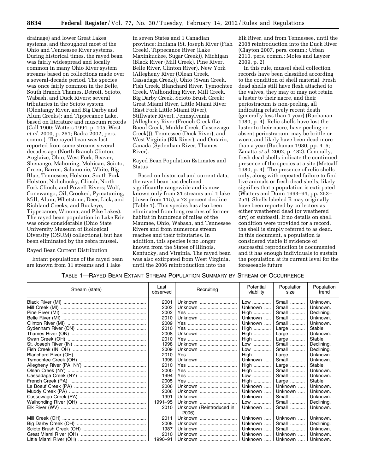drainage) and lower Great Lakes systems, and throughout most of the Ohio and Tennessee River systems. During historical times, the rayed bean was fairly widespread and locally common in many Ohio River system streams based on collections made over a several-decade period. The species was once fairly common in the Belle, South Branch Thames, Detroit, Scioto, Wabash, and Duck Rivers; several tributaries in the Scioto system (Olentangy River, and Big Darby and Alum Creeks); and Tippecanoe Lake, based on literature and museum records (Call 1900; Watters 1994, p. 105; West *et al.* 2000, p. 251; Badra 2002, pers. comm.). The rayed bean was last reported from some streams several decades ago (North Branch Clinton, Auglaize, Ohio, West Fork, Beaver, Shenango, Mahoning, Mohican, Scioto, Green, Barren, Salamonie, White, Big Blue, Tennessee, Holston, South Fork Holston, Nolichucky, Clinch, North Fork Clinch, and Powell Rivers; Wolf, Conewango, Oil, Crooked, Pymatuning, Mill, Alum, Whetstone, Deer, Lick, and Richland Creeks; and Buckeye, Tippecanoe, Winona, and Pike Lakes). The rayed bean population in Lake Erie was once considerable (Ohio State University Museum of Biological Diversity (OSUM) collections), but has been eliminated by the zebra mussel.

#### Rayed Bean Current Distribution

Extant populations of the rayed bean are known from 31 streams and 1 lake

in seven States and 1 Canadian province: Indiana (St. Joseph River (Fish Creek), Tippecanoe River (Lake Maxinkuckee, Sugar Creek)), Michigan (Black River (Mill Creek), Pine River, Belle River, Clinton River), New York (Allegheny River (Olean Creek, Cassadaga Creek)), Ohio (Swan Creek, Fish Creek, Blanchard River, Tymochtee Creek, Walhonding River, Mill Creek, Big Darby Creek, Scioto Brush Creek; Great Miami River, Little Miami River (East Fork Little Miami River), Stillwater River), Pennsylvania (Allegheny River (French Creek (Le Boeuf Creek, Muddy Creek, Cussewago Creek))), Tennessee (Duck River), and West Virginia (Elk River); and Ontario, Canada (Sydenham River, Thames River).

Rayed Bean Population Estimates and Status

Based on historical and current data, the rayed bean has declined significantly rangewide and is now known only from 31 streams and 1 lake (down from 115), a 73 percent decline (Table 1). This species has also been eliminated from long reaches of former habitat in hundreds of miles of the Maumee, Ohio, Wabash, and Tennessee Rivers and from numerous stream reaches and their tributaries. In addition, this species is no longer known from the States of Illinois, Kentucky, and Virginia. The rayed bean was also extirpated from West Virginia, until the 2006 reintroduction into the

Elk River, and from Tennessee, until the 2008 reintroduction into the Duck River (Clayton 2007, pers. comm.; Urban 2010, pers. comm.; Moles and Layzer 2009, p. 2).

In this rule, mussel shell collection records have been classified according to the condition of shell material. Fresh dead shells still have flesh attached to the valves, they may or may not retain a luster to their nacre, and their periostracum is non-peeling, all indicating relatively recent death (generally less than 1 year) (Buchanan 1980, p. 4). Relic shells have lost the luster to their nacre, have peeling or absent periostracum, may be brittle or worn, and likely have been dead more than a year (Buchanan 1980, pp. 4–5; Zanatta *et al.* 2002, p. 482). Generally, fresh dead shells indicate the continued presence of the species at a site (Metcalf 1980, p. 4). The presence of relic shells only, along with repeated failure to find live animals or fresh dead shells, likely signifies that a population is extirpated (Watters and Dunn 1993–94, pp. 253– 254). Shells labeled R may originally have been reported by collectors as either weathered dead (or weathered dry) or subfossil. If no details on shell condition were provided for a record, the shell is simply referred to as dead. In this document, a population is considered viable if evidence of successful reproduction is documented and it has enough individuals to sustain the population at its current level for the foreseeable future.

# TABLE 1—RAYED BEAN EXTANT STREAM POPULATION SUMMARY BY STREAM OF OCCURRENCE

| Stream (state) | Last<br>observed | Recruiting               | Potential<br>viability | Population<br>size | Population<br>trend |
|----------------|------------------|--------------------------|------------------------|--------------------|---------------------|
|                | 2001             | Unknown                  | Low                    | Small              | Unknown.            |
|                | 2002             | Unknown                  | Unknown                | Small              | Unknown.            |
|                | 2002             |                          | $High$                 | Small              | Declining.          |
|                | 2010             | Unknown                  | Unknown                | Small              | Unknown.            |
|                | 2009             |                          | Unknown                | Small              | Unknown.            |
|                | 2010             |                          | High                   | Large              | Stable.             |
|                | 2008             | Unknown                  | High                   | Large              | Unknown.            |
|                | 2010             |                          | High                   | Large              | Stable.             |
|                | 1998             | Unknown                  | Low                    | Small              | Declining.          |
|                | 2009             | Unknown                  | Low                    | Small              | Declining.          |
|                | 2010             |                          | High                   | Large              | Unknown.            |
|                | 1996             | Unknown                  | Unknown                | Small              | Unknown.            |
|                | 2010             |                          | $High$                 | Large              | Stable.             |
|                | 2000             |                          | $High$                 | Small              | Unknown.            |
|                | 1994             |                          | Low                    | Small              | Unknown.            |
|                | 2005             |                          | High                   | Large              | Stable.             |
|                | 2006             | Unknown                  | Unknown                | Unknown            | Unknown.            |
|                | 2006             | Unknown                  | Unknown                | Unknown            | Unknown.            |
|                | 1991             | Unknown                  | Unknown                | Small              | Unknown.            |
|                | 1991-95          | Unknown                  | Low                    | Small              | Declining.          |
|                | 2010             | Unknown (Reintroduced in | Unknown                | Small              | Unknown.            |
|                |                  | 2006).                   |                        |                    |                     |
|                | 2011             | Unknown                  | Unknown                | Unknown            | Unknown.            |
|                | 2008             | Unknown                  | Unknown                | Small              | Declining.          |
|                | 1987             | Unknown                  | Unknown                | Small              | Unknown.            |
|                | 2010             | Unknown                  | Unknown                | Unknown            | Unknown.            |
|                | 1990-91          | Unknown                  | Unknown                | Unknown            | Unknown.            |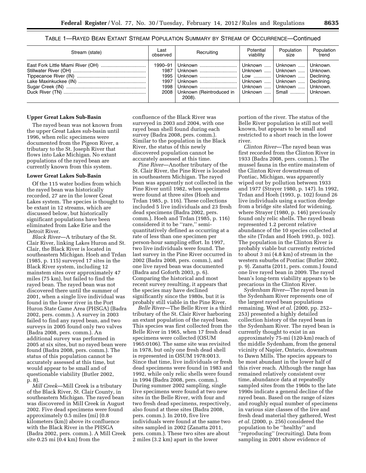TABLE 1—RAYED BEAN EXTANT STREAM POPULATION SUMMARY BY STREAM OF OCCURRENCE—Continued

| Stream (state) | Last<br>observed                                | Recruiting                                    | Potential<br>viabilitv | Population<br>size                                                                                                                                                                                     | Population<br>trend |
|----------------|-------------------------------------------------|-----------------------------------------------|------------------------|--------------------------------------------------------------------------------------------------------------------------------------------------------------------------------------------------------|---------------------|
|                | 1990–91<br>1987<br>1995<br>1997<br>1998<br>2008 | Unknown<br>Unknown (Reintroduced in<br>2008). |                        | Unknown    Unknown    Unknown.<br>  Unknown    Unknown    Unknown.<br>Low  Unknown    Declining.<br>Unknown    Unknown    Declining.<br>Unknown    Unknown    Unknown.<br>Unknown    Small    Unknown. |                     |

#### **Upper Great Lakes Sub-Basin**

The rayed bean was not known from the upper Great Lakes sub-basin until 1996, when relic specimens were documented from the Pigeon River, a tributary to the St. Joseph River that flows into Lake Michigan. No extant populations of the rayed bean are currently known from this system.

#### **Lower Great Lakes Sub-Basin**

Of the 115 water bodies from which the rayed bean was historically recorded, 27 are in the lower Great Lakes system. The species is thought to be extant in 12 streams, which are discussed below, but historically significant populations have been eliminated from Lake Erie and the Detroit River.

*Black River*—A tributary of the St. Clair River, linking Lakes Huron and St. Clair, the Black River is located in southeastern Michigan. Hoeh and Trdan (1985, p. 115) surveyed 17 sites in the Black River system, including 12 mainstem sites over approximately 47 miles (75 km), but failed to find the rayed bean. The rayed bean was not discovered there until the summer of 2001, when a single live individual was found in the lower river in the Port Huron State Game Area (PHSGA) (Badra 2002, pers. comm.). A survey in 2003 failed to find any rayed bean, and two surveys in 2005 found only two valves (Badra 2008, pers. comm.). An additional survey was performed in 2005 at six sites, but no rayed bean were found (Badra 2008, pers. comm.). The status of this population cannot be accurately assessed at this time, but would appear to be small and of questionable viability (Butler 2002, p. 8).

*Mill Creek*—Mill Creek is a tributary of the Black River, St. Clair County, in southeastern Michigan. The rayed bean was discovered in Mill Creek in August 2002. Five dead specimens were found approximately 0.5 miles (mi) (0.8 kilometers (km)) above its confluence with the Black River in the PHSGA (Badra 2002, pers. comm.). A Mill Creek site 0.25 mi (0.4 km) from the

confluence of the Black River was surveyed in 2003 and 2004, with one rayed bean shell found during each survey (Badra 2008, pers. comm.). Similar to the population in the Black River, the status of this newly discovered population cannot be accurately assessed at this time.

*Pine River*—Another tributary of the St. Clair River, the Pine River is located in southeastern Michigan. The rayed bean was apparently not collected in the Pine River until 1982, when specimens were found at three sites (Hoeh and Trdan 1985, p. 116). These collections included 5 live individuals and 23 fresh dead specimens (Badra 2002, pers. comm.). Hoeh and Trdan (1985, p. 116) considered it to be ''rare,'' semiquantitatively defined as occurring at a rate of less than one specimen per person-hour sampling effort. In 1997, two live individuals were found. The last survey in the Pine River occurred in 2002 (Badra 2008, pers. comm.), and one live rayed bean was documented (Badra and Goforth 2003, p. 6). Comparing the historical and most recent survey resulting, it appears that the species may have declined significantly since the 1980s, but it is probably still viable in the Pine River.

*Belle River*—The Belle River is a third tributary of the St. Clair River harboring an extant population of the rayed bean. This species was first collected from the Belle River in 1965, when 17 fresh dead specimens were collected (OSUM 1965:0106). The same site was revisited in 1978, but only one fresh dead shell is represented in OSUM 1978:0013. Since that time, live individuals or fresh dead specimens were found in 1983 and 1992, while only relic shells were found in 1994 (Badra 2008, pers. comm.). During summer 2002 sampling, single live specimens were found at two new sites in the Belle River, with four and two fresh dead specimens, respectively, also found at these sites (Badra 2008, pers. comm.). In 2010, five live individuals were found at the same two sites sampled in 2002 (Zanatta 2011, pers. comm.). These two sites are about 2 miles (3.2 km) apart in the lower

portion of the river. The status of the Belle River population is still not well known, but appears to be small and restricted to a short reach in the lower river.

*Clinton River*—The rayed bean was first recorded from the Clinton River in 1933 (Badra 2008, pers. comm.). The mussel fauna in the entire mainstem of the Clinton River downstream of Pontiac, Michigan, was apparently wiped out by pollution between 1933 and 1977 (Strayer 1980, p. 147). In 1992, Trdan and Hoeh (1993, p. 102) found 26 live individuals using a suction dredge from a bridge site slated for widening, where Strayer (1980, p. 146) previously found only relic shells. The rayed bean represented 1.2 percent relative abundance of the 10 species collected at the site (Trdan and Hoeh 1993, p. 102). The population in the Clinton River is probably viable but currently restricted to about 3 mi (4.8 km) of stream in the western suburbs of Pontiac (Butler 2002, p. 9). Zanatta (2011, pers. comm.) found one live rayed bean in 2009. The rayed bean's long-term viability appears to be precarious in the Clinton River.

*Sydenham River*—The rayed bean in the Sydenham River represents one of the largest rayed bean populations remaining. West *et al.* (2000, pp. 252– 253) presented a highly detailed collection history of the rayed bean in the Sydenham River. The rayed bean is currently thought to exist in an approximately 75-mi (120-km) reach of the middle Sydenham, from the general vicinity of Napier, Ontario, downstream to Dawn Mills. The species appears to be most abundant in the lower half of this river reach. Although the range has remained relatively consistent over time, abundance data at repeatedly sampled sites from the 1960s to the late 1990s indicate a general decline of the rayed bean. Based on the range of sizes and roughly equal number of specimens in various size classes of the live and fresh dead material they gathered, West *et al.* (2000, p. 256) considered the population to be ''healthy'' and ''reproducing'' (recruiting). Data from sampling in 2001 show evidence of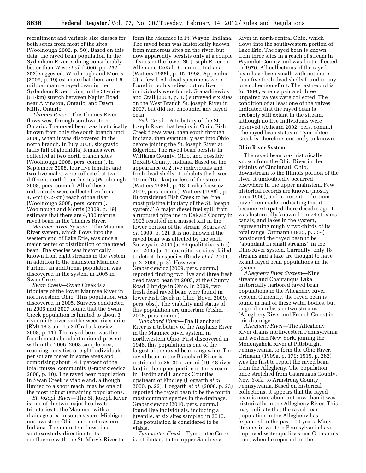recruitment and variable size classes for both sexes from most of the sites (Woolnough 2002, p. 50). Based on this data, the rayed bean population in the Sydenham River is doing considerably better than West *et al.* (2000, pp. 252– 253) suggested. Woolnough and Morris (2009, p. 19) estimate that there are 1.5 million mature rayed bean in the Sydenham River living in the 38-mile (61-km) stretch between Napier Road near Alvinston, Ontario, and Dawn Mills, Ontario.

*Thames River*—The Thames River flows west through southwestern Ontario. The rayed bean was historically known from only the south branch until 2008, when it was discovered in the north branch. In July 2008, six gravid (gills full of glochidia) females were collected at two north branch sites (Woolnough 2008, pers. comm.). In September 2008, four live females and two live males were collected at two different north branch sites (Woolnough 2008, pers. comm.). All of these individuals were collected within a 4.5-mi (7.2-km) reach of the river (Woolnough 2008, pers. comm.). Woolnough and Morris (2009, p. 19) estimate that there are 4,300 mature rayed bean in the Thames River.

*Maumee River System*—The Maumee River system, which flows into the western end of Lake Erie, was once a major center of distribution of the rayed bean. The species was historically known from eight streams in the system in addition to the mainstem Maumee. Further, an additional population was discovered in the system in 2005 in Swan Creek.

*Swan Creek*—Swan Creek is a tributary of the lower Maumee River in northwestern Ohio. This population was discovered in 2005. Surveys conducted in 2006 and 2007 found that the Swan Creek population is limited to about 3 river mi (5 river km) between river mile (RM) 18.3 and 15.3 (Grabarkiewicz 2008, p. 11). The rayed bean was the fourth most abundant unionid present within the 2006–2008 sample area, reaching densities of eight individuals per square meter in some areas and comprising about 14.1 percent of the total mussel community (Grabarkiewicz 2008, p. 10). The rayed bean population in Swan Creek is viable and, although limited to a short reach, may be one of the most robust remaining populations.

*St. Joseph River*—The St. Joseph River is one of the two major headwater tributaries to the Maumee, with a drainage area in southeastern Michigan, northwestern Ohio, and northeastern Indiana. The mainstem flows in a southwesterly direction to its confluence with the St. Mary's River to

form the Maumee in Ft. Wayne, Indiana. The rayed bean was historically known from numerous sites on the river, but now apparently persists only at a couple of sites in the lower St. Joseph River in Allen and DeKalb Counties, Indiana (Watters 1988b, p. 15; 1998, Appendix C); a few fresh dead specimens were found in both studies, but no live individuals were found. Grabarkiewicz and Crail (2008, p. 13) surveyed six sites on the West Branch St. Joseph River in 2007, but did not encounter any rayed bean.

*Fish Creek*—A tributary of the St. Joseph River that begins in Ohio, Fish Creek flows west, then south through Indiana, then eventually east into Ohio before joining the St. Joseph River at Edgerton. The rayed bean persists in Williams County, Ohio, and possibly DeKalb County, Indiana. Based on the appearance of 2 live individuals and fresh dead shells, it inhabits the lower 10 mi (16.1 km) or less of the stream (Watters 1988b, p. 18; Grabarkiewicz 2009, pers. comm.). Watters (1988b, p. ii) considered Fish Creek to be ''the most pristine tributary of the St. Joseph system.'' A major diesel fuel spill from a ruptured pipeline in DeKalb County in 1993 resulted in a mussel kill in the lower portion of the stream (Sparks *et al.* 1999, p. 12). It is not known if the rayed bean was affected by the spill. Surveys in 2004 (at 64 qualitative sites) and 2005 (at 11 quantitative sites) failed to detect the species (Brady *et al.* 2004, p. 2; 2005, p. 3). However, Grabarkiewicz (2009, pers. comm.) reported finding two live and three fresh dead rayed bean in 2005, at the County Road 3 bridge in Ohio. In 2009, two fresh dead rayed bean were found in lower Fish Creek in Ohio (Boyer 2009, pers. obs.). The viability and status of this population are uncertain (Fisher 2008, pers. comm.).

*Blanchard River*—The Blanchard River is a tributary of the Auglaize River in the Maumee River system, in northwestern Ohio. First discovered in 1946, this population is one of the largest of the rayed bean rangewide. The rayed bean in the Blanchard River is restricted to 25–30 river mi (40–48 river km) in the upper portion of the stream in Hardin and Hancock Counties upstream of Findley (Hoggarth *et al.*  2000, p. 22). Hoggarth *et al.* (2000, p. 23) reported the rayed bean to be the fourth most common species in the drainage. Grabarkiewicz (2010, pers. comm.) found live individuals, including a juvenile, at six sites sampled in 2010. The population is considered to be viable.

*Tymochtee Creek*—Tymochtee Creek is a tributary to the upper Sandusky

River in north-central Ohio, which flows into the southwestern portion of Lake Erie. The rayed bean is known from three sites in a reach of stream in Wyandot County and was first collected in 1970. All collections of the rayed bean have been small, with not more than five fresh dead shells found in any one collection effort. The last record is for 1996, when a pair and three unpaired valves were collected. The condition of at least one of the valves indicated that the rayed bean is probably still extant in the stream, although no live individuals were observed (Athearn 2002, pers. comm.). The rayed bean status in Tymochtee Creek is, therefore, currently unknown.

# **Ohio River System**

The rayed bean was historically known from the Ohio River in the vicinity of Cincinnati, Ohio, downstream to the Illinois portion of the river. It undoubtedly occurred elsewhere in the upper mainstem. Few historical records are known (mostly circa 1900), and no recent collections have been made, indicating that it became extirpated there decades ago. It was historically known from 74 streams, canals, and lakes in the system, representing roughly two-thirds of its total range. Ortmann (1925, p. 354) considered the rayed bean to be ''abundant in small streams'' in the Ohio River system. Currently, only 18 streams and a lake are thought to have extant rayed bean populations in the system.

*Allegheny River System*—Nine streams and Chautauqua Lake historically harbored rayed bean populations in the Allegheny River system. Currently, the rayed bean is found in half of these water bodies, but in good numbers in two streams (Allegheny River and French Creek) in this drainage.

*Allegheny River*—The Allegheny River drains northwestern Pennsylvania and western New York, joining the Monongahela River at Pittsburgh, Pennsylvania, to form the Ohio River. Ortmann (1909a, p. 179; 1919, p. 262) was the first to report the rayed bean from the Allegheny. The population once stretched from Cataraugus County, New York, to Armstrong County, Pennsylvania. Based on historical collections, it appears that the rayed bean is more abundant now than it was historically in the Allegheny River. This may indicate that the rayed bean population in the Allegheny has expanded in the past 100 years. Many streams in western Pennsylvania have improved water quality since Ortmann's time, when he reported on the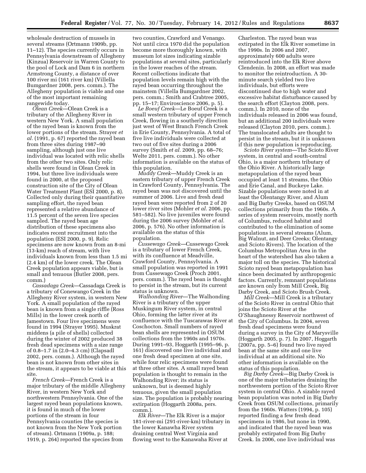wholesale destruction of mussels in several streams (Ortmann 1909b, pp. 11–12). The species currently occurs in Pennsylvania downstream of Allegheny (Kinzua) Reservoir in Warren County to the pool of Lock and Dam 6 in northern Armstrong County, a distance of over 100 river mi (161 river km) (Villella Bumgardner 2008, pers. comm.). The Allegheny population is viable and one of the most important remaining rangewide today.

*Olean Creek*—Olean Creek is a tributary of the Allegheny River in western New York. A small population of the rayed bean is known from the lower portions of the stream. Strayer *et al.* (1991, p. 67) reported the rayed bean from three sites during 1987–90 sampling, although just one live individual was located with relic shells from the other two sites. Only relic shells were found in Olean Creek in 1994, but three live individuals were found in 2000, at the proposed construction site of the City of Olean Water Treatment Plant (ESI 2000, p. 8). Collected only during their quantitative sampling effort, the rayed bean represented a relative abundance of 11.5 percent of the seven live species sampled. The rayed bean age distribution of these specimens also indicates recent recruitment into the population (ESI 2000, p. 9). Relic specimens are now known from an 8-mi (13-km) reach of stream, with live individuals known from less than 1.5 mi (2.4 km) of the lower creek. The Olean Creek population appears viable, but is small and tenuous (Butler 2008, pers. comm.)

*Cassadaga Creek*—Cassadaga Creek is a tributary of Conewango Creek in the Allegheny River system, in western New York. A small population of the rayed bean is known from a single riffle (Ross Mills) in the lower creek north of Jamestown. Four live specimens were found in 1994 (Strayer 1995). Muskrat middens (a pile of shells) collected during the winter of 2002 produced 38 fresh dead specimens with a size range of 0.8–1.7 in (2.0–4.3 cm) (Clapsadl 2002, pers. comm.). Although the rayed bean is not known from other sites in the stream, it appears to be viable at this site.

*French Creek*—French Creek is a major tributary of the middle Allegheny River, in western New York and northwestern Pennsylvania. One of the largest rayed bean populations known, it is found in much of the lower portions of the stream in four Pennsylvania counties (the species is not known from the New York portion of stream). Ortmann (1909a, p. 188; 1919, p. 264) reported the species from

two counties, Crawford and Venango. Not until circa 1970 did the population become more thoroughly known, with museum lot sizes indicating sizable populations at several sites, particularly in the lower reaches of the stream. Recent collections indicate that population levels remain high with the rayed bean occurring throughout the mainstem (Villella Bumgardner 2002, pers. comm.; Smith and Crabtree 2005, pp. 15–17; Enviroscience 2006, p. 5).

*Le Boeuf Creek*—Le Boeuf Creek is a small western tributary of upper French Creek, flowing in a southerly direction just west of West Branch French Creek in Erie County, Pennsylvania. A total of five live individuals were collected at two out of five sites during a 2006 survey (Smith *et al.* 2009, pp. 68–76; Welte 2011, pers. comm.). No other information is available on the status of this population.

*Muddy Creek*—Muddy Creek is an eastern tributary of upper French Creek in Crawford County, Pennsylvania. The rayed bean was not discovered until the summer of 2006. Live and fresh dead rayed bean were reported from 2 of 20 lower river sites (Mohler *et al.* 2006, pp. 581–582). No live juveniles were found during the 2006 survey (Mohler *et al.*  2006, p. 576). No other information is available on the status of this population.

*Cussewago Creek*—Cussewago Creek is a tributary of lower French Creek, with its confluence at Meadville, Crawford County, Pennsylvania. A small population was reported in 1991 from Cussewago Creek (Proch 2001, pers. comm.). The rayed bean is thought to persist in the stream, but its current status is unknown.

*Walhonding River*—The Walhonding River is a tributary of the upper Muskingum River system, in central Ohio, forming the latter river at its confluence with the Tuscarawas River at Coschocton. Small numbers of rayed bean shells are represented in OSUM collections from the 1960s and 1970s. During 1991–93, Hoggarth (1995–96, p. 161) discovered one live individual and one fresh dead specimen at one site, while four relic specimens were found at three other sites. A small rayed bean population is thought to remain in the Walhonding River; its status is unknown, but is deemed highly tenuous, given the small population size. The population is probably nearing extirpation (Hoggarth 2008a, pers. comm.).

*Elk River*—The Elk River is a major 181-river-mi (291-river-km) tributary in the lower Kanawha River system draining central West Virginia and flowing west to the Kanawaha River at

Charleston. The rayed bean was extirpated in the Elk River sometime in the 1990s. In 2006 and 2007, approximately 600 adults were reintroduced into the Elk River above Clendenin. In 2008, an effort was made to monitor the reintroduction. A 30 minute search yielded two live individuals, but efforts were discontinued due to high water and excessive habitat disturbance caused by the search effort (Clayton 2008, pers. comm.). In 2010, none of the individuals released in 2006 was found, but an additional 200 individuals were released (Clayton 2010, pers. comm.). The translocated adults are thought to persist in the stream, but it is unknown if this new population is reproducing.

*Scioto River system*—The Scioto River system, in central and south-central Ohio, is a major northern tributary of the Ohio River. A historically large metapopulation of the rayed bean occupied at least 11 streams, the Ohio and Erie Canal, and Buckeye Lake. Sizable populations were noted in at least the Olentangy River, and Alum and Big Darby Creeks, based on OSUM collections primarily from the 1960s. A series of system reservoirs, mostly north of Columbus, reduced habitat and contributed to the elimination of some populations in several streams (Alum, Big Walnut, and Deer Creeks; Olentangy and Scioto Rivers). The location of the Columbus Metropolitan Area in the heart of the watershed has also taken a major toll on the species. The historical Scioto rayed bean metapopulation has since been decimated by anthropogenic factors. Currently, remnant populations are known only from Mill Creek, Big Darby Creek, and Scioto Brush Creek.

*Mill Creek*—Mill Creek is a tributary of the Scioto River in central Ohio that joins the Scioto River at the O'Shaughnessy Reservoir northwest of the City of Columbus. In 2004, seven fresh dead specimens were found during a survey in the City of Marysville (Hoggarth 2005, p. 7). In 2007, Hoggarth (2007a, pp. 5–6) found two live rayed bean at the same site and one live individual at an additional site. No other information is available on the status of this population.

*Big Darby Creek*—Big Darby Creek is one of the major tributaries draining the northwestern portion of the Scioto River system in central Ohio. A sizable rayed bean population was noted in Big Darby Creek from OSUM collections, primarily from the 1960s. Watters (1994, p. 105) reported finding a few fresh dead specimens in 1986, but none in 1990, and indicated that the rayed bean was probably extirpated from Big Darby Creek. In 2006, one live individual was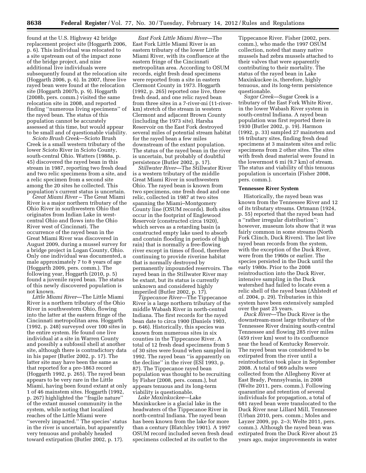found at the U.S. Highway 42 bridge replacement project site (Hoggarth 2006, p. 6). This individual was relocated to a site upstream out of the impact zone of the bridge project, and nine additional live individuals were subsequently found at the relocation site (Hoggarth 2006, p. 6). In 2007, three live rayed bean were found at the relocation site (Hoggarth 2007b, p. 9). Hoggarth (2008b, pers. comm.) visited the same relocation site in 2008, and reported finding ''numerous living specimens'' of the rayed bean. The status of this population cannot be accurately assessed at this time, but would appear to be small and of questionable viability.

*Scioto Brush Creek*—Scioto Brush Creek is a small western tributary of the lower Scioto River in Scioto County, south-central Ohio. Watters (1988a, p. 45) discovered the rayed bean in this stream in 1987, reporting two fresh dead and two relic specimens from a site, and a relic specimen from a second site among the 20 sites he collected. This population's current status is uncertain.

*Great Miami River* – The Great Miami River is a major northern tributary of the Ohio River in southwestern Ohio that originates from Indian Lake in westcentral Ohio and flows into the Ohio River west of Cincinnati. The occurrence of the rayed bean in the Great Miami River was discovered in August 2009, during a mussel survey for a bridge project in Logan County, Ohio. Only one individual was documented, a male approximately 7 to 8 years of age (Hoggarth 2009, pers. comm.). The following year, Hoggarth (2010, p. 5) found a juvenile rayed bean. The status of this newly discovered population is not known.

*Little Miami River*—The Little Miami River is a northern tributary of the Ohio River in southwestern Ohio, flowing into the latter at the eastern fringe of the Cincinnati metropolitan area. Hoggarth (1992, p. 248) surveyed over 100 sites in the entire system. He found one live individual at a site in Warren County and possibly a subfossil shell at another site, although there is contradictory data in his paper (Butler 2002, p. 17). The latter site may have been the same as that reported for a pre-1863 record (Hoggarth 1992, p. 265). The rayed bean appears to be very rare in the Little Miami, having been found extant at only 1 of 46 mainstem sites. Hoggarth (1992, p. 267) highlighted the ''fragile nature'' of the extant mussel community in the system, while noting that localized reaches of the Little Miami were ''severely impacted.'' The species' status in the river is uncertain, but apparently very tenuous and probably headed toward extirpation (Butler 2002, p. 17).

*East Fork Little Miami River*—The East Fork Little Miami River is an eastern tributary of the lower Little Miami River, with its confluence at the eastern fringe of the Cincinnati metropolitan area. According to OSUM records, eight fresh dead specimens were reported from a site in eastern Clermont County in 1973. Hoggarth (1992, p. 265) reported one live, three fresh dead, and one relic rayed bean from three sites in a 7-river-mi (11-riverkm) stretch of the stream in western Clermont and adjacent Brown County (including the 1973 site). Harsha Reservoir on the East Fork destroyed several miles of potential stream habitat for the rayed bean a few miles downstream of the extant population. The status of the rayed bean in the river is uncertain, but probably of doubtful persistence (Butler 2002, p. 17).

*Stillwater River*—The Stillwater River is a western tributary of the middle Great Miami River in southwestern Ohio. The rayed bean is known from two specimens, one fresh dead and one relic, collected in 1987 at two sites spanning the Miami–Montgomery County line (OSUM records). Both sites occur in the footprint of Englewood Reservoir (constructed circa 1920), which serves as a retarding basin (a constructed empty lake used to absorb and contain flooding in periods of high rain) that is normally a free-flowing river except in times of flood, therefore continuing to provide riverine habitat that is normally destroyed by permanently impounded reservoirs. The rayed bean in the Stillwater River may be extant, but its status is currently unknown and considered highly imperiled (Butler 2002, p. 17).

*Tippecanoe River*—The Tippecanoe River is a large northern tributary of the middle Wabash River in north-central Indiana. The first records for the rayed bean date to circa 1900 (Daniels 1903, p. 646). Historically, this species was known from numerous sites in six counties in the Tippecanoe River. A total of 12 fresh dead specimens from 5 of 30 sites were found when sampled in 1992. The rayed bean ''is apparently on the decline'' in the river (ESI 1993, p. 87). The Tippecanoe rayed bean population was thought to be recruiting by Fisher (2008, pers. comm.), but appears tenuous and its long-term viability is questionable.

*Lake Maxinkuckee*—Lake Maxinkuckee is a glacial lake in the headwaters of the Tippecanoe River in north-central Indiana. The rayed bean has been known from the lake for more than a century (Blatchley 1901). A 1997 OSUM record included seven fresh dead specimens collected at its outlet to the

Tippecanoe River. Fisher (2002, pers. comm.), who made the 1997 OSUM collection, noted that many native mussels had zebra mussels attached to their valves that were apparently contributing to their mortality. The status of the rayed bean in Lake Maxinkuckee is, therefore, highly tenuous, and its long-term persistence questionable.

*Sugar Creek*—Sugar Creek is a tributary of the East Fork White River, in the lower Wabash River system in south-central Indiana. A rayed bean population was first reported there in 1930 (Butler 2002, p. 19). Harmon (1992, p. 33) sampled 27 mainstem and 16 tributary sites, finding fresh dead specimens at 3 mainstem sites and relic specimens from 2 other sites. The sites with fresh dead material were found in the lowermost 6 mi (9.7 km) of stream. The status and viability of this tenuous population is uncertain (Fisher 2008, pers. comm.).

#### **Tennessee River System**

Historically, the rayed bean was known from the Tennessee River and 12 of its tributary streams. Ortmann (1924, p. 55) reported that the rayed bean had a ''rather irregular distribution''; however, museum lots show that it was fairly common in some streams (North Fork Clinch, Duck Rivers). The last live rayed bean records from the system, with the exception of the Duck River, were from the 1960s or earlier. The species persisted in the Duck until the early 1980s. Prior to the 2008 reintroduction into the Duck River, intensive sampling in the Duck watershed had failed to locate even a relic shell of the rayed bean (Ahlstedt *et al.* 2004, p. 29). Tributaries in this system have been extensively sampled over the past 25 years.

*Duck River*—The Duck River is the downstream-most large tributary of the Tennessee River draining south-central Tennessee and flowing 285 river miles (459 river km) west to its confluence near the head of Kentucky Reservoir. The rayed bean was considered to be extirpated from the river until a reintroduction took place in September 2008. A total of 969 adults were collected from the Allegheny River at East Brady, Pennsylvania, in 2008 (Welte 2011, pers. comm.). Following quarantine and retention of several individuals for propagation, a total of 681 rayed bean were translocated to the Duck River near Lillard Mill, Tennessee (Urban 2010, pers. comm.; Moles and Layzer 2009, pp. 2–3; Welte 2011, pers. comm.). Although the rayed bean was extirpated from the Duck River about 25 years ago, major improvements in water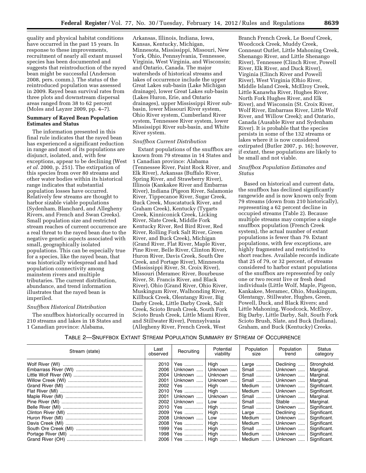quality and physical habitat conditions have occurred in the past 15 years. In response to these improvements, recruitment of nearly all extant mussel species has been documented and suggests that reintroduction of the rayed bean might be successful (Anderson 2008, pers. comm.). The status of the reintroduced population was assessed in 2009. Rayed bean survival rates from three plots and downstream dispersal areas ranged from 38 to 62 percent (Moles and Layzer 2009, pp. 4–7).

# **Summary of Rayed Bean Population Estimates and Status**

The information presented in this final rule indicates that the rayed bean has experienced a significant reduction in range and most of its populations are disjunct, isolated, and, with few exceptions, appear to be declining (West *et al.* 2000, p. 251). The extirpation of this species from over 80 streams and other water bodies within its historical range indicates that substantial population losses have occurred. Relatively few streams are thought to harbor sizable viable populations (Sydenham, Blanchard, and Allegheny Rivers, and French and Swan Creeks). Small population size and restricted stream reaches of current occurrence are a real threat to the rayed bean due to the negative genetic aspects associated with small, geographically isolated populations. This can be especially true for a species, like the rayed bean, that was historically widespread and had population connectivity among mainstem rivers and multiple tributaries. The current distribution, abundance, and trend information illustrates that the rayed bean is imperiled.

#### *Snuffbox Historical Distribution*

The snuffbox historically occurred in 210 streams and lakes in 18 States and 1 Canadian province: Alabama,

Arkansas, Illinois, Indiana, Iowa, Kansas, Kentucky, Michigan, Minnesota, Mississippi, Missouri, New York, Ohio, Pennsylvania, Tennessee, Virginia, West Virginia, and Wisconsin; and Ontario, Canada. The major watersheds of historical streams and lakes of occurrence include the upper Great Lakes sub-basin (Lake Michigan drainage), lower Great Lakes sub-basin (Lakes Huron, Erie, and Ontario drainages), upper Mississippi River subbasin, lower Missouri River system, Ohio River system, Cumberland River system, Tennessee River system, lower Mississippi River sub-basin, and White River system.

#### *Snuffbox Current Distribution*

Extant populations of the snuffbox are known from 79 streams in 14 States and 1 Canadian province: Alabama (Tennessee River, Paint Rock River, and Elk River), Arkansas (Buffalo River, Spring River, and Strawberry River), Illinois (Kankakee River and Embarras River), Indiana (Pigeon River, Salamonie River, Tippecanoe River, Sugar Creek, Buck Creek, Muscatatuck River, and Graham Creek), Kentucky (Tygarts Creek, Kinniconick Creek, Licking River, Slate Creek, Middle Fork Kentucky River, Red Bird River, Red River, Rolling Fork Salt River, Green River, and Buck Creek), Michigan (Grand River, Flat River, Maple River, Pine River, Belle River, Clinton River, Huron River, Davis Creek, South Ore Creek, and Portage River), Minnesota (Mississippi River, St. Croix River), Missouri (Meramec River, Bourbeuse River, St. Francis River, and Black River), Ohio (Grand River, Ohio River, Muskingum River, Walhonding River, Killbuck Creek, Olentangy River, Big Darby Creek, Little Darby Creek, Salt Creek, Scioto Brush Creek, South Fork Scioto Brush Creek, Little Miami River, and Stillwater River), Pennsylvania (Allegheny River, French Creek, West

Branch French Creek, Le Boeuf Creek, Woodcock Creek, Muddy Creek, Conneaut Outlet, Little Mahoning Creek, Shenango River, and Little Shenango River), Tennessee (Clinch River, Powell River, Elk River, and Duck River), Virginia (Clinch River and Powell River), West Virginia (Ohio River, Middle Island Creek, McElroy Creek, Little Kanawha River, Hughes River, North Fork Hughes River, and Elk River), and Wisconsin (St. Croix River, Wolf River, Embarrass River, Little Wolf River, and Willow Creek); and Ontario, Canada (Ausable River and Sydenham River). It is probable that the species persists in some of the 132 streams or lakes where it is now considered extirpated (Butler 2007, p. 16); however, if extant, these populations are likely to be small and not viable.

# *Snuffbox Population Estimates and Status*

Based on historical and current data, the snuffbox has declined significantly rangewide and is now known only from 79 streams (down from 210 historically), representing a 62 percent decline in occupied streams (Table 2). Because multiple streams may comprise a single snuffbox population (French Creek system), the actual number of extant populations is fewer than 79. Extant populations, with few exceptions, are highly fragmented and restricted to short reaches. Available records indicate that 25 of 79, or 32 percent, of streams considered to harbor extant populations of the snuffbox are represented by only one or two recent live or fresh dead individuals (Little Wolf, Maple, Pigeon, Kankakee, Meramec, Ohio, Muskingum, Olentangy, Stillwater, Hughes, Green, Powell, Duck, and Black Rivers; and Little Mahoning, Woodcock, McElroy, Big Darby, Little Darby, Salt, South Fork Scioto Brush, Slate, and Buck (Indiana), Graham, and Buck (Kentucky) Creeks.

# TABLE 2—SNUFFBOX EXTANT STREAM POPULATION SUMMARY BY STREAM OF OCCURRENCE

| Stream (state) | Last<br>observed | Recruiting         | Potential<br>viability | Population<br>size | Population<br>trend | Status<br>category |
|----------------|------------------|--------------------|------------------------|--------------------|---------------------|--------------------|
|                | 2010             | Yes                | High                   | Large              | Declining           | Stronghold.        |
|                | 2006             | Unknown            | Unknown                | Small              | Unknown             | Marginal.          |
|                | 2004             | Unknown            | Unknown                | Small              | Unknown             | Marginal.          |
|                | 2001             | Unknown            | Unknown                | Small              | Unknown             | Marginal.          |
|                | 2002             | Yes                | High                   | Medium             | Unknown             | Significant.       |
|                | 2010             | Yes                | High                   | Medium             | Unknown             | Significant.       |
|                | 2001             | Unknown            | Unknown                | Small              | Unknown             | Marginal.          |
|                | 2002             | Unknown            | Low                    | Small              | Stable              | Marginal.          |
|                | 2010             | Yes                | High                   | Small              | Unknown             | Significant.       |
|                | 2009             | Yes                | High                   | Large              | Declining           | Significant.       |
|                | 2008             | Unknown            | Low                    | Medium             | Unknown             | Significant.       |
|                | 2008             | Yes                | High                   | Medium             | Unknown             | Significant.       |
|                | 1999             | Yes                | High                   | Small              | Unknown             | Significant.       |
|                | 1998             | Yes                | High                   | Medium             | Unknown             | Significant.       |
|                |                  | 2006   Yes    High |                        | Medium             | Unknown             | Significant.       |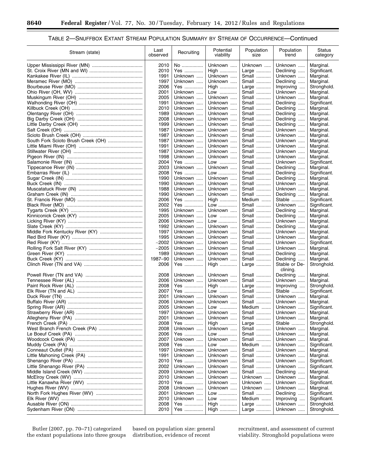۳

# TABLE 2—SNUFFBOX EXTANT STREAM POPULATION SUMMARY BY STREAM OF OCCURRENCE—Continued

| Stream (state)                     | Last<br>observed | Recruiting          | Potential<br>viability | Population<br>size | Population<br>trend    | Status<br>category          |
|------------------------------------|------------------|---------------------|------------------------|--------------------|------------------------|-----------------------------|
|                                    | 2010             | No                  | Unknown                | Unknown            | Unknown                | Marginal.                   |
|                                    | 2010             | Yes                 | High                   | Large              | Declining              | Significant.                |
|                                    | 1991             | Unknown             | Unknown                | Small              | Unknown                | Marginal.                   |
|                                    | 1997             | Unknown             | Unknown                | Small              | Declining              | Marginal.                   |
|                                    | 2006             | Yes                 | High                   | Large              | Improving              | Stronghold.                 |
|                                    | 2001             | Unknown             | Low                    | Small              | Unknown                | Marginal.                   |
|                                    | 2005             | Unknown             | Unknown                | Small              | Unknown                | Marginal.                   |
|                                    | 1991<br>2010     | Unknown<br>Unknown  | Unknown<br>Unknown     | Small<br>Small     | Declining<br>Declining | Significant.<br>Marginal.   |
|                                    | 1989             | Unknown             | Unknown                | Small              | Declining              | Marginal.                   |
|                                    | 2008             | Unknown             | Unknown                | Small              | Declining              | Marginal.                   |
|                                    | 1999             | Unknown             | Unknown                | Small              | Declining              | Marginal.                   |
|                                    | 1987             | Unknown             | Unknown                | Small              | Unknown                | Marginal.                   |
|                                    | 1987             | Unknown             | Unknown                | Small              | Unknown                | Marginal.                   |
| South Fork Scioto Brush Creek (OH) | 1987             | Unknown             | Unknown                | Small              | Unknown                | Marginal.                   |
|                                    | 1991             | Unknown<br>$\cdots$ | Unknown                | Small              | Unknown                | Marginal.                   |
|                                    | 1987             | Unknown             | Unknown                | Small              | Unknown                | Marginal.                   |
|                                    | 1998             | Unknown             | Unknown                | Small              | Unknown                | Marginal.                   |
|                                    | 2004<br>2003     | Yes<br>Unknown      | Low<br>Unknown         | Small<br>Small     | Unknown<br>Declining   | Significant.<br>Marginal.   |
|                                    | 2008             | Yes                 | Low                    | Small              | Declining              | Significant.                |
|                                    | 1990             | Unknown             | Unknown                | Small              | Declining              | Marginal.                   |
|                                    | 1990             | Unknown             | Unknown                | Small              | Unknown                | Marginal.                   |
|                                    | 1988             | Unknown             | Unknown                | Small              | Unknown                | Marginal.                   |
|                                    | 1990             | Unknown             | Unknown                | Small              | Declining              | Marginal.                   |
|                                    | 2006             | Yes                 | High                   | Medium             | Stable                 | Significant.                |
|                                    | 2002             | Yes                 | Low                    | Small              | Unknown                | Significant.                |
|                                    | 1995             | Unknown             | Unknown                | Small              | Declining              | Marginal.                   |
|                                    | 2005             | Unknown             | Low                    | Small              | Declining              | Marginal.                   |
|                                    | 2006<br>1992     | Unknown             | Low                    | Small              | Unknown                | Marginal.                   |
|                                    | 1997             | Unknown<br>Unknown  | Unknown<br>Unknown     | Small<br>Small     | Declining<br>Unknown   | Marginal.<br>Marginal.      |
|                                    | 1995             | Unknown             | Unknown                | Small              | Unknown                | Marginal.                   |
|                                    | $-2002$          | Unknown             | Unknown                | Small              | Unknown                | Significant.                |
|                                    | $-2005$          | Unknown             | Unknown                | Small              | Unknown                | Marginal.                   |
|                                    | 1989             | Unknown             | Unknown                | Small              | Declining              | Marginal.                   |
|                                    | 1987-90          | Unknown             | Unknown                | Small              | Declining              | Marginal.                   |
|                                    | 2006             | Yes                 | High                   | Large              | Stable or De-          | Stronghold.                 |
|                                    |                  |                     |                        |                    | clining.               |                             |
|                                    | 2008             | Unknown             | Unknown                | Small              | Declining              | Marginal.                   |
|                                    | 2006<br>2008     | Unknown             | Unknown                | Small              | Unknown<br>Improving   | Marginal.                   |
|                                    | 2007             | Yes<br>Yes          | High<br>Low            | Large<br>Small     | Stable                 | Stronghold.<br>Significant. |
|                                    | 2001             | Unknown             | Unknown                | Small              | Unknown                | Marginal.                   |
|                                    | 2006             | Unknown             | Unknown                | Small              | Unknown                | Marginal.                   |
|                                    | 2005             | Unknown             | Low                    | Medium             | Unknown                | Significant.                |
|                                    | 1997             | Unknown             | Unknown                | Small              | Unknown                | Marginal.                   |
|                                    | 2001             | Unknown             | Unknown                | Small              | Unknown                | Marginal.                   |
|                                    | 2008             | Yes                 | High                   | Large              | Stable                 | Stronghold.                 |
|                                    | 2008             | Unknown             | Unknown                | Small              | Unknown                | Marginal.                   |
|                                    | 2006             | Yes                 | Low                    | Small              | Unknown                | Marginal.                   |
|                                    | 2007             | Unknown             | Unknown                | Small              | Unknown                | Marginal.                   |
|                                    | 2008<br>1997     | Yes<br>Unknown      | Low<br>Unknown         | Medium<br>Small    | Unknown<br>Unknown     | Significant.<br>Marginal.   |
|                                    | 1991             | Unknown             | Unknown                | Small              | Unknown                | Marginal.                   |
|                                    | 2010             | Yes                 | Unknown                | Small              | Unknown                | Significant.                |
|                                    | 2002             | Unknown             | Unknown                | Small              | Unknown                | Significant.                |
|                                    | 2009             | Unknown             | Unknown                | Small              | Declining              | Marginal.                   |
|                                    | 2010             | Unknown             | Unknown                | Unknown            | Unknown                | Marginal.                   |
|                                    | 2010             | Yes                 | Unknown                | Unknown            | Unknown                | Significant.                |
|                                    | 2008             | Unknown             | Unknown                | Unknown            | Unknown                | Marginal.                   |
|                                    | 2001             | Unknown             | Low                    | Small              | Declining              | Significant.                |
|                                    | 2010             | Unknown             | Low                    | Medium             | Improving              | Significant.                |
|                                    | 2008             | Yes                 | High                   | Large              | Unknown                | Stronghold.                 |
|                                    | 2010             | Yes                 | High                   | Large              | Unknown                | Stronghold.                 |

Butler (2007, pp. 70–71) categorized the extant populations into three groups

based on population size: general distribution, evidence of recent

recruitment, and assessment of current viability. Stronghold populations were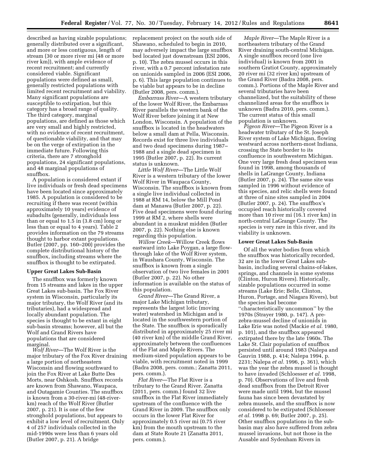described as having sizable populations; generally distributed over a significant, and more or less contiguous, length of stream (30 or more river mi (48 or more river km)), with ample evidence of recent recruitment; and currently considered viable. Significant populations were defined as small, generally restricted populations with limited recent recruitment and viability. Many significant populations are susceptible to extirpation, but this category has a broad range of quality. The third category, marginal populations, are defined as those which are very small and highly restricted, with no evidence of recent recruitment, of questionable viability, and that may be on the verge of extirpation in the immediate future. Following this criteria, there are 7 stronghold populations, 24 significant populations, and 48 marginal populations of snuffbox.

A population is considered extant if live individuals or fresh dead specimens have been located since approximately 1985. A population is considered to be recruiting if there was recent (within approximately 10 years) evidence of subadults (generally, individuals less than or equal to 1.5 in (3.8 cm) long or less than or equal to 4 years). Table 2 provides information on the 79 streams thought to harbor extant populations. Butler (2007, pp. 160–200) provides the complete distributional history of the snuffbox, including streams where the snuffbox is thought to be extirpated.

#### **Upper Great Lakes Sub-Basin**

The snuffbox was formerly known from 15 streams and lakes in the upper Great Lakes sub-basin. The Fox River system in Wisconsin, particularly its major tributary, the Wolf River (and its tributaries), had a widespread and locally abundant population. The species is thought to be extant in eight sub-basin streams; however, all but the Wolf and Grand Rivers have populations that are considered marginal.

*Wolf River*—The Wolf River is the major tributary of the Fox River draining a large portion of northeastern Wisconsin and flowing southward to join the Fox River at Lake Butte Des Morts, near Oshkosh. Snuffbox records are known from Shawano, Waupaca, and Outagamie Counties. The snuffbox is known from a 30-river-mi (48-riverkm) reach of the Wolf River (Butler 2007, p. 21). It is one of the few stronghold populations, but appears to exhibit a low level of recruitment. Only 4 of 257 individuals collected in the mid-1990s were less than 6 years old (Butler 2007, p. 21). A bridge

replacement project on the south side of Shawano, scheduled to begin in 2010, may adversely impact the large snuffbox bed located just downstream (ESI 2006, p. 10). The zebra mussel occurs in this river, with a 0.7 percent infestation rate on unionids sampled in 2006 (ESI 2006, p. 6). This large population continues to be viable but appears to be in decline (Butler 2008, pers. comm.).

*Embarrass River*—A western tributary of the lower Wolf River, the Embarrass River parallels the western bank of the Wolf River before joining it at New London, Wisconsin. A population of the snuffbox is located in the headwaters below a small dam at Pella, Wisconsin. Records exist for three live individuals and two dead specimens during 1987– 1988 and a single dead specimen in 1995 (Butler 2007, p. 22). Its current status is unknown.

*Little Wolf River*—The Little Wolf River is a western tributary of the lower Wolf River in Waupaca County, Wisconsin. The snuffbox is known from a single live individual collected in 1988 at RM 14, below the Mill Pond dam at Manawa (Butler 2007, p. 22). Five dead specimens were found during 1999 at RM 2, where shells were abundant in a muskrat midden (Butler 2007, p. 22). Nothing else is known regarding this population.

*Willow Creek*—Willow Creek flows eastward into Lake Poygan, a large flowthrough lake of the Wolf River system, in Waushara County, Wisconsin. The snuffbox is known from a single observation of two live females in 2001 (Butler 2007, p. 22). No other information is available on the status of this population.

*Grand River*—The Grand River, a major Lake Michigan tributary, represents the largest lotic (moving water) watershed in Michigan and is located in the southwestern portion of the State. The snuffbox is sporadically distributed in approximately 25 river mi (40 river km) of the middle Grand River, approximately between the confluences of the Flat and Maple Rivers. The medium-sized population appears to be viable, with recruitment noted in 1999 (Badra 2008, pers. comm.; Zanatta 2011, pers. comm.).

*Flat River*—The Flat River is a tributary to the Grand River. Zanatta (2011, pers. comm.) found 32 live snuffbox in the Flat River immediately upstream of the confluence with the Grand River in 2009. The snuffbox only occurs in the lower Flat River for approximately 0.5 river mi (0.75 river km) from the mouth upstream to the dam at State Route 21 (Zanatta 2011, pers. comm.).

*Maple River*—The Maple River is a northeastern tributary of the Grand River draining south-central Michigan. A single snuffbox record (one live individual) is known from 2001 in southern Gratiot County, approximately 20 river mi (32 river km) upstream of the Grand River (Badra 2008, pers. comm.). Portions of the Maple River and several tributaries have been channelized, but the suitability of these channelized areas for the snuffbox is unknown (Badra 2010, pers. comm.). The current status of this small population is unknown.

*Pigeon River*—The Pigeon River is a headwater tributary of the St. Joseph River system of Lake Michigan, flowing westward across northern-most Indiana, crossing the State border to its confluence in southwestern Michigan. One very large fresh dead specimen was found in 1998, among thousands of shells in LaGrange County, Indiana (Butler 2007, p. 24). The same site was sampled in 1996 without evidence of this species, and relic shells were found at three of nine sites sampled in 2004 (Butler 2007, p. 24). The snuffbox's occupied reach historically covered more than 10 river mi (16.1 river km) in north-central LaGrange County. The species is very rare in this river, and its viability is unknown.

#### **Lower Great Lakes Sub-Basin**

Of all the water bodies from which the snuffbox was historically recorded, 32 are in the lower Great Lakes subbasin, including several chains-of-lakes, springs, and channels in some systems (Clinton, Huron Rivers). Historically, sizable populations occurred in some streams (Lake Erie; Belle, Clinton, Huron, Portage, and Niagara Rivers), but the species had become ''characteristically uncommon'' by the 1970s (Strayer 1980, p. 147). A prezebra-mussel decline of unionids in Lake Erie was noted (Mackie *et al.* 1980, p. 101), and the snuffbox appeared extirpated there by the late 1960s. The Lake St. Clair population of snuffbox persisted until around 1983 (Nalepa and Gauvin 1988, p. 414; Nalepa 1994, p. 2231; Nalepa *et al.* 1996, p. 361), which was the year the zebra mussel is thought to have invaded (Schloesser *et al.* 1998, p. 70). Observations of live and fresh dead snuffbox from the Detroit River were made until 1994, but the mussel fauna has since been devastated by zebra mussels, and the snuffbox is now considered to be extirpated (Schloesser *et al.* 1998 p. 69; Butler 2007, p. 25). Other snuffbox populations in the subbasin may also have suffered from zebra mussel invasions, but not those in the Ausable and Sydenham Rivers in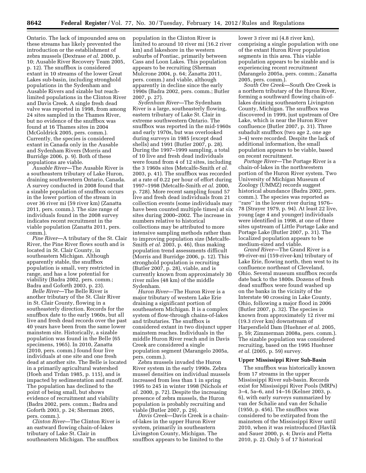Ontario. The lack of impounded area on these streams has likely prevented the introduction or the establishment of zebra mussels (Dextrase *et al.* 2000, p. 10; Ausable River Recovery Team 2005, p. 12). The snuffbox is considered extant in 10 streams of the lower Great Lakes sub-basin, including stronghold populations in the Sydenham and Ausable Rivers and sizable but reachlimited populations in the Clinton River and Davis Creek. A single fresh dead valve was reported in 1998, from among 24 sites sampled in the Thames River, but no evidence of the snuffbox was found at 16 Thames sites in 2004 (McGoldrick 2005, pers. comm.). Currently, the species is considered extant in Canada only in the Ausable and Sydenham Rivers (Morris and Burridge 2006, p. 9). Both of these populations are viable.

*Ausable River*—The Ausable River is a southeastern tributary of Lake Huron, draining southwestern Ontario, Canada. A survey conducted in 2008 found that a sizable population of snuffbox occurs in the lower portion of the stream in over 36 river mi (59 river km) (Zanatta 2011, pers. comm.). The size range of individuals found in the 2008 survey indicates recent recruitment in the viable population (Zanatta 2011, pers. comm.).

*Pine River*—A tributary of the St. Clair River, the Pine River flows south and is located in St. Clair County, in southeastern Michigan. Although apparently stable, the snuffbox population is small, very restricted in range, and has a low potential for viability (Badra 2002, pers. comm.; Badra and Goforth 2003, p. 23).

*Belle River*—The Belle River is another tributary of the St. Clair River in St. Clair County, flowing in a southeasterly direction. Records for the snuffbox date to the early 1960s, but all live and fresh dead records over the past 40 years have been from the same lower mainstem site. Historically, a sizable population was found in the Belle (65 specimens, 1965). In 2010, Zanatta (2010, pers. comm.) found four live individuals at one site and one fresh dead at another site. The Belle is located in a primarily agricultural watershed (Hoeh and Trdan 1985, p. 115), and is impacted by sedimentation and runoff. The population has declined to the point of being small, but shows evidence of recruitment and viability (Badra 2002, pers. comm.; Badra and Goforth 2003, p. 24; Sherman 2005, pers. comm.).

*Clinton River*—The Clinton River is an eastward flowing chain-of-lakes tributary of Lake St. Clair in southeastern Michigan. The snuffbox

population in the Clinton River is limited to around 10 river mi (16.2 river km) and lakeshore in the western suburbs of Pontiac, primarily between Cass and Loon Lakes. This population appears to be recruiting (Sherman Mulcrone 2004, p. 64; Zanatta 2011, pers. comm.) and viable, although apparently in decline since the early 1990s (Badra 2002, pers. comm.; Butler 2007, p. 27).

*Sydenham River*—The Sydenham River is a large, southeasterly flowing, eastern tributary of Lake St. Clair in extreme southwestern Ontario. The snuffbox was reported in the mid-1960s and early 1970s, but was overlooked during surveys in 1985 (except dead shells) and 1991 (Butler 2007, p. 28). During the 1997–1999 sampling, a total of 10 live and fresh dead individuals were found from 4 of 12 sites, including the 3 1960s sites (Metcalfe-Smith *et al.*  2003, p. 41). The snuffbox was recorded at a rate of 0.22 per hour of effort during 1997–1998 (Metcalfe-Smith *et al.* 2000, p. 728). More recent sampling found 57 live and fresh dead individuals from 21 collection events (some individuals may have been counted multiple times) at six sites during 2000–2002. The increase in numbers relative to historical collections may be attributed to more intensive sampling methods rather than to improving population size (Metcalfe-Smith *et al.* 2003, p. 46), thus making population trend assessments difficult (Morris and Burridge 2006, p. 12). This stronghold population is recruiting (Butler 2007, p. 28), viable, and is currently known from approximately 30 river miles (48 km) of the middle Sydenham.

*Huron River*—The Huron River is a major tributary of western Lake Erie draining a significant portion of southeastern Michigan. It is a complex system of flow-through chains-of-lakes and tributaries. The snuffbox is considered extant in two disjunct upper mainstem reaches. Individuals in the middle Huron River reach and in Davis Creek are considered a single population segment (Marangelo 2005a, pers. comm.).

Zebra mussels invaded the Huron River system in the early 1990s. Zebra mussel densities on individual mussels increased from less than 1 in spring 1995 to 245 in winter 1998 (Nichols *et al.* 2000, p. 72). Despite the increasing presence of zebra mussels, the Huron population is probably recruiting and viable (Butler 2007, p. 29).

*Davis Creek*—Davis Creek is a chainof-lakes in the upper Huron River system, primarily in southeastern Livingston County, Michigan. The snuffbox appears to be limited to the

lower 3 river mi (4.8 river km), comprising a single population with one of the extant Huron River population segments in this area. This viable population appears to be sizable and is experiencing recent recruitment (Marangelo 2005a, pers. comm.; Zanatta 2005, pers. comm.).

*South Ore Creek*—South Ore Creek is a northern tributary of the Huron River, forming a southward flowing chain-oflakes draining southeastern Livingston County, Michigan. The snuffbox was discovered in 1999, just upstream of Ore Lake, which is near the Huron River confluence (Butler 2007, p. 31). Three subadult snuffbox (two age 2, one age 3–4) were recorded. Despite the lack of additional information, the small population appears to be viable, based on recent recruitment.

*Portage River*—The Portage River is a chain-of-lakes in the northwestern portion of the Huron River system. Two University of Michigan Museum of Zoology (UMMZ) records suggest historical abundance (Badra 2002, pers. comm.). The species was reported as ''rare'' in the lower river during 1976– 78 (Strayer 1979, p. 94). At least 22 live, young (age 4 and younger) individuals were identified in 1998, at one of three sites upstream of Little Portage Lake and Portage Lake (Butler 2007, p. 31). The localized population appears to be medium-sized and viable.

*Grand River*—The Grand River is a 99-river-mi (159-river-km) tributary of Lake Erie, flowing north, then west to its confluence northeast of Cleveland, Ohio. Several museum snuffbox records date back to the 1800s. Dozens of fresh dead snuffbox were found washed up on the banks in the vicinity of the Interstate 90 crossing in Lake County, Ohio, following a major flood in 2006 (Butler 2007, p. 32). The species is known from approximately 12 river mi (19.3 river km) downstream of Harpersfield Dam (Huehner *et al.* 2005, p. 59; Zimmerman 2008a, pers. comm.). The sizable population was considered recruiting, based on the 1995 Huehner *et al.* (2005, p. 59) survey.

#### **Upper Mississippi River Sub-Basin**

The snuffbox was historically known from 17 streams in the upper Mississippi River sub-basin. Records exist for Mississippi River Pools (MRPs) 3–4, 5a–6, and 14–16 (Kelner 2003, p. 6), with early surveys summarized by van der Schalie and van der Schalie (1950, p. 456). The snuffbox was considered to be extirpated from the mainstem of the Mississippi River until 2010, when it was reintroduced (Havlik and Sauer 2000, p. 4; Davis and Pletta 2010, p. 2). Only 5 of 17 historical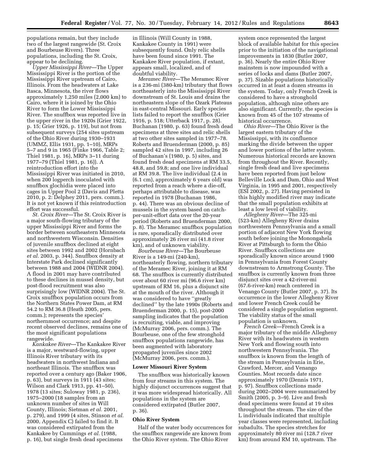populations remain, but they include two of the largest rangewide (St. Croix and Bourbeuse Rivers). Three populations, including the St. Croix, appear to be declining.

*Upper Mississippi River*—The Upper Mississippi River is the portion of the Mississippi River upstream of Cairo, Illinois. From the headwaters at Lake Itasca, Minnesota, the river flows approximately 1,250 miles (2,000 km) to Cairo, where it is joined by the Ohio River to form the Lower Mississippi River. The snuffbox was reported live in the upper river in the 1920s (Grier 1922, p. 15; Grier 1926, p. 119), but not from subsequent surveys (254 sites upstream of the Ohio River during 1930–1931 (UMMZ, Ellis 1931, pp. 1–10), MRPs 5–7 and 9 in 1965 (Finke 1966, Table 2; Thiel 1981, p. 16), MRPs 3–11 during 1977–79 (Thiel 1981, p. 16)). A reintroduction effort into the Mississippi River was initiated in 2010, when 200 logperch inoculated with snuffbox glochidia were placed into cages in Upper Pool 2 (Davis and Pletta 2010, p. 2: Delphey 2011, pers. comm.). It is not yet known if this reintroduction effort was successful.

*St. Croix River*—The St. Croix River is a major south-flowing tributary of the upper Mississippi River and forms the border between southeastern Minnesota and northwestern Wisconsin. Densities of juvenile snuffbox declined at eight sites between 1992 and 2002 (Hornbach *et al.* 2003, p. 344). Snuffbox density at Interstate Park declined significantly between 1988 and 2004 (WIDNR 2004). A flood in 2001 may have contributed to these declines in mussel density, but post-flood recruitment was also surprisingly low (WIDNR 2004). The St. Croix snuffbox population occurs from the Northern States Power Dam, at RM 54.2 to RM 36.8 (Heath 2005, pers. comm.); represents the species' northernmost occurrence; and despite recent observed declines, remains one of the most significant populations rangewide.

*Kankakee River*—The Kankakee River is a major, westward-flowing, upper Illinois River tributary with its headwaters in northwest Indiana and northeast Illinois. The snuffbox was reported over a century ago (Baker 1906, p. 63), but surveys in 1911 (43 sites; Wilson and Clark 1913, pp. 41–50), 1978 (13 sites; Suloway 1981, p. 236), 1975–2000 (18 samples from an unknown number of sites in Will County, Illinois; Sietman *et al.* 2001, p. 279), and 1999 (4 sites, Stinson *et al.*  2000, Appendix C) failed to find it. It was considered extirpated from the Kankakee by Cummings *et al.* (1988, p. 16), but single fresh dead specimens

in Illinois (Will County in 1988, Kankakee County in 1991) were subsequently found. Only relic shells have been found since 1991. The Kankakee River population, if extant, appears small, localized, and of doubtful viability.

*Meramec River*—The Meramec River is a 236-mi (380-km) tributary that flows northeasterly into the Mississippi River downstream of St. Louis and drains the northeastern slope of the Ozark Plateaus in east-central Missouri. Early species lists failed to report the snuffbox (Grier 1916, p. 518; Utterback 1917, p. 28). Buchanan (1980, p. 63) found fresh dead specimens at three sites and relic shells at two other sites sampled in 1977–78. Roberts and Bruenderman (2000, p. 85) sampled 42 sites in 1997, including 26 of Buchanan's (1980, p. 5) sites, and found fresh dead specimens at RM 33.5, 48.8, and 59.8; and one live individual at RM 39.8. The live individual (2.4 in (6.1 cm), approximately 6 years old) was reported from a reach where a die-off, perhaps attributable to disease, was reported in 1978 (Buchanan 1986, p. 44). There was an obvious decline of mussels in the system based on catchper-unit-effort data over the 20-year period (Roberts and Bruenderman 2000, p. 8). The Meramec snuffbox population is rare, sporadically distributed over approximately 26 river mi (41.8 river km), and of unknown viability.

*Bourbeuse River*—The Bourbeuse River is a 149-mi (240-km), northeasterly flowing, northern tributary of the Meramec River, joining it at RM 68. The snuffbox is currently distributed over about 60 river mi (96.6 river km) upstream of RM 16, plus a disjunct site at the mouth of the river. Although it was considered to have ''greatly declined'' by the late 1990s (Roberts and Bruenderman 2000, p. 15), post-2000 sampling indicates that the population is recruiting, viable, and improving (McMurray 2006, pers. comm.). The Bourbeuse, one of the few stronghold snuffbox populations rangewide, has been augmented with laboratory propagated juveniles since 2002 (McMurray 2006, pers. comm.).

#### **Lower Missouri River System**

The snuffbox was historically known from four streams in this system. The highly disjunct occurrences suggest that it was more widespread historically. All populations in the system are considered extirpated (Butler 2007, p. 36).

#### **Ohio River System**

Half of the water body occurrences for the snuffbox rangewide are known from the Ohio River system. The Ohio River

system once represented the largest block of available habitat for this species prior to the initiation of the navigational improvements in 1830 (Butler 2007, p. 36). Nearly the entire Ohio River mainstem is now impounded with a series of locks and dams (Butler 2007, p. 37). Sizable populations historically occurred in at least a dozen streams in the system. Today, only French Creek is considered to have a stronghold population, although nine others are also significant. Currently, the species is known from 45 of the 107 streams of historical occurrence.

*Ohio River*—The Ohio River is the largest eastern tributary of the Mississippi, with its confluence marking the divide between the upper and lower portions of the latter system. Numerous historical records are known from throughout the River. Recently, single fresh dead and live specimens have been reported from just below Belleville Lock and Dam, Ohio and West Virginia, in 1995 and 2001, respectively (ESI 2002, p. 27). Having persisted in this highly modified river may indicate that the small population exhibits at least a low level of viability.

*Allegheny River*—The 325-mi (523-km) Allegheny River drains northwestern Pennsylvania and a small portion of adjacent New York flowing south before joining the Monongahela River at Pittsburgh to form the Ohio River. Snuffbox collections are sporadically known since around 1900 in Pennsylvania from Forest County downstream to Armstrong County. The snuffbox is currently known from three disjunct sites over a 42-river-mi (67.6-river-km) reach centered in Venango County (Butler 2007, p. 37). Its occurrence in the lower Allegheny River and lower French Creek could be considered a single population segment. The viability status of the small population is unknown.

*French Creek*—French Creek is a major tributary of the middle Allegheny River with its headwaters in western New York and flowing south into northwestern Pennsylvania. The snuffbox is known from the length of the stream in Pennsylvania in Erie, Crawford, Mercer, and Venango Counties. Most records date since approximately 1970 (Dennis 1971, p. 97). Snuffbox collections made during 2002–2004 were summarized by Smith (2005, p. 3–9). Live and fresh dead specimens were found at 19 sites throughout the stream. The size of the L individuals indicated that multiple year classes were represented, including subadults. The species stretches for approximately 80 river mi (128.7 river km) from around RM 10, upstream. The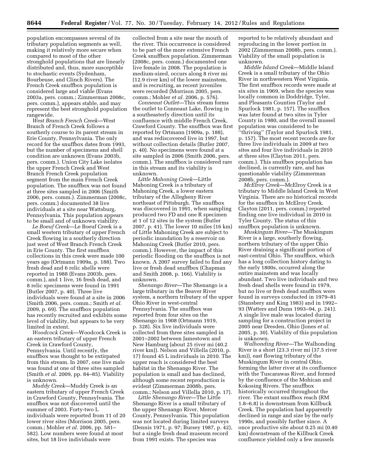population encompasses several of its tributary population segments as well, making it relatively more secure when compared to most of the other stronghold populations that are linearly distributed and, thus, more susceptible to stochastic events (Sydenham, Bourbeuse, and Clinch Rivers). The French Creek snuffbox population is considered large and viable (Evans 2003a, pers. comm.; Zimmerman 2008c, pers. comm.), appears stable, and may represent the best stronghold population rangewide.

*West Branch French Creek*—West Branch of French Creek follows a southerly course to its parent stream in Erie County, Pennsylvania. The only record for the snuffbox dates from 1993, but the number of specimens and shell condition are unknown (Evans 2003b, pers. comm.). Union City Lake isolates the upper French Creek and West Branch French Creek population segment from the main French Creek population. The snuffbox was not found at three sites sampled in 2006 (Smith 2006, pers. comm.). Zimmerman (2008c, pers. comm.) documented 38 live individuals at a site near Wattsburg, Pennsylvania. This population appears to be small and of unknown viability.

*Le Boeuf Creek*—Le Boeuf Creek is a small western tributary of upper French Creek flowing in a southerly direction just west of West Branch French Creek in Erie County. The first snuffbox collections in this creek were made 100 years ago (Ortmann 1909a, p. 188). Two fresh dead and 6 relic shells were reported in 1988 (Evans 2003b, pers. comm.), and 1 live, 16 fresh dead, and 8 relic specimens were found in 1991 (Butler 2007, p. 40). Three live individuals were found at a site in 2006 (Smith 2006, pers. comm.; Smith *et al.*  2009, p. 69). The snuffbox population has recently recruited and exhibits some level of viability, but appears to be very limited in extent.

*Woodcock Creek*—Woodcock Creek is an eastern tributary of upper French Creek in Crawford County, Pennsylvania. Until recently, the snuffbox was thought to be extirpated from this stream. In 2007, one live male was found at one of three sites sampled (Smith *et al.* 2009, pp. 84–85). Viability is unknown.

*Muddy Creek*—Muddy Creek is an eastern tributary of upper French Creek in Crawford County, Pennsylvania. The snuffbox was not discovered until the summer of 2003. Forty-two L individuals were reported from 11 of 20 lower river sites (Morrison 2005, pers. comm.; Mohler *et al.* 2006, pp. 581– 582). Low numbers were found at most sites, but 18 live individuals were

collected from a site near the mouth of the river. This occurrence is considered to be part of the more extensive French Creek snuffbox population. Zimmerman (2008c, pers. comm.) documented one live female in 2008. The population is medium-sized, occurs along 8 river mi (12.9 river km) of the lower mainstem, and is recruiting, as recent juveniles were recorded (Morrison 2005, pers. comm.; Mohler *et al.* 2006, p. 576).

*Conneaut Outlet*—This stream forms the outlet to Conneaut Lake, flowing in a southeasterly direction until its confluence with middle French Creek, Crawford County. The snuffbox was first reported by Ortmann (1909a, p. 188), and was rediscovered live in 1997, but without collection details (Butler 2007, p. 40). No specimens were found at a site sampled in 2006 (Smith 2006, pers. comm.). The snuffbox is considered rare in this stream and its viability is unknown.

*Little Mahoning Creek*—Little Mahoning Creek is a tributary of Mahoning Creek, a lower eastern tributary of the Allegheny River northeast of Pittsburgh. The snuffbox was discovered in 1991, when sampling produced two FD and one R specimen at 1 of 12 sites in the system (Butler 2007, p. 41). The lower 10 miles (16 km) of Little Mahoning Creek are subject to periodic inundation by a reservoir on Mahoning Creek (Butler 2010, pers. comm.). However, the impact of this periodic flooding on the snuffbox is not known. A 2007 survey failed to find any live or fresh dead snuffbox (Chapman and Smith 2008, p. 166). Viability is unknown.

*Shenango River*—The Shenango is a large tributary in the Beaver River system, a northern tributary of the upper Ohio River in west-central Pennsylvania. The snuffbox was reported from four sites on the Shenango in 1908 (Ortmann 1919, p. 328). Six live individuals were collected from three sites sampled in 2001–2002 between Jamestown and New Hamburg (about 25 river mi (40.2 river km)). Nelson and Villella (2010, p. 17) found 45 L individuals in 2010. The upper reach is considered the best habitat in the Shenango River. The population is small and has declined, although some recent reproduction is evident (Zimmerman 2008b, pers. comm.; Nelson and Villella 2010, p. 17).

*Little Shenango River*—The Little Shenango River is a small tributary of the upper Shenango River, Mercer County, Pennsylvania. This population was not located during limited surveys (Dennis 1971, p. 97; Bursey 1987, p. 42), but a single fresh dead museum record from 1991 exists. The species was

reported to be relatively abundant and reproducing in the lower portion in 2002 (Zimmerman 2008b, pers. comm.). Viability of the small population is unknown.

*Middle Island Creek*—Middle Island Creek is a small tributary of the Ohio River in northwestern West Virginia. The first snuffbox records were made at six sites in 1969, when the species was locally common in Doddridge, Tyler, and Pleasants Counties (Taylor and Spurlock 1981, p. 157). The snuffbox was later found at two sites in Tyler County in 1980, and the overall mussel population was considered to be ''thriving'' (Taylor and Spurlock 1981, p. 157). The most recent records are for three live individuals in 2009 at two sites and four live individuals in 2010 at three sites (Clayton 2011, pers. comm.). This snuffbox population has declined, is currently rare, and has questionable viability (Zimmerman 2008b, pers. comm.).

*McElroy Creek*—McElroy Creek is a tributary to Middle Island Creek in West Virginia. There are no historical records for the snuffbox in McElroy Creek. Clayton (2011, pers. comm.) reported finding one live individual in 2010 in Tyler County. The status of this snuffbox population is unknown.

*Muskingum River*—The Muskingum River is a large, southerly flowing, northern tributary of the upper Ohio River draining a significant portion of east-central Ohio. The snuffbox, which has a long collection history dating to the early 1800s, occurred along the entire mainstem and was locally abundant. Two live individuals and two fresh dead shells were found in 1979, but no live or fresh dead snuffbox were found in surveys conducted in 1979–81 (Stansbery and King 1983) and in 1992– 93 (Watters and Dunn 1993–94, p. 241). A single live male was located during sampling for a construction project in 2005 near Dresden, Ohio (Jones *et al.*  2005, p. 30). Viability of this population is unknown.

*Walhonding River*—The Walhonding River is a short (23.3 river mi (37.5 river km)), east flowing tributary of the Muskingum River in central Ohio, forming the latter river at its confluence with the Tuscarawas River, and formed by the confluence of the Mohican and Kokosing Rivers. The snuffbox historically occurred throughout the river. The extant snuffbox reach (RM 1.8–6.8) is downstream from Killbuck Creek. The population had apparently declined in range and size by the early 1990s, and possibly further since. A once productive site about 0.25 mi (0.40 km) downstream of the Killbuck Creek confluence yielded only a few mussels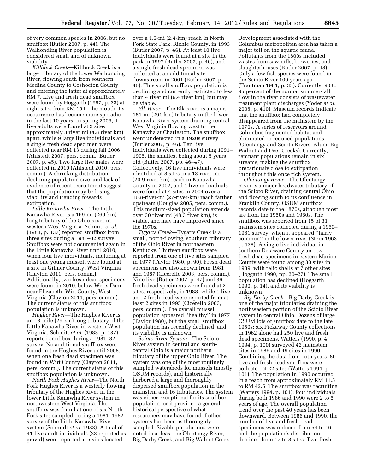of very common species in 2006, but no snuffbox (Butler 2007, p. 44). The Walhonding River population is considered small and of unknown viability.

*Killbuck Creek*—Killbuck Creek is a large tributary of the lower Walhonding River, flowing south from southern Medina County to Coshocton County and entering the latter at approximately RM 7. Live and fresh dead snuffbox were found by Hoggarth (1997, p. 33) at eight sites from RM 15 to the mouth. Its occurrence has become more sporadic in the last 10 years. In spring 2006, 4 live adults were found at 2 sites approximately 3 river mi (4.8 river km) apart, while 9 large live individuals and a single fresh dead specimen were collected near RM 13 during fall 2006 (Ahlstedt 2007, pers. comm.; Butler 2007, p. 45). Two large live males were collected in 2010 (Ahlstedt 2010, pers. comm.). A shrinking distribution, declining population size, and lack of evidence of recent recruitment suggest that the population may be losing viability and trending towards extirpation.

*Little Kanawha River*—The Little Kanawha River is a 169-mi (269-km) long tributary of the Ohio River in western West Virginia. Schmitt *et al.*  (1983, p. 137) reported snuffbox from three sites during a 1981–82 survey. Snuffbox were not documented again in the Little Kanawha River until 2010, when four live individuals, including at least one young mussel, were found at a site in Gilmer County, West Virginia (Clayton 2011, pers. comm.). Additionally, two fresh dead specimens were found in 2010, below Wells Dam near Elizabeth, Wirt County, West Virginia (Clayton 2011, pers. comm.). The current status of this snuffbox population is unknown.

*Hughes River*—The Hughes River is an 18-mile (29-km) long tributary of the Little Kanawha River in western West Virginia. Schmitt *et al.* (1983, p. 137) reported snuffbox during a 1981–82 survey. No additional snuffbox were found in the Hughes River until 2008, when one fresh dead specimen was found in Wirt County (Clayton 2011, pers. comm.). The current status of this snuffbox population is unknown.

*North Fork Hughes River*—The North Fork Hughes River is a westerly flowing tributary of the Hughes River in the lower Little Kanawha River system in northwestern West Virginia. The snuffbox was found at one of six North Fork sites sampled during a 1981–1982 survey of the Little Kanawha River system (Schmidt *et al.* 1983). A total of 41 live adult individuals (23 reported as gravid) were reported at 5 sites located

over a 1.5-mi (2.4-km) reach in North Fork State Park, Richie County, in 1993 (Butler 2007, p. 46). At least 10 live individuals were found at a site in the park in 1997 (Butler 2007, p. 46), and a single fresh dead specimen was collected at an additional site downstream in 2001 (Butler 2007, p. 46). This small snuffbox population is declining and currently restricted to less than 4 river mi (6.4 river km), but may be viable.

*Elk River*—The Elk River is a major, 181-mi (291-km) tributary in the lower Kanawha River system draining central West Virginia flowing west to the Kanawha at Charleston. The snuffbox went undetected in a 1920s survey (Butler 2007, p. 46). Ten live individuals were collected during 1991– 1995, the smallest being about 5 years old (Butler 2007, pp. 46–47). Collectively, 16 live individuals were identified at 8 sites in a 13-river-mi (20.9-river-km) reach in Kanawha County in 2002, and 4 live individuals were found at 4 sites in 2004 over a 16.8-river-mi (27-river-km) reach farther upstream (Douglas 2005, pers. comm.). This medium-sized population extends over 30 river mi (48.3 river km), is viable, and may have improved since the 1970s.

*Tygarts Creek*—Tygarts Creek is a small, north-flowing, southern tributary of the Ohio River in northeastern Kentucky. Thirteen snuffbox were reported from one of five sites sampled in 1977 (Taylor 1980, p. 90). Fresh dead specimens are also known from 1981 and 1987 (Cicerello 2003, pers. comm.). Nine live (Butler 2007, p. 47) and 36 fresh dead specimens were found at 2 sites, respectively, in 1988, while 1 live and 2 fresh dead were reported from at least 2 sites in 1995 (Cicerello 2003, pers. comm.). The overall mussel population appeared ''healthy'' in 1977 (Taylor 1980), but the small snuffbox population has recently declined, and its viability is unknown.

*Scioto River System*—The Scioto River system in central and southcentral Ohio is a major northern tributary of the upper Ohio River. The system was one of the most routinely sampled watersheds for mussels (mostly OSUM records), and historically harbored a large and thoroughly dispersed snuffbox population in the mainstem and 16 tributaries. The system was either exceptional for its snuffbox population, or it provided a general historical perspective of what researchers may have found if other systems had been as thoroughly sampled. Sizable populations were noted in at least the Olentangy River, Big Darby Creek, and Big Walnut Creek.

Development associated with the Columbus metropolitan area has taken a major toll on the aquatic fauna. Pollutants from the 1800s included wastes from sawmills, breweries, and slaughterhouses (Butler 2007, p. 48). Only a few fish species were found in the Scioto River 100 years ago (Trautman 1981, p. 33). Currently, 90 to 95 percent of the normal summer-fall flow in the river consists of wastewater treatment plant discharges (Yoder *et al.*  2005, p. 410). Museum records indicate that the snuffbox had completely disappeared from the mainstem by the 1970s. A series of reservoirs around Columbus fragmented habitat and eliminated or reduced populations (Olentangy and Scioto Rivers; Alum, Big Walnut and Deer Creeks). Currently, remnant populations remain in six streams, making the snuffbox precariously close to extirpation throughout this once rich system.

*Olentangy River*—The Olentangy River is a major headwater tributary of the Scioto River, draining central Ohio and flowing south to its confluence in Franklin County. OSUM snuffbox records date to the 1870s, although most are from the 1950s and 1960s. The snuffbox was reported from 15 of 31 mainstem sites collected during a 1960– 1961 survey, when it appeared ''fairly common'' in the lower river (Stein 1963, p. 138). A single live individual in southern Delaware County and two fresh dead specimens in eastern Marion County were found among 30 sites in 1989, with relic shells at 7 other sites (Hoggarth 1990, pp. 20–27). The small population has declined (Hoggarth 1990, p. 14), and its viability is unknown.

*Big Darby Creek*—Big Darby Creek is one of the major tributaries draining the northwestern portion of the Scioto River system in central Ohio. Dozens of large OSUM lots of snuffbox date to the late 1950s; six Pickaway County collections in 1962 alone had 250 live and fresh dead specimens. Watters (1990, p. 4; 1994, p. 100) surveyed 42 mainstem sites in 1986 and 49 sites in 1990. Combining the data from both years, 80 live and fresh dead snuffbox were collected at 22 sites (Watters 1994, p. 101). The population in 1990 occurred in a reach from approximately RM 11.5 to RM 42.5. The snuffbox was recruiting (Watters 1994, p. 101); four individuals during both 1986 and 1990 were 2 to 5 years of age. The overall population trend over the past 40 years has been downward. Between 1986 and 1990, the number of live and fresh dead specimens was reduced from 54 to 16, and the population's distribution declined from 17 to 8 sites. Two fresh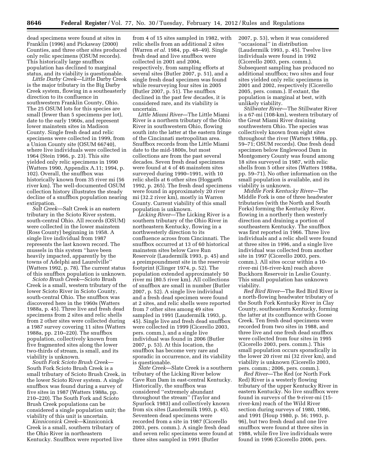dead specimens were found at sites in Franklin (1996) and Pickaway (2000) Counties, and three other sites produced only relic specimens (OSUM records). This historically large snuffbox population has declined to marginal status, and its viability is questionable.

*Little Darby Creek*—Little Darby Creek is the major tributary in the Big Darby Creek system, flowing in a southeasterly direction to its confluence in southwestern Franklin County, Ohio. The 25 OSUM lots for this species are small (fewer than 5 specimens per lot), date to the early 1960s, and represent lower mainstem sites in Madison County. Single fresh dead and relic specimens were collected in 1999, from a Union County site (OSUM 66740), where live individuals were collected in 1964 (Stein 1966, p. 23). This site yielded only relic specimens in 1990 (Watters 1990, Appendix A.11; 1994, p. 102). Overall, the snuffbox was historically known from 35 river mi (56 river km). The well-documented OSUM collection history illustrates the steady decline of a snuffbox population nearing extirpation.

*Salt Creek*—Salt Creek is an eastern tributary in the Scioto River system, south-central Ohio. All records (OSUM) were collected in the lower mainstem (Ross County) beginning in 1958. A single live individual from 1987 represents the last known record. The mussels in this system ''have been heavily impacted, apparently by the towns of Adelphi and Laurelville'' (Watters 1992, p. 78). The current status of this snuffbox population is unknown.

*Scioto Brush Creek*—Scioto Brush Creek is a small, western tributary of the lower Scioto River in Scioto County, south-central Ohio. The snuffbox was discovered here in the 1960s (Watters 1988a, p. 45). Three live and fresh dead specimens from 2 sites and relic shells from 2 other sites were collected during a 1987 survey covering 11 sites (Watters 1988a, pp. 210–220). The snuffbox population, collectively known from five fragmented sites along the lower two-thirds of stream, is small, and its viability is unknown.

*South Fork Scioto Brush Creek*— South Fork Scioto Brush Creek is a small tributary of Scioto Brush Creek, in the lower Scioto River system. A single snuffbox was found during a survey of five sites in 1987 (Watters 1988a, pp. 210–220). The South Fork and Scioto Brush Creek populations can be considered a single population unit; the viability of this unit is uncertain.

*Kinniconick Creek*—Kinniconick Creek is a small, southern tributary of the Ohio River in northeastern Kentucky. Snuffbox were reported live from 4 of 15 sites sampled in 1982, with relic shells from an additional 2 sites (Warren *et al.* 1984, pp. 48–49). Single fresh dead and live snuffbox were collected in 2001 and 2004, respectively, from sampling efforts at several sites (Butler 2007, p. 51), and a single fresh dead specimen was found while resurveying four sites in 2005 (Butler 2007, p. 51). The snuffbox declined in the past few decades, it is considered rare, and its viability is uncertain.

*Little Miami River*—The Little Miami River is a northern tributary of the Ohio River in southwestern Ohio, flowing south into the latter at the eastern fringe of the Cincinnati metropolitan area. Snuffbox records from the Little Miami date to the mid-1800s, but most collections are from the past several decades. Seven fresh dead specimens were found at 4 of 46 mainstem sites surveyed during 1990–1991, with 10 relic shells at 6 other sites (Hoggarth 1992, p. 265). The fresh dead specimens were found in approximately 20 river mi (32.2 river km), mostly in Warren County. Current viability of this small population is unknown.

*Licking River*—The Licking River is a southern tributary of the Ohio River in northeastern Kentucky, flowing in a northwesterly direction to its confluence across from Cincinnati. The snuffbox occurred at 13 of 60 historical mainstem sites below Cave Run Reservoir (Laudermilk 1993, p. 45) and a preimpoundment site in the reservoir footprint (Clinger 1974, p. 52). The population extended approximately 50 river mi (80.5 river km). All collections of snuffbox are small in number (Butler 2007, p. 52). A single live individual and a fresh dead specimen were found at 2 sites, and relic shells were reported from 7 other sites among 49 sites sampled in 1991 (Laudermilk 1993, p. 45). Single live and fresh dead snuffbox were collected in 1999 (Cicerello 2003, pers. comm.), and a single live individual was found in 2006 (Butler 2007, p. 53). At this location, the snuffbox has become very rare and sporadic in occurrence, and its viability is questionable.

*Slate Creek*—Slate Creek is a southern tributary of the Licking River below Cave Run Dam in east-central Kentucky. Historically, the snuffbox was considered ''extremely abundant throughout the stream'' (Taylor and Spurlock 1983) and collectively known from six sites (Laudermilk 1993, p. 45). Seventeen dead specimens were recorded from a site in 1987 (Cicerello 2003, pers. comm.). A single fresh dead and seven relic specimens were found at three sites sampled in 1991 (Butler

2007, p. 53), when it was considered ''occasional'' in distribution (Laudermilk 1993, p. 45). Twelve live individuals were found in 1992 (Cicerello 2003, pers. comm.). Subsequent sampling has produced no additional snuffbox; two sites and four sites yielded only relic specimens in 2001 and 2002, respectively (Cicerello 2005, pers. comm.). If extant, the population is marginal at best, with unlikely viability.

*Stillwater River*—The Stillwater River is a 67-mi (108-km), western tributary of the Great Miami River draining southwestern Ohio. The species was collectively known from eight sites throughout the river (Watters 1988a, pp. 59–71; OSUM records). One fresh dead specimen below Englewood Dam in Montgomery County was found among 18 sites surveyed in 1987, with relic shells from 5 other sites (Watters 1988a, pp. 59–71). No other information on the small population is available, and its viability is unknown.

*Middle Fork Kentucky River*—The Middle Fork is one of three headwater tributaries (with the North and South Forks) forming the Kentucky River, flowing in a northerly then westerly direction and draining a portion of southeastern Kentucky. The snuffbox was first reported in 1966. Three live individuals and a relic shell were found at three sites in 1996, and a single live individual was collected from another site in 1997 (Cicerello 2003, pers. comm.). All sites occur within a 10 river-mi (16-river-km) reach above Buckhorn Reservoir in Leslie County. This small population has unknown viability.

*Red Bird River*—The Red Bird River is a north-flowing headwater tributary of the South Fork Kentucky River in Clay County, southeastern Kentucky, forming the latter at its confluence with Goose Creek. Ten fresh dead specimens were recorded from two sites in 1988, and three live and one fresh dead snuffbox were collected from four sites in 1995 (Cicerello 2003, pers. comm.). This small population occurs sporadically in the lower 20 river mi (32 river km), and viability is unknown (Cicerello 2003, pers. comm.; 2006, pers. comm.).

*Red River*—The Red (or North Fork Red) River is a westerly flowing tributary of the upper Kentucky River in eastern Kentucky. No live snuffbox were found in surveys of the 9-river-mi (15 river-km) reach of the Wild River section during surveys of 1980, 1986, and 1991 (Houp 1980, p. 56; 1993, p. 96), but two fresh dead and one live snuffbox were found at three sites in 1988, while five live individuals were found in 1996 (Cicerello 2006, pers.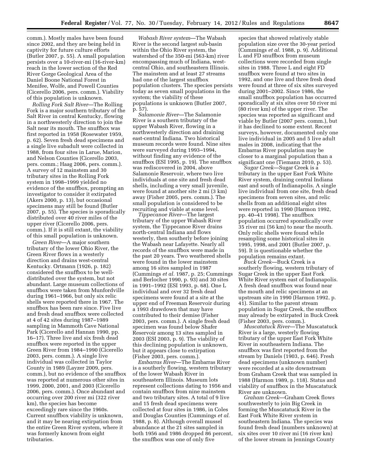comm.). Mostly males have been found since 2002, and they are being held in captivity for future culture efforts (Butler 2007, p. 55). A small population persists over a 10-river-mi (16-river-km) reach in the lower section of the Red River Gorge Geological Area of the Daniel Boone National Forest in Menifee, Wolfe, and Powell Counties (Cicerello 2006, pers. comm.). Viability of this population is unknown.

*Rolling Fork Salt River*—The Rolling Fork is a major southern tributary of the Salt River in central Kentucky, flowing in a northwesterly direction to join the Salt near its mouth. The snuffbox was first reported in 1958 (Rosewater 1959, p. 62). Seven fresh dead specimens and a single live subadult were collected in 1988, from four sites in Larue, Marion, and Nelson Counties (Cicerello 2003, pers. comm.; Haag 2006, pers. comm.). A survey of 12 mainstem and 30 tributary sites in the Rolling Fork system in 1998–1999 yielded no evidence of the snuffbox, prompting an investigator to consider it extirpated (Akers 2000, p. 13), but occasional specimens may still be found (Butler 2007, p. 55). The species is sporadically distributed over 40 river miles of the upper river (Cicerello 2006, pers. comm.). If it is still extant, the viability of this small population is unknown.

*Green River*—A major southern tributary of the lower Ohio River, the Green River flows in a westerly direction and drains west-central Kentucky. Ortmann (1926, p. 182) considered the snuffbox to be welldistributed over the system, but not abundant. Large museum collections of snuffbox were taken from Munfordville during 1961–1966, but only six relic shells were reported there in 1967. The snuffbox has been rare since. Five live and fresh dead snuffbox were collected at 4 of 42 sites during 1987–1989 sampling in Mammoth Cave National Park (Cicerello and Hannan 1990, pp. 16–17). Three live and six fresh dead snuffbox were reported in the upper Green River from 1984–1990 (Cicerello 2003, pers. comm.). A single live individual was collected in Taylor County in 1989 (Layzer 2009, pers. comm.), but no evidence of the snuffbox was reported at numerous other sites in 1999, 2000, 2001, and 2003 (Cicerello 2006, pers. comm.). Once abundant and occurring over 200 river mi (322 river km), the species has become exceedingly rare since the 1960s. Current snuffbox viability is unknown, and it may be nearing extirpation from the entire Green River system, where it was formerly known from eight tributaries.

*Wabash River system*—The Wabash River is the second largest sub-basin within the Ohio River system, the watershed of the 350-mi (563-km) river encompassing much of Indiana, westcentral Ohio, and southeastern Illinois. The mainstem and at least 27 streams had one of the largest snuffbox population clusters. The species persists today as seven small populations in the system; the viability of these populations is unknown (Butler 2007, p. 57).

*Salamonie River*—The Salamonie River is a southern tributary of the upper Wabash River, flowing in a northwesterly direction and draining east-central Indiana. Two historical museum records were found. Nine sites were surveyed during 1993–1994, without finding any evidence of the snuffbox (ESI 1995, p. 19). The snuffbox was rediscovered in 2004, above Salamonie Reservoir, where two live individuals at one site and fresh dead shells, including a very small juvenile, were found at another site 2 mi (3 km) away (Fisher 2005, pers. comm.). The small population is considered to be recruiting and viable at some level.

*Tippecanoe River*—The largest tributary of the upper Wabash River system, the Tippecanoe River drains north-central Indiana and flows westerly, then southerly before joining the Wabash near Lafayette. Nearly all records of the snuffbox were made in the past 20 years. Two weathered shells were found in the lower mainstem among 16 sites sampled in 1987 (Cummings *et al.* 1987, p. 25; Cummings and Berlocher 1990, p. 93) and 30 sites in 1991–1992 (ESI 1993, p. 68). One L individual and over 32 fresh dead specimens were found at a site at the upper end of Freeman Reservoir during a 1993 drawdown that may have contributed to their demise (Fisher 2003, pers. comm.). A single fresh dead specimen was found below Shafer Reservoir among 13 sites sampled in 2003 (ESI 2003, p. 9). The viability of this declining population is unknown, but it appears close to extirpation (Fisher 2003, pers. comm.).

*Embarras River*—The Embarras River is a southerly flowing, western tributary of the lower Wabash River in southeastern Illinois. Museum lots represent collections dating to 1956 and contain snuffbox from nine mainstem and two tributary sites. A total of 9 live and 15 fresh dead specimens were collected at four sites in 1986, in Coles and Douglas Counties (Cummings *et al.*  1988, p. 8). Although overall mussel abundance at the 21 sites sampled in both 1956 and 1986 dropped 86 percent, the snuffbox was one of only five

species that showed relatively stable population size over the 30-year period (Cummings *et al.* 1988, p. 9). Additional L and FD snuffbox from museum collections were recorded from single sites in 1988. Three L and eight FD snuffbox were found at two sites in 1992, and one live and three fresh dead were found at three of six sites surveyed during 2001–2002. Since 1986, the small snuffbox population has occurred sporadically at six sites over 50 river mi (80 river km) of the upper river. The species was reported as significant and viable by Butler (2007 pers. comm.), but it has declined to some extent. Recent surveys, however, documented only one live individual in 2005 and 5 live adult males in 2008, indicating that the Embarras River population may be closer to a marginal population than a significant one (Tiemann 2010, p. 53).

*Sugar Creek*—Sugar Creek is a tributary in the upper East Fork White River system, draining central Indiana east and south of Indianapolis. A single live individual from one site, fresh dead specimens from seven sites, and relic shells from an additional eight sites were reported in 1990 (Harmon 1992, pp. 40–41 1998). The snuffbox population occurred sporadically over 35 river mi (56 km) to near the mouth. Only relic shells were found while resampling some historical sites in 1995, 1998, and 2001 (Butler 2007, p. 59). It is questionable whether the population remains extant.

*Buck Creek*—Buck Creek is a southerly flowing, western tributary of Sugar Creek in the upper East Fork White River system east of Indianapolis. A fresh dead snuffbox was found near the mouth and relic specimens at an upstream site in 1990 (Harmon 1992, p. 41). Similar to the parent stream population in Sugar Creek, the snuffbox may already be extirpated in Buck Creek (Fisher 2003, pers. comm.).

*Muscatatuck River*—The Muscatatuck River is a large, westerly flowing tributary of the upper East Fork White River in southeastern Indiana. The snuffbox was first reported from the stream by Daniels (1903, p. 646). Fresh dead specimens (unknown number) were recorded at a site downstream from Graham Creek that was sampled in 1988 (Harmon 1989, p. 118). Status and viability of snuffbox in the Muscatatuck River are unknown.

*Graham Creek*—Graham Creek flows southwesterly to join Big Creek in forming the Muscatatuck River in the East Fork White River system in southeastern Indiana. The species was found fresh dead (numbers unknown) at six sites over 10 river mi (16 river km) of the lower stream in Jennings County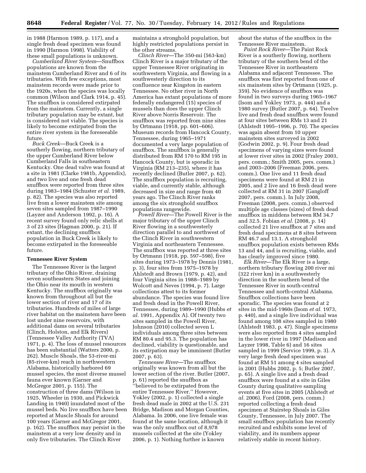in 1988 (Harmon 1989, p. 117), and a single fresh dead specimen was found in 1990 (Harmon 1998). Viability of these small populations is unknown.

*Cumberland River System*—Snuffbox populations are known from the mainstem Cumberland River and 6 of its tributaries. With few exceptions, most mainstem records were made prior to the 1920s, when the species was locally common (Wilson and Clark 1914, p. 45). The snuffbox is considered extirpated from the mainstem. Currently, a single tributary population may be extant, but is considered not viable. The species is likely to become extirpated from the entire river system in the foreseeable future.

*Buck Creek*—Buck Creek is a southerly flowing, northern tributary of the upper Cumberland River below Cumberland Falls in southeastern Kentucky. One dead valve was found at a site in 1981 (Clarke 1981b, Appendix), and two live and one fresh dead snuffbox were reported from three sites during 1983–1984 (Schuster *et al.* 1989, p. 82). The species was also reported live from a lower mainstem site among seven sites sampled from 1987–1990 (Layzer and Anderson 1992, p. 16). A recent survey found only relic shells at 3 of 23 sites (Hagman 2000, p. 21). If extant, the declining snuffbox population in Buck Creek is likely to become extirpated in the foreseeable future.

#### **Tennessee River System**

The Tennessee River is the largest tributary of the Ohio River, draining seven southeastern States and joining the Ohio near its mouth in western Kentucky. The snuffbox originally was known from throughout all but the lower section of river and 17 of its tributaries. Hundreds of miles of large river habitat on the mainstem have been lost under nine reservoirs, with additional dams on several tributaries (Clinch, Holston, and Elk Rivers) (Tennessee Valley Authority (TVA) 1971, p. 4). The loss of mussel resources has been substantial (Watters 2000, p. 262). Muscle Shoals, the 53-river-mi (85-river-km) reach in northwestern Alabama, historically harbored 69 mussel species, the most diverse mussel fauna ever known (Garner and McGregor 2001, p. 155). The construction of three dams (Wilson in 1925, Wheeler in 1930, and Pickwick Landing in 1940) inundated most of the mussel beds. No live snuffbox have been reported at Muscle Shoals for around 100 years (Garner and McGregor 2001, p. 162). The snuffbox may persist in the mainstem at a very low density and in only five tributaries. The Clinch River

maintains a stronghold population, but highly restricted populations persist in the other streams.

*Clinch River*—The 350-mi (563-km) Clinch River is a major tributary of the upper Tennessee River originating in southwestern Virginia, and flowing in a southwesterly direction to its confluence near Kingston in eastern Tennessee. No other river in North America has extant populations of more federally endangered (15) species of mussels than does the upper Clinch River above Norris Reservoir. The snuffbox was reported from nine sites by Ortmann (1918, pp. 601–606). Museum records from Hancock County, Tennessee, during 1965–1971 documented a very large population of snuffbox. The snuffbox is generally distributed from RM 170 to RM 195 in Hancock County, but is sporadic in Virginia (RM 213–235), where it has recently declined (Butler 2007, p. 62). The snuffbox population is recruiting, viable, and currently stable, although decreased in size and range from 40 years ago. The Clinch River ranks among the six stronghold snuffbox populations rangewide.

*Powell River*—The Powell River is the major tributary of the upper Clinch River flowing in a southwesterly direction parallel to and northwest of the Clinch River in southwestern Virginia and northeastern Tennessee. The snuffbox was reported at three sites by Ortmann (1918, pp. 597–598), five sites during 1973–1978 by Dennis (1981, p. 3), four sites from 1975–1978 by Ahlstedt and Brown (1979, p. 42), and four Virginia sites in 1988–1989 by Wolcott and Neves (1994, p. 7). Large collections attest to its former abundance. The species was found live and fresh dead in the Powell River, Tennessee, during 1989–1990 (Hubbs *et al.* 1991, Appendix A). Of twenty two sites sampled in the Powell River, Johnson (2010) collected seven L individuals among three sites between RM 80.4 and 95.3. The population has declined, viability is questionable, and its extirpation may be imminent (Butler 2007, p. 63).

*Tennessee River*—The snuffbox originally was known from all but the lower section of the river. Butler (2007, p. 61) reported the snuffbox as ''believed to be extirpated from the entire Tennessee River.'' However, Yokley (2002, p. 1) collected a single fresh dead male in 2002 at the U.S. 231 Bridge, Madison and Morgan Counties, Alabama. In 2006, one live female was found at the same location, although it was the only snuffbox out of 8,978 mussels collected at the site (Yokley 2006, p. 1). Nothing further is known

about the status of the snuffbox in the Tennessee River mainstem.

*Paint Rock River*—The Paint Rock River is a southerly flowing, northern tributary of the southern bend of the Tennessee River in northeastern Alabama and adjacent Tennessee. The snuffbox was first reported from one of six mainstem sites by Ortmann (1925, p. 359). No evidence of snuffbox was found in two surveys during 1965–1967 (Isom and Yokley 1973, p. 444) and a 1980 survey (Butler 2007, p. 64). Twelve live and fresh dead snuffbox were found at four sites between RMs 13 and 21 (Ahlstedt 1995–1996, p. 70). The species was again absent from 10 upper mainstem sites surveyed in 2002 (Godwin 2002, p. 9). Four fresh dead specimens of varying sizes were found at lower river sites in 2002 (Fraley 2003, pers. comm.; Smith 2005, pers. comm.) and 2003–2006 (Freeman 2006, pers. comm.). One live and 11 fresh dead specimens were found at RM 21 in 2005, and 2 live and 16 fresh dead were collected at RM 31 in 2007 (Gangloff 2007, pers. comm.). In July 2008, Freeman (2008, pers. comm.) observed multiple age classes (sizes) of fresh dead snuffbox in middens between RM 34.7 and 32.5. Fobian *et al.* (2008, p. 14) collected 21 live snuffbox at 7 sites and fresh dead specimens at 8 sites between RM 46.7 and 13.1. A stronghold snuffbox population exists between RMs 13 and 44, and is recruiting, viable, and has clearly improved since 1980.

*Elk River*—The Elk River is a large, northern tributary flowing 200 river mi (322 river km) in a southwesterly direction in the southern bend of the Tennessee River in south-central Tennessee and north-central Alabama. Snuffbox collections have been sporadic. The species was found at 2 sites in the mid-1960s (Isom *et al.* 1973, p. 440), and a single live individual was found among 108 sites sampled in 1980 (Ahlstedt 1983, p. 47). Single specimens were also reported from 4 sites sampled in the lower river in 1997 (Madison and Layzer 1998, Table 6) and 16 sites sampled in 1999 (Service 1999, p. 3). A very large fresh dead specimen was found at RM 51 among 4 sites sampled in 2001 (Hubbs 2002, p. 5; Butler 2007, p. 65). A single live and a fresh dead snuffbox were found at a site in Giles County during qualitative sampling events at five sites in 2005 (Ahlstedt *et al.* 2006). Ford (2008, pers. comm.) reported collecting a fresh dead specimen at Stairstep Shoals in Giles County, Tennessee, in July 2007. The small snuffbox population has recently recruited and exhibits some level of viability, and its numbers appear relatively stable in recent history.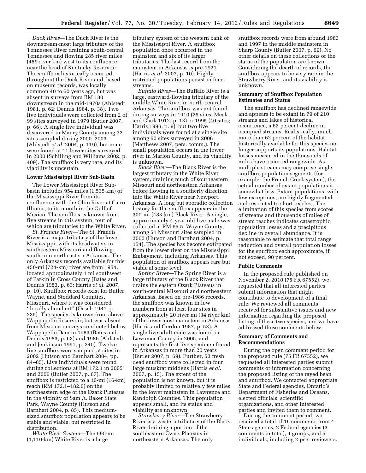*Duck River*—The Duck River is the downstream-most large tributary of the Tennessee River draining south-central Tennessee and flowing 285 river miles (459 river km) west to its confluence near the head of Kentucky Reservoir. The snuffbox historically occurred throughout the Duck River and, based on museum records, was locally common 40 to 50 years ago, but was absent in surveys from RM 180 downstream in the mid-1970s (Ahlstedt 1981, p. 62; Dennis 1984, p. 38). Two live individuals were collected from 2 of 99 sites surveyed in 1979 (Butler 2007, p. 66). A single live individual was discovered in Maury County among 72 sites sampled during 2000–2003 (Ahlstedt *et al.* 2004, p. 119), but none were found at 11 lower sites surveyed in 2000 (Schilling and Williams 2002, p. 409). The snuffbox is very rare, and its viability is uncertain.

#### **Lower Mississippi River Sub-Basin**

The Lower Mississippi River Subbasin includes 954 miles (1,535 km) of the Mississippi River from its confluence with the Ohio River at Cairo, Illinois, to its mouth in the Gulf of Mexico. The snuffbox is known from five streams in this system, four of which are tributaries to the White River.

*St. Francis River*—The St. Francis River is a major tributary of the lower Mississippi, with its headwaters in southeastern Missouri and flowing south into northeastern Arkansas. The only Arkansas records available for this 450-mi (724-km) river are from 1964, located approximately 1 mi southwest of Parkin in Cross County (Bates and Dennis 1983, p. 63; Harris *et al.* 2007, p. 10). Snuffbox records exist for Butler, Wayne, and Stoddard Counties, Missouri, where it was considered ''locally abundant'' (Oesch 1984, p. 235). The species is known from above Wappapello Reservoir, but was absent from Missouri surveys conducted below Wappapello Dam in 1983 (Bates and Dennis 1983, p. 63) and 1986 (Ahlstedt and Jenkinson 1991, p. 240). Twelve live snuffbox were sampled at sites in 2002 (Hutson and Barnhart 2004, pp. 84–85). Live individuals were found during collections at RM 172.1 in 2005 and 2006 (Butler 2007, p. 67). The snuffbox is restricted to a 10-mi (16-km) reach (RM 172.1–182.0) on the northeastern edge of the Ozark Plateaus in the vicinity of Sam A. Baker State Park, Wayne County (Hutson and Barnhart 2004, p. 85). This mediumsized snuffbox population appears to be stable and viable, but restricted in distribution.

*White River System*—The 690-mi (1,110-km) White River is a large

tributary system of the western bank of the Mississippi River. A snuffbox population once occurred in the mainstem and six of its larger tributaries. The last record from the mainstem in Arkansas is pre-1921 (Harris *et al.* 2007, p. 10). Highly restricted populations persist in four streams.

*Buffalo River*—The Buffalo River is a large, eastward-flowing tributary of the middle White River in north-central Arkansas. The snuffbox was not found during surveys in 1910 (26 sites; Meek and Clark 1912, p. 13) or 1995 (40 sites; Harris 1996, p. 9), but two live individuals were found at a single site among 60 sites surveyed in 2006 (Matthews 2007, pers. comm.). The small population occurs in the lower river in Marion County, and its viability is unknown.

*Black River*—The Black River is the largest tributary in the White River system, draining much of southeastern Missouri and northeastern Arkansas before flowing in a southerly direction into the White River near Newport, Arkansas. A long but sporadic collection history for the snuffbox appears in the 300-mi (483-km) Black River. A single, approximately 4-year-old live male was collected at RM 65.5, Wayne County, among 51 Missouri sites sampled in 2002 (Hutson and Barnhart 2004, p. 154). The species has become extirpated from the lower river on the Mississippi Embayment, including Arkansas. This population of snuffbox appears rare but viable at some level.

*Spring River*—The Spring River is a large tributary of the Black River that drains the eastern Ozark Plateaus in south-central Missouri and northeastern Arkansas. Based on pre-1986 records, the snuffbox was known in low numbers from at least four sites in approximately 20 river mi (34 river km) of the lowermost mainstem in Arkansas (Harris and Gordon 1987, p. 53). A single live adult male was found in Lawrence County in 2005, and represents the first live specimen found in Arkansas in more than 20 years (Butler 2007, p. 69). Further, 53 fresh dead snuffbox were collected in four large muskrat middens (Harris *et al.*  2007, p. 15). The extent of the population is not known, but it is probably limited to relatively few miles in the lower mainstem in Lawrence and Randolph Counties. This population appears small, and its status and viability are unknown.

*Strawberry River*—The Strawberry River is a western tributary of the Black River draining a portion of the southeastern Ozark Plateaus in northeastern Arkansas. The only

snuffbox records were from around 1983 and 1997 in the middle mainstem in Sharp County (Butler 2007, p. 69). No other details on these collections or the status of the population are known. Considering the dearth of records, the snuffbox appears to be very rare in the Strawberry River, and its viability is unknown.

# **Summary of Snuffbox Population Estimates and Status**

The snuffbox has declined rangewide and appears to be extant in 79 of 210 streams and lakes of historical occurrence, a 62 percent decline in occupied streams. Realistically, much more than 62 percent of the habitat historically available for this species no longer supports its populations. Habitat losses measured in the thousands of miles have occurred rangewide. As multiple streams may comprise single snuffbox population segments (for example, the French Creek system), the actual number of extant populations is somewhat less. Extant populations, with few exceptions, are highly fragmented and restricted to short reaches. The elimination of this species from scores of streams and thousands of miles of stream reaches indicates catastrophic population losses and a precipitous decline in overall abundance. It is reasonable to estimate that total range reduction and overall population losses for the snuffbox each approximate, if not exceed, 90 percent.

### **Public Comments**

In the proposed rule published on November 2, 2010 (75 FR 67552), we requested that all interested parties submit information that might contribute to development of a final rule. We reviewed all comments received for substantive issues and new information regarding the proposed listing of these two species, and we have addressed those comments below.

### **Summary of Comments and Recommendations**

During the open comment period for the proposed rule (75 FR 67552), we requested all interested parties submit comments or information concerning the proposed listing of the rayed bean and snuffbox. We contacted appropriate State and Federal agencies, Ontario's Department of Fisheries and Oceans, elected officials, scientific organizations, and other interested parties and invited them to comment.

During the comment period, we received a total of 16 comments from 4 State agencies, 2 Federal agencies (3 comments in total), 4 groups, and 5 individuals, including 2 peer reviewers.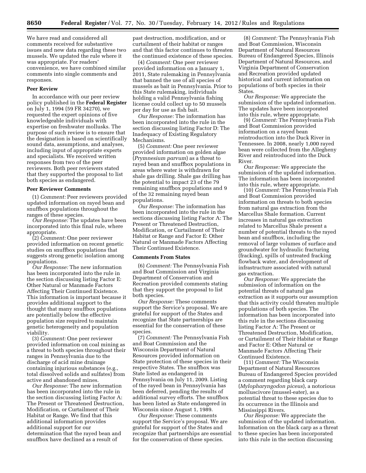We have read and considered all comments received for substantive issues and new data regarding these two mussels. We updated the rule where it was appropriate. For readers' convenience, we have combined similar comments into single comments and responses.

#### **Peer Review**

In accordance with our peer review policy published in the **Federal Register**  on July 1, 1994 (59 FR 34270), we requested the expert opinions of five knowledgeable individuals with expertise on freshwater mollusks. The purpose of such review is to ensure that the designation is based on scientifically sound data, assumptions, and analyses, including input of appropriate experts and specialists. We received written responses from two of the peer reviewers. Both peer reviewers stated that they supported the proposal to list both species as endangered.

#### **Peer Reviewer Comments**

(1) *Comment:* Peer reviewers provided updated information on rayed bean and snuffbox populations throughout the ranges of these species.

*Our Response:* The updates have been incorporated into this final rule, where appropriate.

(2) *Comment:* One peer reviewer provided information on recent genetic studies on snuffbox populations that suggests strong genetic isolation among populations.

*Our Response:* The new information has been incorporated into the rule in the section discussing listing Factor E: Other Natural or Manmade Factors Affecting Their Continued Existence. This information is important because it provides additional support to the thought that many snuffbox populations are potentially below the effective population size required to maintain genetic heterogeneity and population viability.

(3) *Comment:* One peer reviewer provided information on coal mining as a threat to both species throughout their ranges in Pennsylvania due to the discharge of acid mine drainage containing injurious substances (e.g., total dissolved solids and sulfates) from active and abandoned mines.

*Our Response:* The new information has been incorporated into the rule in the section discussing listing Factor A: The Present or Threatened Destruction, Modification, or Curtailment of Their Habitat or Range. We find that this additional information provides additional support for our determination that the rayed bean and snuffbox have declined as a result of

past destruction, modification, and or curtailment of their habitat or ranges and that this factor continues to threaten the continued existence of these species.

(4) *Comment:* One peer reviewer provided information on a January 1, 2011, State rulemaking in Pennsylvania that banned the use of all species of mussels as bait in Pennsylvania. Prior to this State rulemaking, individuals holding a valid Pennsylvania fishing license could collect up to 50 mussels per day for use as fish bait.

*Our Response:* The information has been incorporated into the rule in the section discussing listing Factor D: The Inadequacy of Existing Regulatory Mechanisms.

(5) *Comment:* One peer reviewer provided information on golden algae (*Prymnesium parvum*) as a threat to rayed bean and snuffbox populations in areas where water is withdrawn for shale gas drilling. Shale gas drilling has the potential to impact 23 of the 79 remaining snuffbox populations and 9 of the 32 remaining rayed bean populations.

*Our Response:* The information has been incorporated into the rule in the sections discussing listing Factor A: The Present or Threatened Destruction, Modification, or Curtailment of Their Habitat or Range and Factor E: Other Natural or Manmade Factors Affecting Their Continued Existence.

#### **Comments From States**

(6) *Comment:* The Pennsylvania Fish and Boat Commission and Virginia Department of Conservation and Recreation provided comments stating that they support the proposal to list both species.

*Our Response:* These comments support the Service's proposal. We are grateful for support of the States and recognize that State partnerships are essential for the conservation of these species.

(7) *Comment:* The Pennsylvania Fish and Boat Commission and the Wisconsin Department of Natural Resources provided information on State protection of these species in their respective States. The snuffbox was State listed as endangered in Pennsylvania on July 11, 2009. Listing of the rayed bean in Pennsylvania has been deferred, pending the results of additional survey efforts. The snuffbox has been listed as State endangered in Wisconsin since August 1, 1989.

*Our Response:* These comments support the Service's proposal. We are grateful for support of the States and recognize that partnerships are essential for the conservation of these species.

(8) *Comment:* The Pennsylvania Fish and Boat Commission, Wisconsin Department of Natural Resources Bureau of Endangered Species, Illinois Department of Natural Resources, and Virginia Department of Conservation and Recreation provided updated historical and current information on populations of both species in their States.

*Our Response:* We appreciate the submission of the updated information. The updates have been incorporated into this rule, where appropriate.

(9) *Comment:* The Pennsylvania Fish and Boat Commission provided information on a rayed bean reintroduction into the Duck River in Tennessee. In 2008, nearly 1,000 rayed bean were collected from the Allegheny River and reintroduced into the Duck River.

*Our Response:* We appreciate the submission of the updated information. The information has been incorporated into this rule, where appropriate.

(10) *Comment:* The Pennsylvania Fish and Boat Commission provided information on threats to both species from natural gas extraction from the Marcellus Shale formation. Current increases in natural gas extraction related to Marcellus Shale present a number of potential threats to the rayed bean and snuffbox, including the removal of large volumes of surface and groundwater for hydraulic fracturing (fracking), spills of untreated fracking flowback water, and development of infrastructure associated with natural gas extraction.

*Our Response:* We appreciate the submission of information on the potential threats of natural gas extraction as it supports our assumption that this activity could threaten multiple populations of both species. The information has been incorporated into this rule in the sections discussing listing Factor A: The Present or Threatened Destruction, Modification, or Curtailment of Their Habitat or Range and Factor E: Other Natural or Manmade Factors Affecting Their Continued Existence.

(11) *Comment:* The Wisconsin Department of Natural Resources Bureau of Endangered Species provided a comment regarding black carp (*Mylopharyngodon piceus*), a notorious molluscivore (mussel-eater), as a potential threat to these species due to its occurrence in the Illinois and Mississippi Rivers.

*Our Response:* We appreciate the submission of the updated information. Information on the black carp as a threat to these species has been incorporated into this rule in the section discussing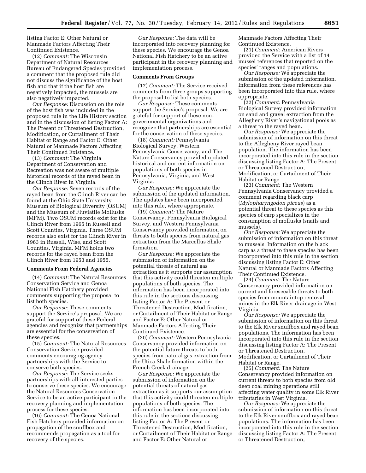listing Factor E: Other Natural or Manmade Factors Affecting Their Continued Existence.

(12) *Comment:* The Wisconsin Department of Natural Resources Bureau of Endangered Species provided a comment that the proposed rule did not discuss the significance of the host fish and that if the host fish are negatively impacted, the mussels are also negatively impacted.

*Our Response:* Discussion on the role of the host fish was included in the proposed rule in the Life History section and in the discussion of listing Factor A: The Present or Threatened Destruction, Modification, or Curtailment of Their Habitat or Range and Factor E: Other Natural or Manmade Factors Affecting Their Continued Existence.

(13) *Comment:* The Virginia Department of Conservation and Recreation was not aware of multiple historical records of the rayed bean in the Clinch River in Virginia.

*Our Response:* Seven records of the rayed bean from the Clinch River can be found at the Ohio State University Museum of Biological Diversity (OSUM) and the Museum of Fluviatile Mollusks (MFM). Two OSUM records exist for the Clinch River from 1965 in Russell and Scott Counties, Virginia. Three OSUM records also exist for the Clinch River in 1963 in Russell, Wise, and Scott Counties, Virginia. MFM holds two records for the rayed bean from the Clinch River from 1953 and 1955.

#### **Comments From Federal Agencies**

(14) *Comment:* The Natural Resources Conservation Service and Genoa National Fish Hatchery provided comments supporting the proposal to list both species.

*Our Response:* These comments support the Service's proposal. We are grateful for support of these Federal agencies and recognize that partnerships are essential for the conservation of these species.

(15) *Comment:* The Natural Resources Conservation Service provided comments encouraging agency partnerships with the Service to conserve both species.

*Our Response:* The Service seeks partnerships with all interested parties to conserve these species. We encourage the Natural Resources Conservation Service to be an active participant in the recovery planning and implementation process for these species.

(16) *Comment:* The Genoa National Fish Hatchery provided information on propagation of the snuffbox and recommends propagation as a tool for recovery of the species.

*Our Response:* The data will be incorporated into recovery planning for these species. We encourage the Genoa National Fish Hatchery to be an active participant in the recovery planning and implementation process.

#### **Comments From Groups**

(17) *Comment:* The Service received comments from three groups supporting the proposal to list both species.

*Our Response:* These comments support the Service's proposal. We are grateful for support of these nongovernmental organizations and recognize that partnerships are essential for the conservation of these species.

(18) *Comment:* Pennsylvania Biological Survey, Western Pennsylvania Conservancy, and The Nature Conservancy provided updated historical and current information on populations of both species in Pennsylvania, Virginia, and West Virginia.

*Our Response:* We appreciate the submission of the updated information. The updates have been incorporated into this rule, where appropriate.

(19) *Comment:* The Nature Conservancy, Pennsylvania Biological Survey, and Western Pennsylvania Conservancy provided information on threats to both species from natural gas extraction from the Marcellus Shale formation.

*Our Response:* We appreciate the submission of information on the potential threats of natural gas extraction as it supports our assumption that this activity could threaten multiple populations of both species. The information has been incorporated into this rule in the sections discussing listing Factor A: The Present or Threatened Destruction, Modification, or Curtailment of Their Habitat or Range and Factor E: Other Natural or Manmade Factors Affecting Their Continued Existence.

(20) *Comment:* Western Pennsylvania Conservancy provided information on the potential future threats to both species from natural gas extraction from the Utica Shale formation within the French Creek drainage.

*Our Response:* We appreciate the submission of information on the potential threats of natural gas extraction as it supports our assumption that this activity could threaten multiple populations of both species. The information has been incorporated into this rule in the sections discussing listing Factor A: The Present or Threatened Destruction, Modification, or Curtailment of Their Habitat or Range and Factor E: Other Natural or

Manmade Factors Affecting Their Continued Existence.

(21) *Comment:* American Rivers provided the Service with a list of 14 mussel references that reported on the species' ranges and populations.

*Our Response:* We appreciate the submission of the updated information. Information from these references has been incorporated into this rule, where appropriate.

(22) *Comment:* Pennsylvania Biological Survey provided information on sand and gravel extraction from the Allegheny River's navigational pools as a threat to the rayed bean.

*Our Response:* We appreciate the submission of information on this threat to the Allegheny River rayed bean population. The information has been incorporated into this rule in the section discussing listing Factor A: The Present or Threatened Destruction, Modification, or Curtailment of Their Habitat or Range.

(23) *Comment:* The Western Pennsylvania Conservancy provided a comment regarding black carp (*Mylopharyngodon piceus*) as a potential threat to these species as this species of carp specializes in the consumption of mollusks (snails and mussels).

*Our Response:* We appreciate the submission of information on this threat to mussels. Information on the black carp as a threat to these species has been incorporated into this rule in the section discussing listing Factor E: Other Natural or Manmade Factors Affecting Their Continued Existence.

(24) *Comment:* The Nature Conservancy provided information on current and foreseeable threats to both species from mountaintop removal mines in the Elk River drainage in West Virginia.

*Our Response:* We appreciate the submission of information on this threat to the Elk River snuffbox and rayed bean populations. The information has been incorporated into this rule in the section discussing listing Factor A: The Present or Threatened Destruction, Modification, or Curtailment of Their Habitat or Range.

(25) *Comment:* The Nature Conservancy provided information on current threats to both species from old deep coal mining operations still affecting water quality in some Elk River tributaries in West Virginia.

*Our Response:* We appreciate the submission of information on this threat to the Elk River snuffbox and rayed bean populations. The information has been incorporated into this rule in the section discussing listing Factor A: The Present or Threatened Destruction,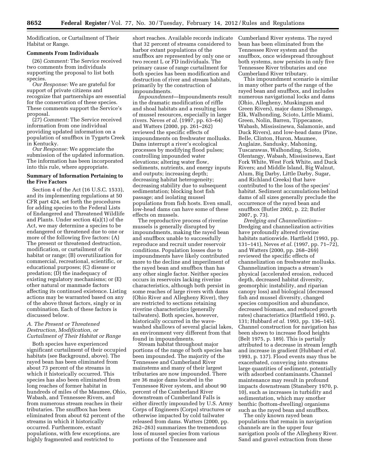Modification, or Curtailment of Their Habitat or Range.

#### **Comments From Individuals**

(26) *Comment:* The Service received two comments from individuals supporting the proposal to list both species.

*Our Response:* We are grateful for support of private citizens and recognize that partnerships are essential for the conservation of these species. These comments support the Service's proposal.

(27) *Comment:* The Service received information from one individual providing updated information on a population of snuffbox in Tygarts Creek in Kentucky.

*Our Response:* We appreciate the submission of the updated information. The information has been incorporated into this rule, where appropriate.

#### **Summary of Information Pertaining to the Five Factors**

Section 4 of the Act (16 U.S.C. 1533), and its implementing regulations at 50 CFR part 424, set forth the procedures for adding species to the Federal Lists of Endangered and Threatened Wildlife and Plants. Under section 4(a)(1) of the Act, we may determine a species to be endangered or threatened due to one or more of the following five factors: (A) The present or threatened destruction, modification, or curtailment of its habitat or range; (B) overutilization for commercial, recreational, scientific, or educational purposes; (C) disease or predation; (D) the inadequacy of existing regulatory mechanisms; or (E) other natural or manmade factors affecting its continued existence. Listing actions may be warranted based on any of the above threat factors, singly or in combination. Each of these factors is discussed below.

### *A. The Present or Threatened Destruction, Modification, or Curtailment of Their Habitat or Range*

Both species have experienced significant curtailment of their occupied habitats (see Background, above). The rayed bean has been eliminated from about 73 percent of the streams in which it historically occurred. This species has also been eliminated from long reaches of former habitat in hundreds of miles of the Maumee, Ohio, Wabash, and Tennessee Rivers, and from numerous stream reaches in their tributaries. The snuffbox has been eliminated from about 62 percent of the streams in which it historically occurred. Furthermore, extant populations, with few exceptions, are highly fragmented and restricted to

short reaches. Available records indicate that 32 percent of streams considered to harbor extant populations of the snuffbox are represented by only one or two recent L or FD individuals. The primary cause of range curtailment for both species has been modification and destruction of river and stream habitats, primarily by the construction of impoundments.

*Impoundment*—Impoundments result in the dramatic modification of riffle and shoal habitats and a resulting loss of mussel resources, especially in larger rivers. Neves *et al.* (1997, pp. 63–64) and Watters (2000, pp. 261–262) reviewed the specific effects of impoundments on freshwater mollusks. Dams interrupt a river's ecological processes by modifying flood pulses; controlling impounded water elevations; altering water flow, sediments, nutrients, and energy inputs and outputs; increasing depth; decreasing habitat heterogeneity; decreasing stability due to subsequent sedimentation; blocking host fish passage; and isolating mussel populations from fish hosts. Even small, low-head dams can have some of these effects on mussels.

The reproductive process of riverine mussels is generally disrupted by impoundments, making the rayed bean and snuffbox unable to successfully reproduce and recruit under reservoir conditions. Population losses due to impoundments have likely contributed more to the decline and imperilment of the rayed bean and snuffbox than has any other single factor. Neither species occurs in reservoirs lacking riverine characteristics, although both persist in some reaches of large rivers with dams (Ohio River and Allegheny River), they are restricted to sections retaining riverine characteristics (generally tailwaters). Both species, however, historically occurred in the wavewashed shallows of several glacial lakes, an environment very different from that found in impoundments.

Stream habitat throughout major portions of the range of both species has been impounded. The majority of the Tennessee and Cumberland River mainstems and many of their largest tributaries are now impounded. There are 36 major dams located in the Tennessee River system, and about 90 percent of the Cumberland River downstream of Cumberland Falls is either directly impounded by U.S. Army Corps of Engineers (Corps) structures or otherwise impacted by cold tailwater released from dams. Watters (2000, pp. 262–263) summarizes the tremendous loss of mussel species from various portions of the Tennessee and

Cumberland River systems. The rayed bean has been eliminated from the Tennessee River system and the snuffbox, once widespread throughout both systems, now persists in only five Tennessee River tributaries and one Cumberland River tributary.

This impoundment scenario is similar in many other parts of the range of the rayed bean and snuffbox, and includes numerous navigational locks and dams (Ohio, Allegheny, Muskingum and Green Rivers), major dams (Shenango, Elk, Walhonding, Scioto, Little Miami, Green, Nolin, Barren, Tippecanoe, Wabash, Mississinewa, Salamonie, and Duck Rivers), and low-head dams (Pine, Belle, Clinton, Huron, Maumee, Auglaize, Sandusky, Mahoning, Tuscarawas, Walhonding, Scioto, Olentangy, Wabash, Mississinewa, East Fork White, West Fork White, and Duck Rivers; and Middle Island, Big Walnut, Alum, Big Darby, Little Darby, Sugar, and Richland Creeks) that have contributed to the loss of the species' habitat. Sediment accumulations behind dams of all sizes generally preclude the occurrence of the rayed bean and snuffbox (Butler 2002, p. 22; Butler 2007, p. 73).

*Dredging and Channelization*— Dredging and channelization activities have profoundly altered riverine habitats nationwide. Hartfield (1993, pp. 131–141), Neves *et al.* (1997, pp. 71–72), and Watters (2000, pp. 268–269) reviewed the specific effects of channelization on freshwater mollusks. Channelization impacts a stream's physical (accelerated erosion, reduced depth, decreased habitat diversity, geomorphic instability, and riparian canopy loss) and biological (decreased fish and mussel diversity, changed species composition and abundance, decreased biomass, and reduced growth rates) characteristics (Hartfield 1993, p. 131; Hubbard *et al.* 1993, pp. 136–145). Channel construction for navigation has been shown to increase flood heights (Belt 1975, p. 189). This is partially attributed to a decrease in stream length and increase in gradient (Hubbard *et al.*  1993, p. 137). Flood events may thus be exacerbated, conveying into streams large quantities of sediment, potentially with adsorbed contaminants. Channel maintenance may result in profound impacts downstream (Stansbery 1970, p. 10), such as increases in turbidity and sedimentation, which may smother benthic (bottom-dwelling) organisms such as the rayed bean and snuffbox.

The only known rayed bean populations that remain in navigation channels are in the upper four navigation pools of the Allegheny River. Sand and gravel extraction from these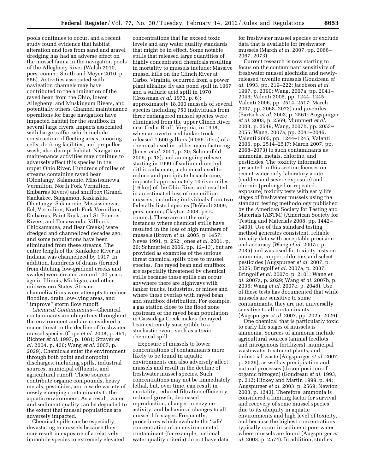pools continues to occur, and a recent study found evidence that habitat alteration and loss from sand and gravel dredging has had an adverse effect on the mussel fauna in the navigation pools of the Allegheny River (Walsh 2010, pers. comm.; Smith and Meyer 2010, p. 556). Activities associated with navigation channels may have contributed to the elimination of the rayed bean from the Ohio, lower Allegheny, and Muskingum Rivers, and potentially others. Channel maintenance operations for barge navigation have impacted habitat for the snuffbox in several large rivers. Impacts associated with barge traffic, which include construction of fleeting areas, mooring cells, docking facilities, and propeller wash, also disrupt habitat. Navigation maintenance activities may continue to adversely affect this species in the upper Ohio River. Hundreds of miles of streams containing rayed bean (Olentangy, Salamonie, Mississinewa, Vermilion, North Fork Vermilion, Embarras Rivers) and snuffbox (Grand, Kankakee, Sangamon, Kaskaskia, Olentangy, Salamonie, Mississinewa, Eel, Vermilion, North Fork Vermilion, Embarras, Paint Rock, and St. Francis Rivers; and Tonawanda, Killbuck, Chickamauga, and Bear Creeks) were dredged and channelized decades ago, and some populations have been eliminated from these streams. The entire length of the Kankakee River in Indiana was channelized by 1917. In addition, hundreds of drains (formed from ditching low-gradient creeks and swales) were created around 100 years ago in Illinois, Michigan, and other midwestern States. Stream channelizations were attempts to reduce flooding, drain low-lying areas, and ''improve'' storm flow runoff.

*Chemical Contaminants*—Chemical contaminants are ubiquitous throughout the environment and are considered a major threat in the decline of freshwater mussel species (Cope *et al.* 2008, p. 451; Richter *et al.* 1997, p. 1081; Strayer *et al.* 2004, p. 436; Wang *et al.* 2007, p. 2029). Chemicals enter the environment through both point and nonpoint discharges, including spills, industrial sources, municipal effluents, and agricultural runoff. These sources contribute organic compounds, heavy metals, pesticides, and a wide variety of newly emerging contaminants to the aquatic environment. As a result, water and sediment quality can be degraded to the extent that mussel populations are adversely impacted.

Chemical spills can be especially devastating to mussels because they may result in exposure of a relatively immobile species to extremely elevated

concentrations that far exceed toxic levels and any water quality standards that might be in effect. Some notable spills that released large quantities of highly concentrated chemicals resulting in mortality to mussels include: Massive mussel kills on the Clinch River at Carbo, Virginia, occurred from a power plant alkaline fly ash pond spill in 1967 and a sulfuric acid spill in 1970 (Crossman *et al.* 1973, p. 6); approximately 18,000 mussels of several species including 750 individuals from three endangered mussel species were eliminated from the upper Clinch River near Cedar Bluff, Virginia, in 1998, when an overturned tanker truck released 1,600 gallons (6,056 liters) of a chemical used in rubber manufacturing (Jones *et al.* 2001, p. 20; Schmerfeld 2006, p. 12); and an ongoing release starting in 1999 of sodium dimethyl dithiocarbamate, a chemical used to reduce and precipitate hexachrome, impacted approximately 10 river miles (16 km) of the Ohio River and resulted in an estimated loss of one million mussels, including individuals from two federally listed species (DeVault 2009, pers. comm.; Clayton 2008, pers. comm.). These are not the only instances where chemical spills have resulted in the loss of high numbers of mussels (Brown *et al.* 2005, p. 1457; Neves 1991, p. 252; Jones *et al.* 2001, p. 20; Schmerfeld 2006, pp. 12–13), but are provided as examples of the serious threat chemical spills pose to mussel species. The rayed bean and snuffbox are especially threatened by chemical spills because these spills can occur anywhere there are highways with tanker trucks, industries, or mines and where these overlap with rayed bean and snuffbox distribution. For example, a gas station close to the flood zone upstream of the rayed bean population in Cassadaga Creek makes the rayed bean extremely susceptible to a stochastic event, such as a toxic chemical spill.

Exposure of mussels to lower concentrations of contaminants more likely to be found in aquatic environments can also adversely affect mussels and result in the decline of freshwater mussel species. Such concentrations may not be immediately lethal, but, over time, can result in mortality, reduced filtration efficiency, reduced growth, decreased reproduction, changes in enzyme activity, and behavioral changes to all mussel life stages. Frequently, procedures which evaluate the 'safe' concentration of an environmental contaminant (for example, national water quality criteria) do not have data

for freshwater mussel species or exclude data that is available for freshwater mussels (March *et al.* 2007, pp. 2066– 2067, 2073).

Current research is now starting to focus on the contaminant sensitivity of freshwater mussel glochidia and newlyreleased juvenile mussels (Goudreau *et al.* 1993, pp. 219–222; Jacobson *et al.*  1997, p. 2390; Wang, 2007a, pp. 2041– 2046; Valenti 2005, pp. 1244–1245; Valenti 2006, pp. 2514–2517; March 2007, pp. 2068–2073) and juveniles (Bartsch *et al.* 2003, p. 2561; Augspurger *et al.* 2003, p. 2569; Mummert *et al.*  2003, p. 2549, Wang, 2007b, pp. 2053– 2055, Wang, 2007a, pp. 2041–2046, Valenti 2005, pp. 1244–1245; Valenti 2006, pp. 2514–2517; March 2007, pp. 2068–2073) to such contaminants as ammonia, metals, chlorine, and pesticides. The toxicity information presented in this section focuses on recent water-only laboratory acute (sudden and severe exposure) and chronic (prolonged or repeated exposure) toxicity tests with early life stages of freshwater mussels using the standard testing methodology published by the American Society for Testing and Materials (ASTM) (American Society for Testing and Materials 2008, pp. 1442– 1493). Use of this standard testing method generates consistent, reliable toxicity data with acceptable precision and accuracy (Wang *et al.* 2007a, p. 2035) and was used for toxicity tests on ammonia, copper, chlorine, and select pesticides (Augspurger *et al.* 2007, p. 2025; Bringolf *et al.* 2007a, p. 2087; Bringolf *et al.* 2007c, p. 2101; Wang *et al.* 2007a, p. 2029; Wang *et al.* 2007b, p. 2036; Wang *et al.* 2007c, p. 2048). Use of these tests has documented that while mussels are sensitive to some contaminants, they are not universally sensitive to all contaminants (Augspurger *et al.* 2007, pp. 2025–2026).

One chemical that is particularly toxic to early life stages of mussels is ammonia. Sources of ammonia include agricultural sources (animal feedlots and nitrogenous fertilizers), municipal wastewater treatment plants, and industrial waste (Augspurger *et al.* 2007, p. 2026), as well as precipitation and natural processes (decomposition of organic nitrogen) (Goudreau *et al.* 1993, p. 212; Hickey and Martin 1999, p. 44; Augspurger *et al.* 2003, p. 2569; Newton 2003, p. 1243). Therefore, ammonia is considered a limiting factor for survival and recovery of some mussel species due to its ubiquity in aquatic environments and high level of toxicity, and because the highest concentrations typically occur in sediment pore water where mussels are found (Augspurger *et al.* 2003, p. 2574). In addition, studies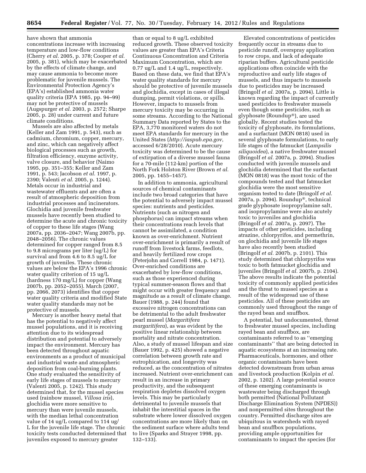have shown that ammonia concentrations increase with increasing temperature and low-flow conditions (Cherry *et al.* 2005, p. 378; Cooper *et al.*  2005, p. 381), which may be exacerbated by the effects of climate change, and may cause ammonia to become more problematic for juvenile mussels. The Environmental Protection Agency's (EPA's) established ammonia water quality criteria (EPA 1985, pp. 94–99) may not be protective of mussels (Augspurger *et al.* 2003, p. 2572; Sharpe 2005, p. 28) under current and future climate conditions.

Mussels are also affected by metals (Keller and Zam 1991, p. 543), such as cadmium, chromium, copper, mercury, and zinc, which can negatively affect biological processes such as growth, filtration efficiency, enzyme activity, valve closure, and behavior (Naimo 1995, pp. 351–355; Keller and Zam 1991, p. 543; Jacobson *et al.* 1997, p. 2390; Valenti *et al.* 2005, p. 1244). Metals occur in industrial and wastewater effluents and are often a result of atmospheric deposition from industrial processes and incinerators. Glochidia and juvenile freshwater mussels have recently been studied to determine the acute and chronic toxicity of copper to these life stages (Wang 2007a, pp. 2036–2047; Wang 2007b, pp. 2048–2056). The chronic values determined for copper ranged from 8.5 to 9.8 micrograms per liter (ug/L) for survival and from 4.6 to 8.5 ug/L for growth of juveniles. These chronic values are below the EPA's 1996 chronic water quality criterion of 15 ug/L (hardness 170 mg/L) for copper (Wang 2007b, pp. 2052–2055). March (2007, pp. 2066, 2073) identifies that copper water quality criteria and modified State water quality standards may not be protective of mussels.

Mercury is another heavy metal that has the potential to negatively affect mussel populations, and it is receiving attention due to its widespread distribution and potential to adversely impact the environment. Mercury has been detected throughout aquatic environments as a product of municipal and industrial waste and atmospheric deposition from coal-burning plants. One study evaluated the sensitivity of early life stages of mussels to mercury (Valenti 2005, p. 1242). This study determined that, for the mussel species used (rainbow mussel, *Villosa iris*), glochidia were more sensitive to mercury than were juvenile mussels, with the median lethal concentration value of 14 ug/L compared to 114 ug/ L for the juvenile life stage. The chronic toxicity tests conducted determined that juveniles exposed to mercury greater

than or equal to 8 ug/L exhibited reduced growth. These observed toxicity values are greater than EPA's Criteria Continuous Concentration and Criteria Maximum Concentration, which are 0.77 ug/L and 1.4 ug/L, respectively. Based on these data, we find that EPA's water quality standards for mercury should be protective of juvenile mussels and glochidia, except in cases of illegal dumping, permit violations, or spills. However, impacts to mussels from mercury toxicity may be occurring in some streams. According to the National Summary Data reported by States to the EPA, 3,770 monitored waters do not meet EPA standards for mercury in the United States (*<http://iaspub.epa.gov>*, accessed 6/28/2010). Acute mercury toxicity was determined to be the cause of extirpation of a diverse mussel fauna for a 70-mile (112-km) portion of the North Fork Holston River (Brown *et al.*  2005, pp. 1455–1457).

In addition to ammonia, agricultural sources of chemical contaminants include two broad categories that have the potential to adversely impact mussel species: nutrients and pesticides. Nutrients (such as nitrogen and phosphorus) can impact streams when their concentrations reach levels that cannot be assimilated, a condition known as over-enrichment. Nutrient over-enrichment is primarily a result of runoff from livestock farms, feedlots, and heavily fertilized row crops (Peterjohn and Correll 1984, p. 1471). Over-enriched conditions are exacerbated by low-flow conditions, such as those experienced during typical summer-season flows and that might occur with greater frequency and magnitude as a result of climate change. Bauer (1988, p. 244) found that excessive nitrogen concentrations can be detrimental to the adult freshwater pearl mussel (*Margaritifera margaritifera*), as was evident by the positive linear relationship between mortality and nitrate concentration. Also, a study of mussel lifespan and size (Bauer 1992, p. 425) showed a negative correlation between growth rate and eutrophication, and longevity was reduced, as the concentration of nitrates increased. Nutrient over-enrichment can result in an increase in primary productivity, and the subsequent respiration depletes dissolved oxygen levels. This may be particularly detrimental to juvenile mussels that inhabit the interstitial spaces in the substrate where lower dissolved oxygen concentrations are more likely than on the sediment surface where adults tend to live (Sparks and Strayer 1998, pp. 132–133).

Elevated concentrations of pesticides frequently occur in streams due to pesticide runoff, overspray application to row crops, and lack of adequate riparian buffers. Agricultural pesticide applications often coincide with the reproductive and early life stages of mussels, and thus impacts to mussels due to pesticides may be increased (Bringolf *et al.* 2007a, p. 2094). Little is known regarding the impact of currently used pesticides to freshwater mussels even though some pesticides, such as glyphosate (Roundup®), are used globally. Recent studies tested the toxicity of glyphosate, its formulations, and a surfactant (MON 0818) used in several glyphosate formulations, to early life stages of the fatmucket (*Lampsilis siliquoidea*), a native freshwater mussel (Bringolf *et al.* 2007a, p. 2094). Studies conducted with juvenile mussels and glochidia determined that the surfactant (MON 0818) was the most toxic of the compounds tested and that fatmucket glochidia were the most sensitive organism tested to date (Bringolf *et al.*  2007a, p. 2094). Roundup®, technical grade glyphosate isopropylamine salt, and isopropylamine were also acutely toxic to juveniles and glochidia (Bringolf *et al.* 2007a, p. 2097). The impacts of other pesticides, including atrazine, chlorpyrifos, and permethrin, on glochidia and juvenile life stages have also recently been studied (Bringolf *et al.* 2007b, p. 2101). This study determined that chlorpyrifos was toxic to both fatmucket glochidia and juveniles (Bringolf *et al.* 2007b, p. 2104). The above results indicate the potential toxicity of commonly applied pesticides and the threat to mussel species as a result of the widespread use of these pesticides. All of these pesticides are commonly used throughout the range of the rayed bean and snuffbox. A potential, but undocumented, threat

to freshwater mussel species, including rayed bean and snuffbox, are contaminants referred to as ''emerging contaminants'' that are being detected in aquatic ecosystems at an increasing rate. Pharmaceuticals, hormones, and other organic contaminants have been detected downstream from urban areas and livestock production (Kolpin *et al.*  2002, p. 1202). A large potential source of these emerging contaminants is wastewater being discharged through both permitted (National Pollutant Discharge Elimination System (NPDES)) and nonpermitted sites throughout the country. Permitted discharge sites are ubiquitous in watersheds with rayed bean and snuffbox populations, providing ample opportunities for contaminants to impact the species (for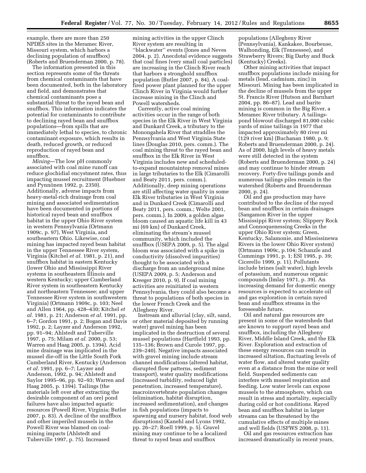example, there are more than 250 NPDES sites in the Meramec River, Missouri system, which harbors a declining population of snuffbox) (Roberts and Bruenderman 2000, p. 78).

The information presented in this section represents some of the threats from chemical contaminants that have been documented, both in the laboratory and field, and demonstrates that chemical contaminants pose a substantial threat to the rayed bean and snuffbox. This information indicates the potential for contaminants to contribute to declining rayed bean and snuffbox populations—from spills that are immediately lethal to species, to chronic contaminant exposure, which results in death, reduced growth, or reduced reproduction of rayed bean and snuffbox.

*Mining*—The low pH commonly associated with coal mine runoff can reduce glochidial encystment rates, thus impacting mussel recruitment (Huebner and Pynnönen 1992, p. 2350). Additionally, adverse impacts from heavy-metal-rich drainage from coal mining and associated sedimentation have been documented in portions of historical rayed bean and snuffbox habitat in the upper Ohio River system in western Pennsylvania (Ortmann 1909c, p. 97), West Virginia, and southeastern Ohio. Likewise, coal mining has impacted rayed bean habitat in the upper Tennessee River system, Virginia (Kitchel *et al.* 1981, p. 21), and snuffbox habitat in eastern Kentucky (lower Ohio and Mississippi River systems in southeastern Illinois and western Kentucky; upper Cumberland River system in southeastern Kentucky and northeastern Tennessee; and upper Tennessee River system in southwestern Virginia) (Ortmann 1909c, p. 103; Neel and Allen 1964, pp. 428–430; Kitchel *et al.* 1981, p. 21; Anderson *et al.* 1991, pp. 6–7; Gordon 1991, p. 2; Bogan and Davis 1992, p. 2; Layzer and Anderson 1992, pp. 91–94; Ahlstedt and Tuberville 1997, p. 75; Milam *et al.* 2000, p. 53; Warren and Haag 2005, p. 1394). Acid mine drainage was implicated in the mussel die-off in the Little South Fork Cumberland River, Kentucky (Anderson *et al.* 1991, pp. 6–7; Layzer and Anderson, 1992, p. 94; Ahlstedt and Saylor 1995–96, pp. 92–93; Warren and Haag 2005, p. 1394). Tailings (the materials left over after extracting the desirable component of an ore) pond failures have also impacted aquatic resources (Powell River, Virginia; Butler 2007, p. 83). A decline of the snuffbox and other imperiled mussels in the Powell River was blamed on coalmining impacts (Ahlstedt and Tuberville 1997, p. 75). Increased

mining activities in the upper Clinch River system are resulting in ''blackwater'' events (Jones and Neves 2004, p. 2). Anecdotal evidence suggests that coal fines (very small coal particles) are increasing in the Clinch River reach that harbors a stronghold snuffbox population (Butler 2007, p. 84). A coalfired power plant planned for the upper Clinch River in Virginia would further increase mining in the Clinch and Powell watersheds.

Currently, active coal mining activities occur in the range of both species in the Elk River in West Virginia and Dunkard Creek, a tributary to the Monongahela River that straddles the Pennsylvania and West Virginia State lines (Douglas 2010, pers. comm.). The coal mining threat to the rayed bean and snuffbox in the Elk River in West Virginia includes new and scheduledto-expand mountaintop removal mines in large tributaries to the Elk (Cimarolli and Beaty 2011, pers. comm.). Additionally, deep mining operations are still affecting water quality in some Elk River tributaries in West Virginia and in Dunkard Creek (Cimarolli and Beaty 2011, pers. comm.; Welte 2001, pers. comm.). In 2009, a golden algae bloom caused an aquatic life kill in 43 mi (69 km) of Dunkard Creek, eliminating the stream's mussel community, which included the snuffbox (USEPA 2009, p. 5). The algal bloom was associated with a spike in conductivity (dissolved impurities) thought to be associated with a discharge from an underground mine (USEPA 2009, p. 5; Anderson and Kreeger 2010, p. 9). If coal mining activities are reinitiated in western Pennsylvania, they could also become a threat to populations of both species in the lower French Creek and the Allegheny River.

Instream and alluvial (clay, silt, sand, or other material deposited by running water) gravel mining has been implicated in the destruction of several mussel populations (Hartfield 1993, pp. 135–136; Brown and Curole 1997, pp. 239–240). Negative impacts associated with gravel mining include stream channel modifications (altered habitat, disrupted flow patterns, sediment transport), water quality modifications (increased turbidity, reduced light penetration, increased temperature), macroinvertebrate population changes (elimination, habitat disruption, increased sedimentation), and changes in fish populations (impacts to spawning and nursery habitat, food web disruptions) (Kanehl and Lyons 1992, pp. 26–27; Roell 1999, p. 5). Gravel mining may continue to be a localized threat to rayed bean and snuffbox

populations (Allegheny River (Pennsylvania), Kankakee, Bourbeuse, Walhonding, Elk (Tennessee), and Strawberry Rivers; Big Darby and Buck (Kentucky) Creeks).

Other mining activities that impact snuffbox populations include mining for metals (lead, cadmium, zinc) in Missouri. Mining has been implicated in the decline of mussels from the upper St. Francis River (Hutson and Barnhart 2004, pp. 86–87). Lead and barite mining is common in the Big River, a Meramec River tributary. A tailingspond blowout discharged 81,000 cubic yards of mine tailings in 1977 that impacted approximately 80 river mi (129 river km) (Buchanan 1980, p. 9; Roberts and Bruenderman 2000, p. 24). As of 2000, high levels of heavy metals were still detected in the system (Roberts and Bruenderman 2000, p. 24) and may continue to hinder stream recovery. Forty-five tailings ponds and numerous tailings piles remain in the watershed (Roberts and Bruenderman 2000, p. 24).

Oil and gas production may have contributed to the decline of the rayed bean and snuffbox in certain drainages (Sangamon River in the upper Mississippi River system; Slippery Rock and Connoquenessing Creeks in the upper Ohio River system; Green, Kentucky, Salamonie, and Mississinewa Rivers in the lower Ohio River system) (Ortmann 1909c, p.104; Schanzle and Cummings 1991, p. 1; ESI 1995, p. 39; Cicerello 1999, p. 11). Pollutants include brines (salt water), high levels of potassium, and numerous organic compounds (Imlay 1971, p. 39). An increasing demand for domestic energy resources is expected to accelerate oil and gas exploration in certain rayed bean and snuffbox streams in the foreseeable future.

Oil and natural gas resources are present in some of the watersheds that are known to support rayed bean and snuffbox, including the Allegheny River, Middle Island Creek, and the Elk River. Exploration and extraction of these energy resources can result in increased siltation, fluctuating levels of water flow, and altered water quality even at a distance from the mine or well field. Suspended sediments can interfere with mussel respiration and feeding. Low water levels can expose mussels to the atmosphere, which can result in stress and mortality, especially during cold or hot conditions. Rayed bean and snuffbox habitat in larger streams can be threatened by the cumulative effects of multiple mines and well fields (USFWS 2008, p. 11).

Oil and gas resources extraction has increased dramatically in recent years,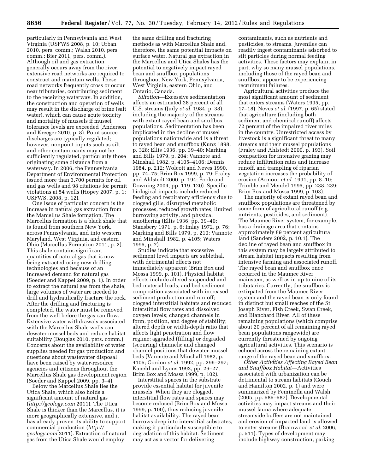particularly in Pennsylvania and West Virginia (USFWS 2008, p. 10; Urban 2010, pers. comm.; Walsh 2010, pers. comm.; Bier 2011, pers. comm.). Although oil and gas extraction generally occurs away from the river, extensive road networks are required to construct and maintain wells. These road networks frequently cross or occur near tributaries, contributing sediment to the receiving waterway. In addition, the construction and operation of wells may result in the discharge of brine (salt water), which can cause acute toxicity and mortality of mussels if mussel tolerance levels are exceeded (Anderson and Kreeger 2010, p. 8). Point source discharges are typically regulated; however, nonpoint inputs such as silt and other contaminants may not be sufficiently regulated, particularly those originating some distance from a waterway. In 2006, the Pennsylvania Department of Environmental Protection issued more than 3,700 permits for oil and gas wells and 98 citations for permit violations at 54 wells (Hopey 2007, p. 1; USFWS, 2008, p. 12).

One issue of particular concern is the increase in natural gas extraction from the Marcellus Shale formation. The Marcellus formation is a black shale that is found from southern New York, across Pennsylvania, and into western Maryland, West Virginia, and eastern Ohio (Marcellus Formation 2011, p. 2). This shale contains significant quantities of natural gas that is now being extracted using new drilling technologies and because of an increased demand for natural gas (Soeder and Kappel 2009, p. 1). In order to extract the natural gas from the shale, large volumes of water are needed to drill and hydraulically fracture the rock. After the drilling and fracturing is completed, the water must be removed from the well before the gas can flow. Extensive water withdrawals associated with the Marcellus Shale wells can dewater mussel beds and reduce habitat suitability (Douglas 2010, pers. comm.). Concerns about the availability of water supplies needed for gas production and questions about wastewater disposal have been raised by water-resource agencies and citizens throughout the Marcellus Shale gas development region (Soeder and Kappel 2009, pp. 3–4).

Below the Marcellus Shale lies the Utica Shale, which also holds a significant amount of natural gas (*<http://geology.com>*2011). The Utica Shale is thicker than the Marcellus, it is more geographically extensive, and it has already proven its ability to support commercial production (*[http://](http://geology.com)  [geology.com](http://geology.com)* 2011). Extraction of natural gas from the Utica Shale would employ

the same drilling and fracturing methods as with Marcellus Shale and, therefore, the same potential impacts on surface water. Natural gas extraction in the Marcellus and Utica Shales has the potential to negatively impact rayed bean and snuffbox populations throughout New York, Pennsylvania, West Virginia, eastern Ohio, and Ontario, Canada.

*Siltation*—Excessive sedimentation affects an estimated 28 percent of all U.S. streams (Judy *et al.* 1984, p. 38), including the majority of the streams with extant rayed bean and snuffbox populations. Sedimentation has been implicated in the decline of mussel populations nationwide and is a threat to rayed bean and snuffbox (Kunz 1898, p. 328; Ellis 1936, pp. 39–40; Marking and Bills 1979, p. 204; Vannote and Minshall 1982, p. 4105–4106; Dennis 1984, p. 212; Wolcott and Neves 1990, pp. 74–75; Brim Box 1999, p. 79; Fraley and Ahlstedt 2000, p. 194; Poole and Downing 2004, pp. 119–120). Specific biological impacts include reduced feeding and respiratory efficiency due to clogged gills, disrupted metabolic processes, reduced growth rates, limited burrowing activity, and physical smothering (Ellis 1936, pp. 39–40; Stansbery 1971, p. 6; Imlay 1972, p. 76; Marking and Bills 1979, p. 210; Vannote and Minshall 1982, p. 4105; Waters 1995, p. 7).

Studies indicate that excessive sediment level impacts are sublethal, with detrimental effects not immediately apparent (Brim Box and Mossa 1999, p. 101). Physical habitat effects include altered suspended and bed material loads, and bed sediment composition associated with increased sediment production and run-off; clogged interstitial habitats and reduced interstitial flow rates and dissolved oxygen levels; changed channels in form, position, and degree of stability; altered depth or width-depth ratio that affects light penetration and flow regime; aggraded (filling) or degraded (scouring) channels; and changed channel positions that dewater mussel beds (Vannote and Minshall 1982, p. 4105; Gordon *et al.* 1992, pp. 296–297; Kanehl and Lyons 1992, pp. 26–27; Brim Box and Mossa 1999, p. 102).

Interstitial spaces in the substrate provide essential habitat for juvenile mussels. When they are clogged, interstitial flow rates and spaces may become reduced (Brim Box and Mossa 1999, p. 100), thus reducing juvenile habitat availability. The rayed bean burrows deep into interstitial substrates, making it particularly susceptible to degradation of this habitat. Sediment may act as a vector for delivering

contaminants, such as nutrients and pesticides, to streams. Juveniles can readily ingest contaminants adsorbed to silt particles during normal feeding activities. These factors may explain, in part, why so many mussel populations, including those of the rayed bean and snuffbox, appear to be experiencing recruitment failures.

Agricultural activities produce the most significant amount of sediment that enters streams (Waters 1995, pp. 17–18). Neves *et al.* (1997, p. 65) stated that agriculture (including both sediment and chemical runoff) affects 72 percent of the impaired river miles in the country. Unrestricted access by livestock is a significant threat to many streams and their mussel populations (Fraley and Ahlstedt 2000, p. 193). Soil compaction for intensive grazing may reduce infiltration rates and increase runoff, and trampling of riparian vegetation increases the probability of erosion (Armour *et al.* 1991, pp. 8–10; Trimble and Mendel 1995, pp. 238–239; Brim Box and Mossa 1999, p. 103).

The majority of extant rayed bean and snuffbox populations are threatened by some form of agricultural runoff (e.g., nutrients, pesticides, and sediment). The Maumee River system, for example, has a drainage area that contains approximately 89 percent agricultural land (Sanders 2002, p. 10.1). The decline of rayed bean and snuffbox in this system may be largely attributed to stream habitat impacts resulting from intensive farming and associated runoff. The rayed bean and snuffbox once occurred in the Maumee River mainstem, as well as in up to nine of its tributaries. Currently, the snuffbox is extirpated from the Maumee River system and the rayed bean is only found in distinct but small reaches of the St. Joseph River, Fish Creek, Swan Creek, and Blanchard River. All of these remaining populations (which comprise about 20 percent of all remaining rayed bean populations rangewide) are currently threatened by ongoing agricultural activities. This scenario is echoed across the remaining extant range of the rayed bean and snuffbox.

*Other Activities Affecting Rayed Bean and Snuffbox Habitat*—Activities associated with urbanization can be detrimental to stream habitats (Couch and Hamilton 2002, p. 1) and were summarized by Feminella and Walsh (2005, pp. 585–587). Developmental activities may impact streams and their mussel fauna where adequate streamside buffers are not maintained and erosion of impacted land is allowed to enter streams (Brainwood *et al.* 2006, p. 511). Types of development may include highway construction, parking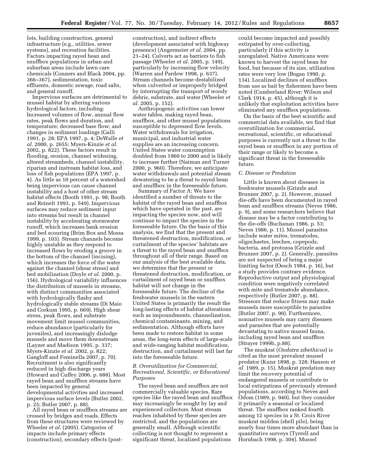lots, building construction, general infrastructure (e.g., utilities, sewer systems), and recreation facilities. Factors impacting rayed bean and snuffbox populations in urban and suburban areas include lawn care chemicals (Conners and Black 2004, pp. 366–367), sedimentation, toxic effluents, domestic sewage, road salts, and general runoff.

Impervious surfaces are detrimental to mussel habitat by altering various hydrological factors, including: Increased volumes of flow, annual flow rates, peak flows and duration, and temperature; decreased base flow; and changes in sediment loadings (Galli 1991, p. 28; EPA 1997, p. 4; DeWalle *et al.* 2000, p. 2655; Myers-Kinzie *et al.*  2002, p. 822). These factors result in flooding, erosion, channel widening, altered streambeds, channel instability, riparian and instream habitat loss, and loss of fish populations (EPA 1997, p. 4). As little as 10 percent of a watershed being impervious can cause channel instability and a host of other stream habitat effects (Booth 1991, p. 98; Booth and Reinelt 1993, p. 549). Impervious surfaces may reduce sediment input into streams but result in channel instability by accelerating stormwater runoff, which increases bank erosion and bed scouring (Brim Box and Mossa 1999, p. 103). Stream channels become highly unstable as they respond to increased flows by eroding a groove in the bottom of the channel (incising), which increases the force of the water against the channel (shear stress) and bed mobilization (Doyle *et al.* 2000, p. 156). Hydrological variability influences the distribution of mussels in streams, with distinct communities associated with hydrologically flashy and hydrologically stable streams (Di Maio and Corkum 1995, p. 669). High shear stress, peak flows, and substrate movement limit mussel communities, reduce abundance (particularly for juveniles), and increasingly dislodge mussels and move them downstream (Layzer and Madison 1995, p. 337; Myers-Kinzie *et al.* 2002, p. 822; Gangloff and Feminella 2007, p. 70). Recruitment is also significantly reduced in high discharge years (Howard and Cuffey 2006, p. 688). Most rayed bean and snuffbox streams have been impacted by general developmental activities and increased impervious surface levels (Butler 2002, p. 25; Butler 2007, p. 88).

All rayed bean or snuffbox streams are crossed by bridges and roads. Effects from these structures were reviewed by Wheeler *et al.* (2005). Categories of impacts include primary effects (construction), secondary effects (post-

construction), and indirect effects (development associated with highway presence) (Angermeier *et al.* 2004, pp. 21–24). Culverts act as barriers to fish passage (Wheeler *et al.* 2005, p. 149), particularly by increasing flow velocity (Warren and Pardew 1998, p. 637). Stream channels become destabilized when culverted or improperly bridged by interrupting the transport of woody debris, substrate, and water (Wheeler *et al.* 2005, p. 152).

Anthropogenic activities can lower water tables, making rayed bean, snuffbox, and other mussel populations susceptible to depressed flow levels. Water withdrawals for irrigation, municipal, and industrial water supplies are an increasing concern. United States water consumption doubled from 1960 to 2000 and is likely to increase further (Naiman and Turner 2000, p. 960). Therefore, we anticipate water withdrawals and potential stream dewatering to be a threat to rayed bean and snuffbox in the foreseeable future.

Summary of Factor A: We have identified a number of threats to the habitat of the rayed bean and snuffbox which have operated in the past, are impacting the species now, and will continue to impact the species in the foreseeable future. On the basis of this analysis, we find that the present and threatened destruction, modification, or curtailment of the species' habitats are a threat to the rayed bean and snuffbox throughout all of their range. Based on our analysis of the best available data, we determine that the present or threatened destruction, modification, or curtailment of rayed bean or snuffbox habitat will not change in the foreseeable future. The decline of the freshwater mussels in the eastern United States is primarily the result the long-lasting effects of habitat alterations such as impoundments, channelization, chemical contaminants, mining, and sedimentation. Although efforts have been made to restore habitat in some areas, the long-term effects of large-scale and wide-ranging habitat modification, destruction, and curtailment will last far into the foreseeable future.

# *B. Overutilization for Commercial, Recreational, Scientific, or Educational Purposes*

The rayed bean and snuffbox are not commercially valuable species. Rare species like the rayed bean and snuffbox may increasingly be sought by lay and experienced collectors. Most stream reaches inhabited by these species are restricted, and the populations are generally small. Although scientific collecting is not thought to represent a significant threat, localized populations

could become impacted and possibly extirpated by over-collecting, particularly if this activity is unregulated. Native Americans were known to harvest the rayed bean for food, but because of its size, utilization rates were very low (Bogan 1990, p. 134). Localized declines of snuffbox from use as bait by fishermen have been noted (Cumberland River; Wilson and Clark 1914, p. 45), although it is unlikely that exploitation activities have eliminated any snuffbox populations.

On the basis of the best scientific and commercial data available, we find that overutilization for commercial, recreational, scientific, or educational purposes is currently not a threat to the rayed bean or snuffbox in any portion of their range or likely to become a significant threat in the foreseeable future.

# *C. Disease or Predation*

Little is known about diseases in freshwater mussels (Grizzle and Brunner 2007, p. 2). However, mussel die-offs have been documented in rayed bean and snuffbox streams (Neves 1986, p. 9), and some researchers believe that disease may be a factor contributing to the die-offs (Buchanan 1986, p. 53; Neves 1986, p. 11). Mussel parasites include water mites, trematodes, oligochaetes, leeches, copepods, bacteria, and protozoa (Grizzle and Brunner 2007, p. 2). Generally, parasites are not suspected of being a major limiting factor (Oesch 1984, p. 16), but a study provides contrary evidence. Reproductive output and physiological condition were negatively correlated with mite and trematode abundance, respectively (Butler 2007, p. 88). Stressors that reduce fitness may make mussels more susceptible to parasites (Butler 2007, p. 90). Furthermore, nonnative mussels may carry diseases and parasites that are potentially devastating to native mussel fauna, including rayed bean and snuffbox (Strayer 1999b, p.88).

The muskrat (*Ondatra zibethicus*) is cited as the most prevalent mussel predator (Kunz 1898, p. 328; Hanson *et al.* 1989, p. 15). Muskrat predation may limit the recovery potential of endangered mussels or contribute to local extirpations of previously stressed populations, according to Neves and Odom (1989, p. 940), but they consider it primarily a seasonal or localized threat. The snuffbox ranked fourth among 12 species in a St. Croix River muskrat midden (shell pile), being nearly four times more abundant than in quantitative surveys (Tyrrell and Hornbach 1998, p. 304). Mussel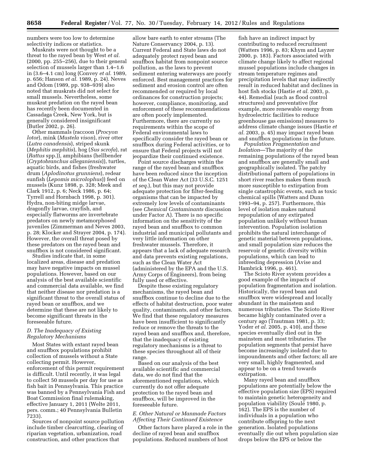numbers were too low to determine selectivity indices or statistics.

Muskrats were not thought to be a threat to the rayed bean by West *et al.*  (2000, pp. 255–256), due to their general selection of mussels larger than 1.4–1.6 in (3.6–4.1 cm) long (Convey *et al.* 1989, p. 656; Hanson *et al.* 1989, p. 24). Neves and Odom (1989, pp. 938–939) also noted that muskrats did not select for small mussels. Nevertheless, some muskrat predation on the rayed bean has recently been documented in Cassadaga Creek, New York, but is generally considered insignificant (Butler 2002, p. 26).

Other mammals (raccoon (*Procyon lotor*), mink (*Mustela vison*), river otter (*Lutra canadensis*), striped skunk (*Mephitis mephitis*), hog (*Sus scrofa*), rat (*Rattus* spp.)), amphibians (hellbender (*Cryptobranchus alleganiensis*)), turtles, aquatic birds, and fishes (freshwater drum (*Aplodinotus grunniens*), redear sunfish (*Lepomis microlophus*)) feed on mussels (Kunz 1898, p. 328; Meek and Clark 1912, p. 6; Neck 1986, p. 64; Tyrrell and Hornbach 1998, p. 301). Hydra, non-biting midge larvae, dragonfly larvae, crayfish, and especially flatworms are invertebrate predators on newly metamorphosed juveniles (Zimmerman and Neves 2003, p. 28; Klocker and Strayer 2004, p. 174). However, the overall threat posed by these predators on the rayed bean and snuffbox is not considered significant.

Studies indicate that, in some localized areas, disease and predation may have negative impacts on mussel populations. However, based on our analysis of the best available scientific and commercial data available, we find that neither disease nor predation is a significant threat to the overall status of rayed bean or snuffbox, and we determine that these are not likely to become significant threats in the foreseeable future.

# *D. The Inadequacy of Existing Regulatory Mechanisms*

Most States with extant rayed bean and snuffbox populations prohibit collection of mussels without a State collecting permit. However, enforcement of this permit requirement is difficult. Until recently, it was legal to collect 50 mussels per day for use as fish bait in Pennsylvania. This practice was banned by a Pennsylvania Fish and Boat Commission final rulemaking, effective January 1, 2011 (Welte 2011, pers. comm.; 40 Pennsylvania Bulletin 7233).

Sources of nonpoint source pollution include timber clearcutting, clearing of riparian vegetation, urbanization, road construction, and other practices that

allow bare earth to enter streams (The Nature Conservancy 2004, p. 13). Current Federal and State laws do not adequately protect rayed bean and snuffbox habitat from nonpoint source pollution, as the laws to prevent sediment entering waterways are poorly enforced. Best management practices for sediment and erosion control are often recommended or required by local ordinances for construction projects; however, compliance, monitoring, and enforcement of these recommendations are often poorly implemented. Furthermore, there are currently no requirements within the scope of Federal environmental laws to specifically consider the rayed bean or snuffbox during Federal activities, or to ensure that Federal projects will not jeopardize their continued existence.

Point source discharges within the range of the rayed bean and snuffbox have been reduced since the inception of the Clean Water Act (33 U.S.C. 1251 *et seq.*), but this may not provide adequate protection for filter-feeding organisms that can be impacted by extremely low levels of contaminants (see *Chemical Contaminants* discussion under Factor A). There is no specific information on the sensitivity of the rayed bean and snuffbox to common industrial and municipal pollutants and very little information on other freshwater mussels. Therefore, it appears that a lack of adequate research and data prevents existing regulations, such as the Clean Water Act (administered by the EPA and the U.S. Army Corps of Engineers), from being fully used or effective.

Despite these existing regulatory mechanisms, the rayed bean and snuffbox continue to decline due to the effects of habitat destruction, poor water quality, contaminants, and other factors. We find that these regulatory measures have been insufficient to significantly reduce or remove the threats to the rayed bean and snuffbox and, therefore, that the inadequacy of existing regulatory mechanisms is a threat to these species throughout all of their range.

Based on our analysis of the best available scientific and commercial data, we do not find that the aforementioned regulations, which currently do not offer adequate protection to the rayed bean and snuffbox, will be improved in the foreseeable future.

# *E. Other Natural or Manmade Factors Affecting Their Continued Existence*

Other factors have played a role in the decline of rayed bean and snuffbox populations. Reduced numbers of host

fish have an indirect impact by contributing to reduced recruitment (Watters 1996, p. 83; Khym and Layzer 2000, p. 183). Factors associated with climate change likely to affect regional mussel populations include changes in stream temperature regimes and precipitation levels that may indirectly result in reduced habitat and declines in host fish stocks (Hastie *et al.* 2003, p. 44). Remedial (such as flood control structures) and preventative (for example, more renewable energy from hydroelectric facilities to reduce greenhouse gas emissions) measures to address climate change issues (Hastie *et al.* 2003, p. 45) may impact rayed bean and snuffbox populations in the future.

*Population Fragmentation and Isolation*—The majority of the remaining populations of the rayed bean and snuffbox are generally small and geographically isolated. The patchy distributional pattern of populations in short river reaches makes them much more susceptible to extirpation from single catastrophic events, such as toxic chemical spills (Watters and Dunn 1993–94, p. 257). Furthermore, this level of isolation makes natural repopulation of any extirpated population unlikely without human intervention. Population isolation prohibits the natural interchange of genetic material between populations, and small population size reduces the reservoir of genetic diversity within populations, which can lead to inbreeding depression (Avise and Hambrick 1996, p. 461).

The Scioto River system provides a good example of the impacts of population fragmentation and isolation. Historically, the rayed bean and snuffbox were widespread and locally abundant in the mainstem and numerous tributaries. The Scioto River became highly contaminated over a century ago (Trautman 1981, p. 33; Yoder *et al.* 2005, p. 410), and these species eventually died out in the mainstem and most tributaries. The population segments that persist have become increasingly isolated due to impoundments and other factors; all are very small, highly fragmented, and appear to be on a trend towards extirpation.

Many rayed bean and snuffbox populations are potentially below the effective population size (EPS) required to maintain genetic heterogeneity and population viability (Soulé 1980, p. 162). The EPS is the number of individuals in a population who contribute offspring to the next generation. Isolated populations eventually die out when population size drops below the EPS or below the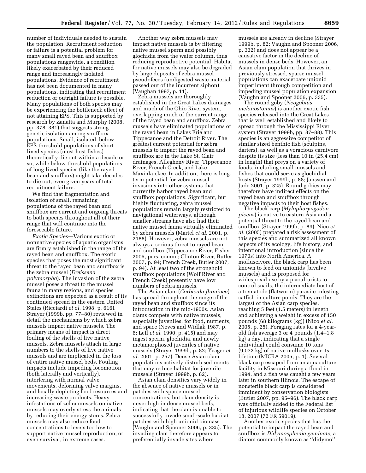number of individuals needed to sustain the population. Recruitment reduction or failure is a potential problem for many small rayed bean and snuffbox populations rangewide, a condition likely exacerbated by their reduced range and increasingly isolated populations. Evidence of recruitment has not been documented in many populations, indicating that recruitment reduction or outright failure is possible. Many populations of both species may be experiencing the bottleneck effect of not attaining EPS. This is supported by research by Zanatta and Murphy (2008, pp. 378–381) that suggests strong genetic isolation among snuffbox populations. Small, isolated, below-EPS-threshold populations of shortlived species (most host fishes) theoretically die out within a decade or so, while below-threshold populations of long-lived species (like the rayed bean and snuffbox) might take decades to die out, even given years of total recruitment failure.

We find that fragmentation and isolation of small, remaining populations of the rayed bean and snuffbox are current and ongoing threats to both species throughout all of their range that will continue into the foreseeable future.

*Exotic Species*—Various exotic or nonnative species of aquatic organisms are firmly established in the range of the rayed bean and snuffbox. The exotic species that poses the most significant threat to the rayed bean and snuffbox is the zebra mussel (*Dreissena polymorpha*). The invasion of the zebra mussel poses a threat to the mussel fauna in many regions, and species extinctions are expected as a result of its continued spread in the eastern United States (Ricciardi *et al.* 1998, p. 616). Strayer (1999b, pp. 77–80) reviewed in detail the mechanisms by which zebra mussels impact native mussels. The primary means of impact is direct fouling of the shells of live native mussels. Zebra mussels attach in large numbers to the shells of live native mussels and are implicated in the loss of entire native mussel beds. Fouling impacts include impeding locomotion (both laterally and vertically), interfering with normal valve movements, deforming valve margins, and locally depleting food resources and increasing waste products. Heavy infestations of zebra mussels on native mussels may overly stress the animals by reducing their energy stores. Zebra mussels may also reduce food concentrations to levels too low to support native mussel reproduction, or even survival, in extreme cases.

Another way zebra mussels may impact native mussels is by filtering native mussel sperm and possibly glochidia from the water column, thus reducing reproductive potential. Habitat for native mussels may also be degraded by large deposits of zebra mussel pseudofeces (undigested waste material passed out of the incurrent siphon) (Vaughan 1997, p. 11).

Zebra mussels are thoroughly established in the Great Lakes drainages and much of the Ohio River system, overlapping much of the current range of the rayed bean and snuffbox. Zebra mussels have eliminated populations of the rayed bean in Lakes Erie and Tippecanoe and the Detroit River. The greatest current potential for zebra mussels to impact the rayed bean and snuffbox are in the Lake St. Clair drainages, Allegheny River, Tippecanoe River, French Creek, and Lake Maxinkuckee. In addition, there is longterm potential for zebra mussel invasions into other systems that currently harbor rayed bean and snuffbox populations. Significant, but highly fluctuating, zebra mussel populations remain largely restricted to navigational waterways, although smaller streams have also had their native mussel fauna virtually eliminated by zebra mussels (Martel *et al.* 2001, p. 2188). However, zebra mussels are not always a serious threat to rayed bean and snuffbox (Tippecanoe River, Fisher 2005, pers. comm.; Clinton River, Butler 2007, p. 94; French Creek, Butler 2007, p. 94). At least two of the stronghold snuffbox populations (Wolf River and French Creek) presently have low numbers of zebra mussels.

The Asian clam (*Corbicula fluminea*) has spread throughout the range of the rayed bean and snuffbox since its introduction in the mid-1900s. Asian clams compete with native mussels, especially juveniles, for food, nutrients, and space (Neves and Widlak 1987, p. 6; Leff *et al.* 1990, p. 415) and may ingest sperm, glochidia, and newly metamorphosed juveniles of native mussels (Strayer 1999b, p. 82; Yeager *et al.* 2001, p. 257). Dense Asian clam populations actively disturb sediments that may reduce habitat for juvenile mussels (Strayer 1999b, p. 82).

Asian clam densities vary widely in the absence of native mussels or in patches with sparse mussel concentrations, but clam density is never high in dense mussel beds, indicating that the clam is unable to successfully invade small-scale habitat patches with high unionid biomass (Vaughn and Spooner 2006, p. 335). The invading clam therefore appears to preferentially invade sites where

mussels are already in decline (Strayer 1999b, p. 82; Vaughn and Spooner 2006, p. 332) and does not appear be a causative factor in the decline of mussels in dense beds. However, an Asian clam population that thrives in previously stressed, sparse mussel populations can exacerbate unionid imperilment through competition and impeding mussel population expansion (Vaughn and Spooner 2006, p. 335).

The round goby (*Neogobius melanostomus*) is another exotic fish species released into the Great Lakes that is well established and likely to spread through the Mississippi River system (Strayer 1999b, pp. 87–88). This species is an aggressive competitor of similar sized benthic fish (sculpins, darters), as well as a voracious carnivore despite its size (less than 10 in (25.4 cm) in length) that preys on a variety of foods, including small mussels and fishes that could serve as glochidial hosts (Strayer 1999b, p. 88; Janssen and Jude 2001, p. 325). Round gobies may therefore have indirect effects on the rayed bean and snuffbox through negative impacts to their host fishes.

The black carp (*Mylopharyngodon piceus*) is native to eastern Asia and a potential threat to the rayed bean and snuffbox (Strayer 1999b, p. 89). Nico *et al.* (2005) prepared a risk assessment of this species and summarized all known aspects of its ecology, life history, and intentional introduction (since the 1970s) into North America. A molluscivore, the black carp has been known to feed on unionids (bivalve mussels) and is proposed for widespread use by aquaculturists to control snails, the intermediate host of a trematode (flatworm) parasite infesting catfish in culture ponds. They are the largest of the Asian carp species, reaching 5 feet (1.5 meters) in length and achieving a weight in excess of 150 pounds (68 kilograms (kg)) (Nico *et al.*  2005, p. 25). Foraging rates for a 4-yearold fish average 3 or 4 pounds (1.4–1.8 kg) a day, indicating that a single individual could consume 10 tons (9,072 kg) of native mollusks over its lifetime (MICRA 2005, p. 1). Several black carp escaped from an aquaculture facility in Missouri during a flood in 1994, and a fish was caught a few years later in southern Illinois. The escape of nonsterile black carp is considered imminent by conservation biologists (Butler 2007, pp. 95–96). The black carp was officially added to the Federal list of injurious wildlife species on October 18, 2007 (72 FR 59019).

Another exotic species that has the potential to impact the rayed bean and snuffbox is *Didymosphenia geminate,* a diatom commonly known as ''didymo''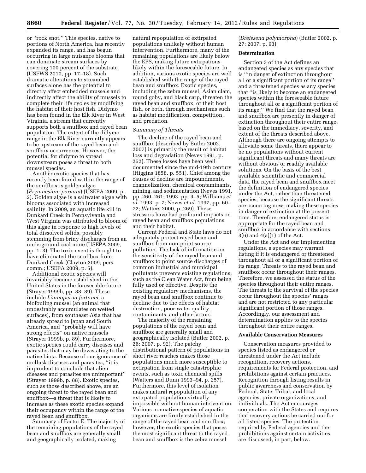or ''rock snot.'' This species, native to portions of North America, has recently expanded its range, and has begun occurring in large nuisance blooms that can dominate stream surfaces by covering 100 percent of the substrate (USFWS 2010, pp. 17–18). Such dramatic alterations to streambed surfaces alone has the potential to directly affect embedded mussels and indirectly affect the ability of mussels to complete their life cycles by modifying the habitat of their host fish. Didymo has been found in the Elk River in West Virginia, a stream that currently supports both a snuffbox and rayed bean population. The extent of the didymo range in the Elk River currently appears to be upstream of the rayed bean and snuffbox occurrences. However, the potential for didymo to spread downstream poses a threat to both mussel species.

Another exotic species that has recently been found within the range of the snuffbox is golden algae (*Prymnesium parvum*) (USEPA 2009, p. 2). Golden algae is a saltwater algae with blooms associated with increased salinity. In 2009, an aquatic life kill in Dunkard Creek in Pennsylvania and West Virginia was attributed to bloom of this algae in response to high levels of total dissolved solids, possibly stemming from briny discharges from an underground coal mine (USEPA 2009, pp. 1–3). The toxic event is thought to have eliminated the snuffbox from Dunkard Creek (Clayton 2009, pers. comm.; USEPA 2009, p. 5).

Additional exotic species will invariably become established in the United States in the foreseeable future (Strayer 1999b, pp. 88–89). These include *Limnoperna fortunei,* a biofouling mussel (an animal that undesirably accumulates on wetted surfaces), from southeast Asia that has already spread to Japan and South America, and ''probably will have strong effects'' on native mussels (Strayer 1999b, p. 89). Furthermore, exotic species could carry diseases and parasites that may be devastating to the native biota. Because of our ignorance of mollusk diseases and parasites, ''it is imprudent to conclude that alien diseases and parasites are unimportant'' (Strayer 1999b, p. 88). Exotic species, such as those described above, are an ongoing threat to the rayed bean and snuffbox—a threat that is likely to increase as these exotic species expand their occupancy within the range of the rayed bean and snuffbox.

Summary of Factor E: The majority of the remaining populations of the rayed bean and snuffbox are generally small and geographically isolated, making

natural repopulation of extirpated populations unlikely without human intervention. Furthermore, many of the remaining populations are likely below the EPS, making future extirpations likely within the foreseeable future. In addition, various exotic species are well established with the range of the rayed bean and snuffbox. Exotic species, including the zebra mussel, Asian clam, round goby, and black carp, threaten the rayed bean and snuffbox, or their host fish, or both, through mechanisms such as habitat modification, competition, and predation.

#### *Summary of Threats*

The decline of the rayed bean and snuffbox (described by Butler 2002, 2007) is primarily the result of habitat loss and degradation (Neves 1991, p. 252). These losses have been well documented since the mid-19th century (Higgins 1858, p. 551). Chief among the causes of decline are impoundments, channelization, chemical contaminants, mining, and sedimentation (Neves 1991, pp. 260–261; 1993, pp. 4–5; Williams *et al.* 1993, p. 7; Neves *et al.* 1997, pp. 60– 72; Watters 2000, p. 269). These stressors have had profound impacts on rayed bean and snuffbox populations and their habitat.

Current Federal and State laws do not adequately protect rayed bean and snuffbox from non-point source pollution. The lack of information on the sensitivity of the rayed bean and snuffbox to point source discharges of common industrial and municipal pollutants prevents existing regulations, such as the Clean Water Act, from being fully used or effective. Despite the existing regulatory mechanisms, the rayed bean and snuffbox continue to decline due to the effects of habitat destruction, poor water quality, contaminants, and other factors.

The majority of the remaining populations of the rayed bean and snuffbox are generally small and geographically isolated (Butler 2002, p. 26; 2007, p. 92). The patchy distributional pattern of populations in short river reaches makes those populations much more susceptible to extirpation from single catastrophic events, such as toxic chemical spills (Watters and Dunn 1993–94, p. 257). Furthermore, this level of isolation makes natural repopulation of any extirpated population virtually impossible without human intervention. Various nonnative species of aquatic organisms are firmly established in the range of the rayed bean and snuffbox; however, the exotic species that poses the most significant threat to the rayed bean and snuffbox is the zebra mussel

(*Dreissena polymorpha*) (Butler 2002, p. 27; 2007, p. 93).

#### **Determination**

Section 3 of the Act defines an endangered species as any species that is ''in danger of extinction throughout all or a significant portion of its range'' and a threatened species as any species that ''is likely to become an endangered species within the foreseeable future throughout all or a significant portion of its range.'' We find that the rayed bean and snuffbox are presently in danger of extinction throughout their entire range, based on the immediacy, severity, and extent of the threats described above. Although there are ongoing attempts to alleviate some threats, there appear to be no populations without current significant threats and many threats are without obvious or readily available solutions. On the basis of the best available scientific and commercial data, the rayed bean and snuffbox meet the definition of endangered species under the Act, rather than threatened species, because the significant threats are occurring now, making these species in danger of extinction at the present time. Therefore, endangered status is appropriate for the rayed bean and snuffbox in accordance with sections 3(6) and 4(a)(1) of the Act.

Under the Act and our implementing regulations, a species may warrant listing if it is endangered or threatened throughout all or a significant portion of its range. Threats to the rayed bean and snuffbox occur throughout their ranges. Therefore, we assessed the status of the species throughout their entire ranges. The threats to the survival of the species occur throughout the species' ranges and are not restricted to any particular significant portion of those ranges. Accordingly, our assessment and determination applies to the species throughout their entire ranges.

# **Available Conservation Measures**

Conservation measures provided to species listed as endangered or threatened under the Act include recognition, recovery actions, requirements for Federal protection, and prohibitions against certain practices. Recognition through listing results in public awareness and conservation by Federal, State, Tribal, and local agencies, private organizations, and individuals. The Act encourages cooperation with the States and requires that recovery actions be carried out for all listed species. The protection required by Federal agencies and the prohibitions against certain activities are discussed, in part, below.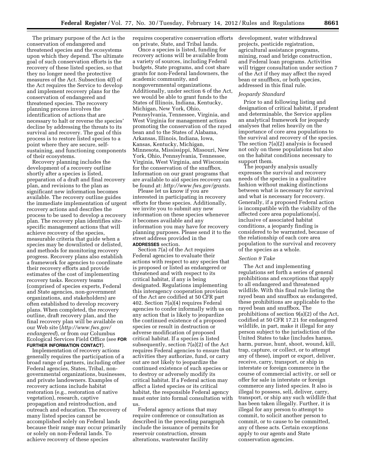The primary purpose of the Act is the conservation of endangered and threatened species and the ecosystems upon which they depend. The ultimate goal of such conservation efforts is the recovery of these listed species, so that they no longer need the protective measures of the Act. Subsection 4(f) of the Act requires the Service to develop and implement recovery plans for the conservation of endangered and threatened species. The recovery planning process involves the identification of actions that are necessary to halt or reverse the species' decline by addressing the threats to its survival and recovery. The goal of this process is to restore listed species to a point where they are secure, selfsustaining, and functioning components of their ecosystems.

Recovery planning includes the development of a recovery outline shortly after a species is listed, preparation of a draft and final recovery plan, and revisions to the plan as significant new information becomes available. The recovery outline guides the immediate implementation of urgent recovery actions and describes the process to be used to develop a recovery plan. The recovery plan identifies sitespecific management actions that will achieve recovery of the species, measurable criteria that guide when a species may be downlisted or delisted, and methods for monitoring recovery progress. Recovery plans also establish a framework for agencies to coordinate their recovery efforts and provide estimates of the cost of implementing recovery tasks. Recovery teams (comprised of species experts, Federal and State agencies, non-government organizations, and stakeholders) are often established to develop recovery plans. When completed, the recovery outline, draft recovery plan, and the final recovery plan will be available on our Web site (*[http://www.fws.gov/](http://www.fws.gov/endangered)  [endangered](http://www.fws.gov/endangered)*), or from our Columbus Ecological Services Field Office (see **FOR FURTHER INFORMATION CONTACT**).

Implementation of recovery actions generally requires the participation of a broad range of partners, including other Federal agencies, States, Tribal, nongovernmental organizations, businesses, and private landowners. Examples of recovery actions include habitat restoration (e.g., restoration of native vegetation), research, captive propagation and reintroduction, and outreach and education. The recovery of many listed species cannot be accomplished solely on Federal lands because their range may occur primarily or solely on non-Federal lands. To achieve recovery of these species

requires cooperative conservation efforts on private, State, and Tribal lands.

Once a species is listed, funding for recovery actions will be available from a variety of sources, including Federal budgets, State programs, and cost share grants for non-Federal landowners, the academic community, and nongovernmental organizations. Additionally, under section 6 of the Act, we would be able to grant funds to the States of Illinois, Indiana, Kentucky, Michigan, New York, Ohio, Pennsylvania, Tennessee, Virginia, and West Virginia for management actions promoting the conservation of the rayed bean and to the States of Alabama, Arkansas, Illinois, Indiana, Iowa, Kansas, Kentucky, Michigan, Minnesota, Mississippi, Missouri, New York, Ohio, Pennsylvania, Tennessee, Virginia, West Virginia, and Wisconsin for the conservation of the snuffbox. Information on our grant programs that are available to aid species recovery can be found at: *[http://www.fws.gov/grants.](http://www.fws.gov/grants)* 

Please let us know if you are interested in participating in recovery efforts for these species. Additionally, we invite you to submit any new information on these species whenever it becomes available and any information you may have for recovery planning purposes. Please send it to the street address provided in the **ADDRESSES** section.

Section 7(a) of the Act requires Federal agencies to evaluate their actions with respect to any species that is proposed or listed as endangered or threatened and with respect to its critical habitat, if any is being designated. Regulations implementing this interagency cooperation provision of the Act are codified at 50 CFR part 402. Section 7(a)(4) requires Federal agencies to confer informally with us on any action that is likely to jeopardize the continued existence of a proposed species or result in destruction or adverse modification of proposed critical habitat. If a species is listed subsequently, section 7(a)(2) of the Act requires Federal agencies to ensure that activities they authorize, fund, or carry out are not likely to jeopardize the continued existence of such species or to destroy or adversely modify its critical habitat. If a Federal action may affect a listed species or its critical habitat, the responsible Federal agency must enter into formal consultation with us.

Federal agency actions that may require conference or consultation as described in the preceding paragraph include the issuance of permits for reservoir construction, stream alterations, wastewater facility

development, water withdrawal projects, pesticide registration, agricultural assistance programs, mining, road and bridge construction, and Federal loan programs. Activities will trigger consultation under section 7 of the Act if they may affect the rayed bean or snuffbox, or both species, addressed in this final rule.

## *Jeopardy Standard*

Prior to and following listing and designation of critical habitat, if prudent and determinable, the Service applies an analytical framework for jeopardy analyses that relies heavily on the importance of core area populations to the survival and recovery of the species. The section 7(a)(2) analysis is focused not only on these populations but also on the habitat conditions necessary to support them.

The jeopardy analysis usually expresses the survival and recovery needs of the species in a qualitative fashion without making distinctions between what is necessary for survival and what is necessary for recovery. Generally, if a proposed Federal action is incompatible with the viability of the affected core area populations(s), inclusive of associated habitat conditions, a jeopardy finding is considered to be warranted, because of the relationship of each core area population to the survival and recovery of the species as a whole.

### *Section 9 Take*

The Act and implementing regulations set forth a series of general prohibitions and exceptions that apply to all endangered and threatened wildlife. With this final rule listing the rayed bean and snuffbox as endangered, these prohibitions are applicable to the rayed bean and snuffbox. The prohibitions of section 9(a)(2) of the Act, codified at 50 CFR 17.21 for endangered wildlife, in part, make it illegal for any person subject to the jurisdiction of the United States to take (includes harass, harm, pursue, hunt, shoot, wound, kill, trap, capture, or collect, or to attempt any of these), import or export, deliver, receive, carry, transport, or ship in interstate or foreign commerce in the course of commercial activity, or sell or offer for sale in interstate or foreign commerce any listed species. It also is illegal to possess, sell, deliver, carry, transport, or ship any such wildlife that has been taken illegally. Further, it is illegal for any person to attempt to commit, to solicit another person to commit, or to cause to be committed, any of these acts. Certain exceptions apply to our agents and State conservation agencies.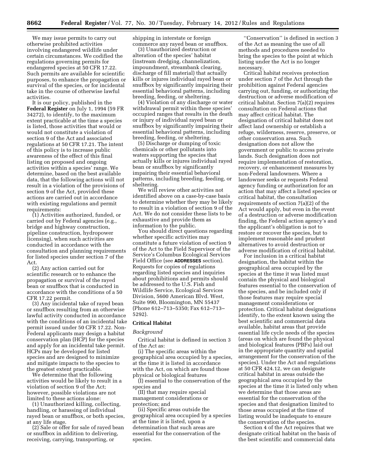We may issue permits to carry out otherwise prohibited activities involving endangered wildlife under certain circumstances. We codified the regulations governing permits for endangered species at 50 CFR 17.22. Such permits are available for scientific purposes, to enhance the propagation or survival of the species, or for incidental take in the course of otherwise lawful activities.

It is our policy, published in the **Federal Register** on July 1, 1994 (59 FR 34272), to identify, to the maximum extent practicable at the time a species is listed, those activities that would or would not constitute a violation of section 9 of the Act and associated regulations at 50 CFR 17.21. The intent of this policy is to increase public awareness of the effect of this final listing on proposed and ongoing activities within a species' range. We determine, based on the best available data, that the following actions will not result in a violation of the provisions of section 9 of the Act, provided these actions are carried out in accordance with existing regulations and permit requirements:

(1) Activities authorized, funded, or carried out by Federal agencies (e.g., bridge and highway construction, pipeline construction, hydropower licensing), when such activities are conducted in accordance with the consultation and planning requirements for listed species under section 7 of the Act.

(2) Any action carried out for scientific research or to enhance the propagation or survival of the rayed bean or snuffbox that is conducted in accordance with the conditions of a 50 CFR 17.22 permit.

(3) Any incidental take of rayed bean or snuffbox resulting from an otherwise lawful activity conducted in accordance with the conditions of an incidental take permit issued under 50 CFR 17.22. Non-Federal applicants may design a habitat conservation plan (HCP) for the species and apply for an incidental take permit. HCPs may be developed for listed species and are designed to minimize and mitigate impacts to the species to the greatest extent practicable.

We determine that the following activities would be likely to result in a violation of section 9 of the Act; however, possible violations are not limited to these actions alone:

(1) Unauthorized killing, collecting, handling, or harassing of individual rayed bean or snuffbox, or both species, at any life stage.

(2) Sale or offer for sale of rayed bean or snuffbox in addition to delivering, receiving, carrying, transporting, or

shipping in interstate or foreign commerce any rayed bean or snuffbox.

(3) Unauthorized destruction or alteration of the species' habitat (instream dredging, channelization, impoundment, streambank clearing, discharge of fill material) that actually kills or injures individual rayed bean or snuffbox by significantly impairing their essential behavioral patterns, including breeding, feeding, or sheltering.

(4) Violation of any discharge or water withdrawal permit within these species' occupied ranges that results in the death or injury of individual rayed bean or snuffbox by significantly impairing their essential behavioral patterns, including breeding, feeding, or sheltering.

(5) Discharge or dumping of toxic chemicals or other pollutants into waters supporting the species that actually kills or injures individual rayed bean or snuffbox by significantly impairing their essential behavioral patterns, including breeding, feeding, or sheltering.

We will review other activities not identified above on a case-by-case basis to determine whether they may be likely to result in a violation of section 9 of the Act. We do not consider these lists to be exhaustive and provide them as information to the public.

You should direct questions regarding whether specific activities may constitute a future violation of section 9 of the Act to the Field Supervisor of the Service's Columbus Ecological Services Field Office (see **ADDRESSES** section). Requests for copies of regulations regarding listed species and inquiries about prohibitions and permits should be addressed to the U.S. Fish and Wildlife Service, Ecological Services Division, 5600 American Blvd. West, Suite 990, Bloomington, MN 55437 (Phone 612–713–5350; Fax 612–713– 5292).

#### **Critical Habitat**

#### *Background*

Critical habitat is defined in section 3 of the Act as:

(i) The specific areas within the geographical area occupied by a species, at the time it is listed in accordance with the Act, on which are found those physical or biological features

(I) essential to the conservation of the species and

(II) that may require special management considerations or protection; and

(ii) Specific areas outside the geographical area occupied by a species at the time it is listed, upon a determination that such areas are essential for the conservation of the species.

''Conservation'' is defined in section 3 of the Act as meaning the use of all methods and procedures needed to bring the species to the point at which listing under the Act is no longer necessary.

Critical habitat receives protection under section 7 of the Act through the prohibition against Federal agencies carrying out, funding, or authorizing the destruction or adverse modification of critical habitat. Section 7(a)(2) requires consultation on Federal actions that may affect critical habitat. The designation of critical habitat does not affect land ownership or establish a refuge, wilderness, reserve, preserve, or other conservation area. Such designation does not allow the government or public to access private lands. Such designation does not require implementation of restoration, recovery, or enhancement measures by non-Federal landowners. Where a landowner seeks or requests Federal agency funding or authorization for an action that may affect a listed species or critical habitat, the consultation requirements of section 7(a)(2) of the Act would apply, but even in the event of a destruction or adverse modification finding, the Federal action agency's and the applicant's obligation is not to restore or recover the species, but to implement reasonable and prudent alternatives to avoid destruction or adverse modification of critical habitat.

For inclusion in a critical habitat designation, the habitat within the geographical area occupied by the species at the time it was listed must contain the physical and biological features essential to the conservation of the species, and be included only if those features may require special management considerations or protection. Critical habitat designations identify, to the extent known using the best scientific and commercial data available, habitat areas that provide essential life cycle needs of the species (areas on which are found the physical and biological features (PBFs) laid out in the appropriate quantity and spatial arrangement for the conservation of the species). Under the Act and regulations at 50 CFR 424.12, we can designate critical habitat in areas outside the geographical area occupied by the species at the time it is listed only when we determine that those areas are essential for the conservation of the species and that designation limited to those areas occupied at the time of listing would be inadequate to ensure the conservation of the species.

Section 4 of the Act requires that we designate critical habitat on the basis of the best scientific and commercial data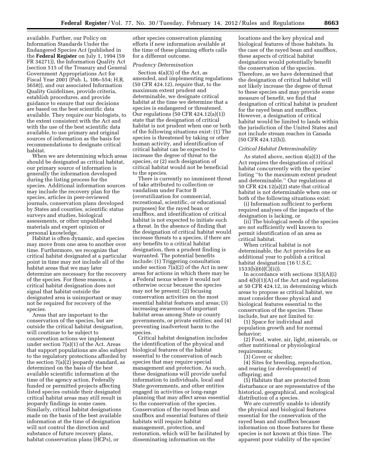available. Further, our Policy on Information Standards Under the Endangered Species Act (published in the **Federal Register** on July 1, 1994 (59 FR 34271)), the Information Quality Act (section 515 of the Treasury and General Government Appropriations Act for Fiscal Year 2001 (Pub. L. 106–554; H.R. 5658)), and our associated Information Quality Guidelines, provide criteria, establish procedures, and provide guidance to ensure that our decisions are based on the best scientific data available. They require our biologists, to the extent consistent with the Act and with the use of the best scientific data available, to use primary and original sources of information as the basis for recommendations to designate critical habitat.

When we are determining which areas should be designated as critical habitat, our primary source of information is generally the information developed during the listing process for the species. Additional information sources may include the recovery plan for the species, articles in peer-reviewed journals, conservation plans developed by States and counties, scientific status surveys and studies, biological assessments, or other unpublished materials and expert opinion or personal knowledge.

Habitat is often dynamic, and species may move from one area to another over time. Furthermore, we recognize that critical habitat designated at a particular point in time may not include all of the habitat areas that we may later determine are necessary for the recovery of the species. For these reasons, a critical habitat designation does not signal that habitat outside the designated area is unimportant or may not be required for recovery of the species.

Areas that are important to the conservation of the species, but are outside the critical habitat designation, will continue to be subject to conservation actions we implement under section 7(a)(1) of the Act. Areas that support populations are also subject to the regulatory protections afforded by the section 7(a)(2) jeopardy standard, as determined on the basis of the best available scientific information at the time of the agency action. Federally funded or permitted projects affecting listed species outside their designated critical habitat areas may still result in jeopardy findings in some cases. Similarly, critical habitat designations made on the basis of the best available information at the time of designation will not control the direction and substance of future recovery plans, habitat conservation plans (HCPs), or

other species conservation planning efforts if new information available at the time of these planning efforts calls for a different outcome.

#### *Prudency Determination*

Section 4(a)(3) of the Act, as amended, and implementing regulations (50 CFR 424.12), require that, to the maximum extent prudent and determinable, we designate critical habitat at the time we determine that a species is endangered or threatened. Our regulations (50 CFR 424.12(a)(1)) state that the designation of critical habitat is not prudent when one or both of the following situations exist: (1) The species is threatened by taking or other human activity, and identification of critical habitat can be expected to increase the degree of threat to the species, or (2) such designation of critical habitat would not be beneficial to the species.

There is currently no imminent threat of take attributed to collection or vandalism under Factor B (overutilization for commercial, recreational, scientific, or educational purposes) for the rayed bean or snuffbox, and identification of critical habitat is not expected to initiate such a threat. In the absence of finding that the designation of critical habitat would increase threats to a species, if there are any benefits to a critical habitat designation, then a prudent finding is warranted. The potential benefits include: (1) Triggering consultation under section 7(a)(2) of the Act in new areas for actions in which there may be a Federal nexus where it would not otherwise occur because the species may not be present; (2) focusing conservation activities on the most essential habitat features and areas; (3) increasing awareness of important habitat areas among State or county governments, or private entities; and (4) preventing inadvertent harm to the species.

Critical habitat designation includes the identification of the physical and biological features of the habitat essential to the conservation of each species that may require special management and protection. As such, these designations will provide useful information to individuals, local and State governments, and other entities engaged in activities or long-range planning that may affect areas essential to the conservation of the species. Conservation of the rayed bean and snuffbox and essential features of their habitats will require habitat management, protection, and restoration, which will be facilitated by disseminating information on the

locations and the key physical and biological features of those habitats. In the case of the rayed bean and snuffbox, these aspects of critical habitat designation would potentially benefit the conservation of the species. Therefore, as we have determined that the designation of critical habitat will not likely increase the degree of threat to these species and may provide some measure of benefit, we find that designation of critical habitat is prudent for the rayed bean and snuffbox. However, a designation of critical habitat would be limited to lands within the jurisdiction of the United States and not include stream reaches in Canada (50 CFR 424.12(h)).

#### *Critical Habitat Determinability*

As stated above, section 4(a)(3) of the Act requires the designation of critical habitat concurrently with the species' listing ''to the maximum extent prudent and determinable.'' Our regulations at 50 CFR 424.12(a)(2) state that critical habitat is not determinable when one or both of the following situations exist:

(i) Information sufficient to perform required analyses of the impacts of the designation is lacking, or

(ii) The biological needs of the species are not sufficiently well known to permit identification of an area as critical habitat.

When critical habitat is not determinable, the Act provides for an additional year to publish a critical habitat designation (16 U.S.C. 1533(b)(6)(C)(ii)).

In accordance with sections  $3(5)(A)(i)$ and 4(b)(1)(A) of the Act and regulations at 50 CFR 424.12, in determining which areas to propose as critical habitat, we must consider those physical and biological features essential to the conservation of the species. These include, but are not limited to:

(1) Space for individual and population growth and for normal behavior;

(2) Food, water, air, light, minerals, or other nutritional or physiological requirements:

(3) Cover or shelter;

(4) Sites for breeding, reproduction, and rearing (or development) of offspring; and

(5) Habitats that are protected from disturbance or are representative of the historical, geographical, and ecological distribution of a species.

We are currently unable to identify the physical and biological features essential for the conservation of the rayed bean and snuffbox because information on those features for these species is not known at this time. The apparent poor viability of the species'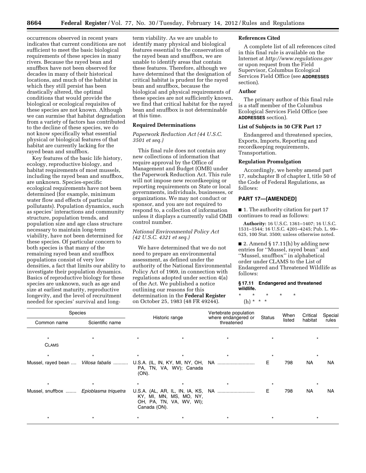occurrences observed in recent years indicates that current conditions are not sufficient to meet the basic biological requirements of these species in many rivers. Because the rayed bean and snuffbox have not been observed for decades in many of their historical locations, and much of the habitat in which they still persist has been drastically altered, the optimal conditions that would provide the biological or ecological requisites of these species are not known. Although we can surmise that habitat degradation from a variety of factors has contributed to the decline of these species, we do not know specifically what essential physical or biological features of that habitat are currently lacking for the rayed bean and snuffbox.

Key features of the basic life history, ecology, reproductive biology, and habitat requirements of most mussels, including the rayed bean and snuffbox, are unknown. Species-specific ecological requirements have not been determined (for example, minimum water flow and effects of particular pollutants). Population dynamics, such as species' interactions and community structure, population trends, and population size and age class structure necessary to maintain long-term viability, have not been determined for these species. Of particular concern to both species is that many of the remaining rayed bean and snuffbox populations consist of very low densities, a fact that limits our ability to investigate their population dynamics. Basics of reproductive biology for these species are unknown, such as age and size at earliest maturity, reproductive longevity, and the level of recruitment needed for species' survival and long-

term viability. As we are unable to identify many physical and biological features essential to the conservation of the rayed bean and snuffbox, we are unable to identify areas that contain these features. Therefore, although we have determined that the designation of critical habitat is prudent for the rayed bean and snuffbox, because the biological and physical requirements of these species are not sufficiently known, we find that critical habitat for the rayed bean and snuffbox is not determinable at this time.

# **Required Determinations**

*Paperwork Reduction Act (44 U.S.C. 3501 et seq.)* 

This final rule does not contain any new collections of information that require approval by the Office of Management and Budget (OMB) under the Paperwork Reduction Act. This rule will not impose new recordkeeping or reporting requirements on State or local governments, individuals, businesses, or organizations. We may not conduct or sponsor, and you are not required to respond to, a collection of information unless it displays a currently valid OMB control number.

# *National Environmental Policy Act (42 U.S.C. 4321 et seq.)*

We have determined that we do not need to prepare an environmental assessment, as defined under the authority of the National Environmental Policy Act of 1969, in connection with regulations adopted under section 4(a) of the Act. We published a notice outlining our reasons for this determination in the **Federal Register**  on October 25, 1983 (48 FR 49244).

#### **References Cited**

A complete list of all references cited in this final rule is available on the Internet at *<http://www.regulations.gov>*  or upon request from the Field Supervisor, Columbus Ecological Services Field Office (see **ADDRESSES** section).

# **Author**

The primary author of this final rule is a staff member of the Columbus Ecological Services Field Office (see **ADDRESSES** section).

#### **List of Subjects in 50 CFR Part 17**

Endangered and threatened species, Exports, Imports, Reporting and recordkeeping requirements, Transportation.

#### **Regulation Promulgation**

Accordingly, we hereby amend part 17, subchapter B of chapter I, title 50 of the Code of Federal Regulations, as follows:

# **PART 17—[AMENDED]**

■ 1. The authority citation for part 17 continues to read as follows:

**Authority:** 16 U.S.C. 1361–1407; 16 U.S.C. 1531–1544; 16 U.S.C. 4201–4245; Pub. L. 99– 625, 100 Stat. 3500; unless otherwise noted.

■ 2. Amend § 17.11(h) by adding new entries for ''Mussel, rayed bean'' and ''Mussel, snuffbox'' in alphabetical order under CLAMS to the List of Endangered and Threatened Wildlife as follows:

#### **§ 17.11 Endangered and threatened wildlife.**

\* \* \* \* \* (h) \* \* \*

| Species                                |         | Historic range |                                                     | Vertebrate population             |        | When   | Critical  | Special<br>rules |
|----------------------------------------|---------|----------------|-----------------------------------------------------|-----------------------------------|--------|--------|-----------|------------------|
| Scientific name<br>Common name         |         |                |                                                     | where endangered or<br>threatened | Status | listed | habitat   |                  |
| $\star$                                |         |                |                                                     |                                   |        |        |           |                  |
| <b>CLAMS</b>                           |         |                |                                                     |                                   |        |        |           |                  |
| $\star$                                |         | $\star$        | $\star$                                             |                                   |        |        |           |                  |
|                                        |         | (ON).          | PA, TN, VA, WV); Canada                             |                                   | E.     | 798    | NA        | NA               |
| $\star$                                | $\star$ | $\star$        |                                                     |                                   |        |        |           |                  |
| Mussel, snuffbox  Epioblasma triquetra |         | Canada (ON).   | KY, MI, MN, MS, MO, NY,<br>OH, PA, TN, VA, WV, WI); |                                   | Е      | 798    | <b>NA</b> | NA               |
|                                        |         |                | $\star$                                             |                                   |        |        |           |                  |